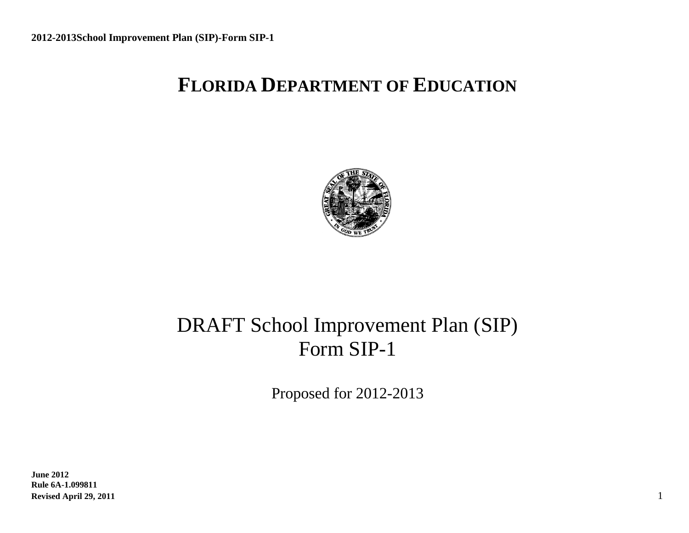# **FLORIDA DEPARTMENT OF EDUCATION**



# DRAFT School Improvement Plan (SIP) Form SIP-1

Proposed for 2012-2013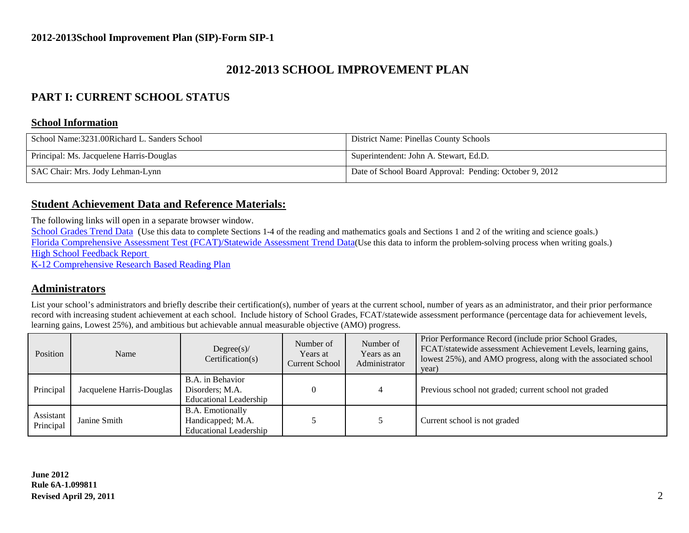### **2012-2013 SCHOOL IMPROVEMENT PLAN**

### **PART I: CURRENT SCHOOL STATUS**

#### **School Information**

| School Name:3231.00Richard L. Sanders School | District Name: Pinellas County Schools                  |
|----------------------------------------------|---------------------------------------------------------|
| Principal: Ms. Jacquelene Harris-Douglas     | Superintendent: John A. Stewart, Ed.D.                  |
| SAC Chair: Mrs. Jody Lehman-Lynn             | Date of School Board Approval: Pending: October 9, 2012 |

#### **Student Achievement Data and Reference Materials:**

The following links will open in a separate browser window.

[School Grades Trend Data](http://schoolgrades.fldoe.org/default.asp) (Use this data to complete Sections 1-4 of the reading and mathematics goals and Sections 1 and 2 of the writing and science goals.) [Florida Comprehensive Assessment Test \(FCAT\)/Statewide Assessment](http://fcat.fldoe.org/results/default.asp) Trend Data(Use this data to inform the problem-solving process when writing goals.) [High School Feedback Report](http://data.fldoe.org/readiness/) 

[K-12 Comprehensive Research Based Reading Plan](https://app1.fldoe.org/Reading_Plans/Narrative/NarrativeList.aspx)

#### **Administrators**

List your school's administrators and briefly describe their certification(s), number of years at the current school, number of years as an administrator, and their prior performance record with increasing student achievement at each school. Include history of School Grades, FCAT/statewide assessment performance (percentage data for achievement levels, learning gains, Lowest 25%), and ambitious but achievable annual measurable objective (AMO) progress.

| Position               | Name                      | Degree(s)<br>Certification(s)                                                 | Number of<br>Years at<br><b>Current School</b> | Number of<br>Years as an<br>Administrator | Prior Performance Record (include prior School Grades,<br>FCAT/statewide assessment Achievement Levels, learning gains,<br>lowest 25%), and AMO progress, along with the associated school<br>year) |
|------------------------|---------------------------|-------------------------------------------------------------------------------|------------------------------------------------|-------------------------------------------|-----------------------------------------------------------------------------------------------------------------------------------------------------------------------------------------------------|
| Principal              | Jacquelene Harris-Douglas | B.A. in Behavior<br>Disorders; M.A.<br><b>Educational Leadership</b>          |                                                |                                           | Previous school not graded; current school not graded                                                                                                                                               |
| Assistant<br>Principal | Janine Smith              | <b>B.A.</b> Emotionally<br>Handicapped; M.A.<br><b>Educational Leadership</b> |                                                |                                           | Current school is not graded                                                                                                                                                                        |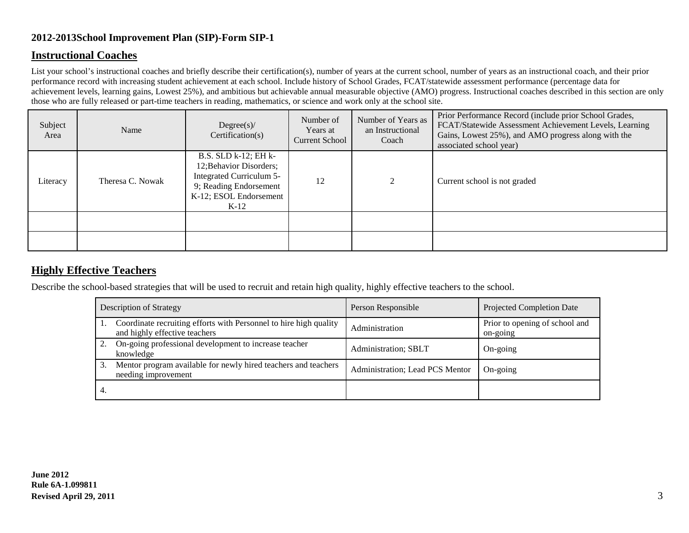#### **Instructional Coaches**

List your school's instructional coaches and briefly describe their certification(s), number of years at the current school, number of years as an instructional coach, and their prior performance record with increasing student achievement at each school. Include history of School Grades, FCAT/statewide assessment performance (percentage data for achievement levels, learning gains, Lowest 25%), and ambitious but achievable annual measurable objective (AMO) progress. Instructional coaches described in this section are only those who are fully released or part-time teachers in reading, mathematics, or science and work only at the school site.

| Subject<br>Area | Name             | Degree(s)<br>Certification(s)                                                                                                             | Number of<br>Years at<br><b>Current School</b> | Number of Years as<br>an Instructional<br>Coach | Prior Performance Record (include prior School Grades,<br>FCAT/Statewide Assessment Achievement Levels, Learning<br>Gains, Lowest 25%), and AMO progress along with the<br>associated school year) |
|-----------------|------------------|-------------------------------------------------------------------------------------------------------------------------------------------|------------------------------------------------|-------------------------------------------------|----------------------------------------------------------------------------------------------------------------------------------------------------------------------------------------------------|
| Literacy        | Theresa C. Nowak | B.S. SLD k-12; EH k-<br>12; Behavior Disorders;<br>Integrated Curriculum 5-<br>9; Reading Endorsement<br>K-12; ESOL Endorsement<br>$K-12$ | 12                                             | $\bigcap$<br>∠                                  | Current school is not graded                                                                                                                                                                       |
|                 |                  |                                                                                                                                           |                                                |                                                 |                                                                                                                                                                                                    |
|                 |                  |                                                                                                                                           |                                                |                                                 |                                                                                                                                                                                                    |

### **Highly Effective Teachers**

Describe the school-based strategies that will be used to recruit and retain high quality, highly effective teachers to the school.

|    | <b>Description of Strategy</b>                                                                     | Person Responsible              | <b>Projected Completion Date</b>           |
|----|----------------------------------------------------------------------------------------------------|---------------------------------|--------------------------------------------|
|    | Coordinate recruiting efforts with Personnel to hire high quality<br>and highly effective teachers | Administration                  | Prior to opening of school and<br>on-going |
|    | On-going professional development to increase teacher<br>knowledge                                 | Administration; SBLT            | On-going                                   |
|    | Mentor program available for newly hired teachers and teachers<br>needing improvement              | Administration; Lead PCS Mentor | On-going                                   |
| 4. |                                                                                                    |                                 |                                            |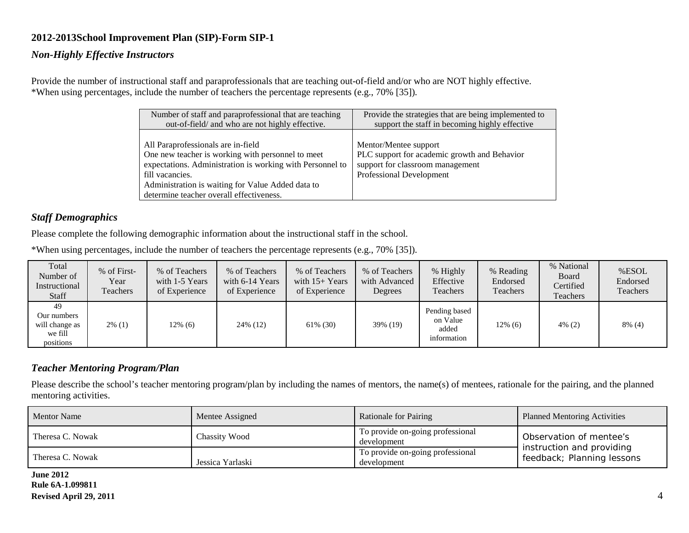#### *Non-Highly Effective Instructors*

Provide the number of instructional staff and paraprofessionals that are teaching out-of-field and/or who are NOT highly effective. \*When using percentages, include the number of teachers the percentage represents (e.g., 70% [35]).

| Number of staff and paraprofessional that are teaching                                                                                                                                                                                                                   | Provide the strategies that are being implemented to                                                                                  |
|--------------------------------------------------------------------------------------------------------------------------------------------------------------------------------------------------------------------------------------------------------------------------|---------------------------------------------------------------------------------------------------------------------------------------|
| out-of-field/ and who are not highly effective.                                                                                                                                                                                                                          | support the staff in becoming highly effective                                                                                        |
| All Paraprofessionals are in-field<br>One new teacher is working with personnel to meet<br>expectations. Administration is working with Personnel to<br>fill vacancies.<br>Administration is waiting for Value Added data to<br>determine teacher overall effectiveness. | Mentor/Mentee support<br>PLC support for academic growth and Behavior<br>support for classroom management<br>Professional Development |

#### *Staff Demographics*

Please complete the following demographic information about the instructional staff in the school.

\*When using percentages, include the number of teachers the percentage represents (e.g., 70% [35]).

| Total<br>Number of<br>Instructional<br>Staff                | % of First-<br>Year<br>Teachers | % of Teachers<br>with 1-5 Years<br>of Experience | % of Teachers<br>with 6-14 Years<br>of Experience | % of Teachers<br>with $15+$ Years<br>of Experience | % of Teachers<br>with Advanced<br>Degrees | % Highly<br>Effective<br>Teachers                 | % Reading<br>Endorsed<br>Teachers | % National<br>Board<br>Certified<br>Teachers | %ESOL<br>Endorsed<br>Teachers |
|-------------------------------------------------------------|---------------------------------|--------------------------------------------------|---------------------------------------------------|----------------------------------------------------|-------------------------------------------|---------------------------------------------------|-----------------------------------|----------------------------------------------|-------------------------------|
| 49<br>Our numbers<br>will change as<br>we fill<br>positions | $2\%$ (1)                       | 12% (6)                                          | 24\% (12)                                         | 61\% (30)                                          | 39% (19)                                  | Pending based<br>on Value<br>added<br>information | $12\%$ (6)                        | $4\%$ (2)                                    | $8\%$ (4)                     |

#### *Teacher Mentoring Program/Plan*

Please describe the school's teacher mentoring program/plan by including the names of mentors, the name(s) of mentees, rationale for the pairing, and the planned mentoring activities.

| <b>Mentor Name</b> | Mentee Assigned      | <b>Rationale for Pairing</b>                    | <b>Planned Mentoring Activities</b>                     |  |
|--------------------|----------------------|-------------------------------------------------|---------------------------------------------------------|--|
| Theresa C. Nowak   | <b>Chassity Wood</b> | To provide on-going professional<br>development | Observation of mentee's                                 |  |
| Theresa C. Nowak   | Jessica Yarlaski     | To provide on-going professional<br>development | instruction and providing<br>feedback; Planning lessons |  |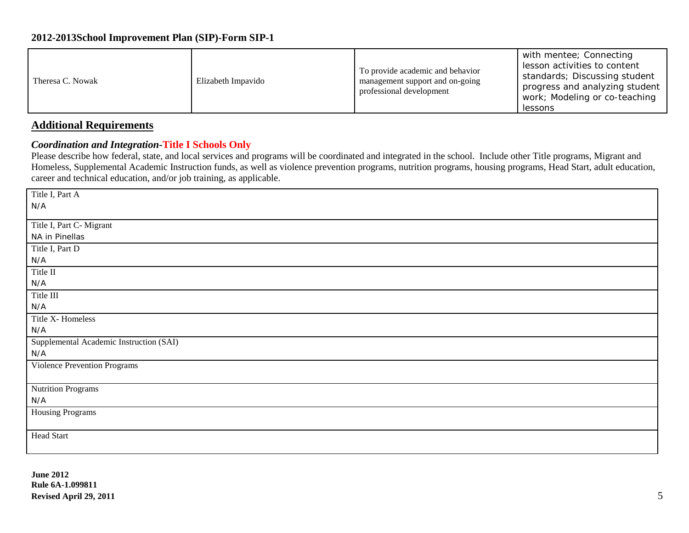| Theresa C. Nowak | Elizabeth Impavido | To provide academic and behavior<br>management support and on-going<br>professional development | with mentee; Connecting<br>lesson activities to content<br>standards; Discussing student<br>progress and analyzing student<br>work; Modeling or co-teaching<br>lessons |
|------------------|--------------------|-------------------------------------------------------------------------------------------------|------------------------------------------------------------------------------------------------------------------------------------------------------------------------|
|------------------|--------------------|-------------------------------------------------------------------------------------------------|------------------------------------------------------------------------------------------------------------------------------------------------------------------------|

### **Additional Requirements**

#### *Coordination and Integration-***Title I Schools Only**

Please describe how federal, state, and local services and programs will be coordinated and integrated in the school. Include other Title programs, Migrant and Homeless, Supplemental Academic Instruction funds, as well as violence prevention programs, nutrition programs, housing programs, Head Start, adult education, career and technical education, and/or job training, as applicable.

| Title I, Part A                         |
|-----------------------------------------|
| N/A                                     |
|                                         |
| Title I, Part C- Migrant                |
| NA in Pinellas                          |
| Title I, Part D                         |
| N/A                                     |
| Title $\rm II$                          |
| N/A                                     |
| Title III                               |
| N/A                                     |
| Title X- Homeless                       |
| N/A                                     |
| Supplemental Academic Instruction (SAI) |
| N/A                                     |
| Violence Prevention Programs            |
|                                         |
| Nutrition Programs                      |
| N/A                                     |
| Housing Programs                        |
|                                         |
| Head Start                              |
|                                         |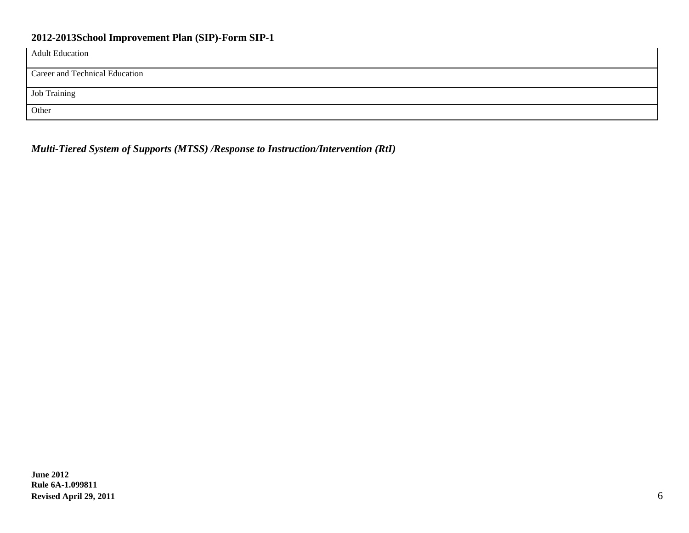| <b>Adult Education</b>         |
|--------------------------------|
| Career and Technical Education |
| Job Training                   |
| Other                          |

*Multi-Tiered System of Supports (MTSS) /Response to Instruction/Intervention (RtI)*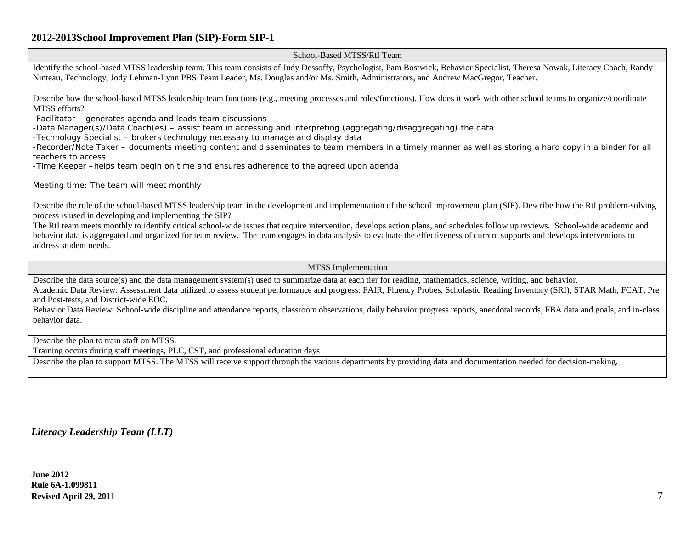School-Based MTSS/RtI Team

Identify the school-based MTSS leadership team. This team consists of Judy Dessoffy, Psychologist, Pam Bostwick, Behavior Specialist, Theresa Nowak, Literacy Coach, Randy Ninteau, Technology, Jody Lehman-Lynn PBS Team Leader, Ms. Douglas and/or Ms. Smith, Administrators, and Andrew MacGregor, Teacher.

Describe how the school-based MTSS leadership team functions (e.g., meeting processes and roles/functions). How does it work with other school teams to organize/coordinate MTSS efforts?

-Facilitator – generates agenda and leads team discussions

-Data Manager(s)/Data Coach(es) – assist team in accessing and interpreting (aggregating/disaggregating) the data

-Technology Specialist – brokers technology necessary to manage and display data

-Recorder/Note Taker – documents meeting content and disseminates to team members in a timely manner as well as storing a hard copy in a binder for all teachers to access

-Time Keeper –helps team begin on time and ensures adherence to the agreed upon agenda

Meeting time: The team will meet monthly

Describe the role of the school-based MTSS leadership team in the development and implementation of the school improvement plan (SIP). Describe how the RtI problem-solving process is used in developing and implementing the SIP?

The RtI team meets monthly to identify critical school-wide issues that require intervention, develops action plans, and schedules follow up reviews. School-wide academic and behavior data is aggregated and organized for team review. The team engages in data analysis to evaluate the effectiveness of current supports and develops interventions to address student needs.

MTSS Implementation

Describe the data source(s) and the data management system(s) used to summarize data at each tier for reading, mathematics, science, writing, and behavior. Academic Data Review: Assessment data utilized to assess student performance and progress: FAIR, Fluency Probes, Scholastic Reading Inventory (SRI), STAR Math, FCAT, Pre

and Post-tests, and District-wide EOC.

Behavior Data Review: School-wide discipline and attendance reports, classroom observations, daily behavior progress reports, anecdotal records, FBA data and goals, and in-class behavior data.

Describe the plan to train staff on MTSS.

Training occurs during staff meetings, PLC, CST, and professional education days

Describe the plan to support MTSS. The MTSS will receive support through the various departments by providing data and documentation needed for decision-making.

*Literacy Leadership Team (LLT)*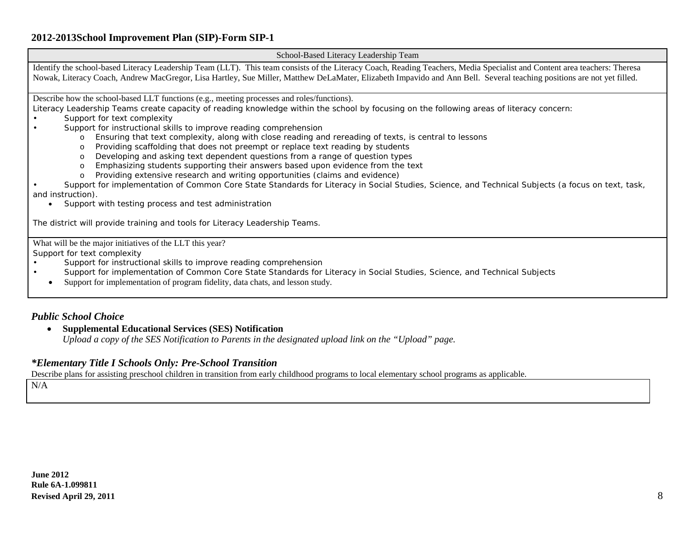School-Based Literacy Leadership Team

Identify the school-based Literacy Leadership Team (LLT). This team consists of the Literacy Coach, Reading Teachers, Media Specialist and Content area teachers: Theresa Nowak, Literacy Coach, Andrew MacGregor, Lisa Hartley, Sue Miller, Matthew DeLaMater, Elizabeth Impavido and Ann Bell. Several teaching positions are not yet filled.

Describe how the school-based LLT functions (e.g., meeting processes and roles/functions).

Literacy Leadership Teams create capacity of reading knowledge within the school by focusing on the following areas of literacy concern:

- Support for text complexity
- Support for instructional skills to improve reading comprehension
	- o Ensuring that text complexity, along with close reading and rereading of texts, is central to lessons
	- Providing scaffolding that does not preempt or replace text reading by students
	- o Developing and asking text dependent questions from a range of question types
	- o Emphasizing students supporting their answers based upon evidence from the text of Providing extensive research and writing opportunities (claims and evidence)
	- Providing extensive research and writing opportunities (claims and evidence)

• Support for implementation of Common Core State Standards for Literacy in Social Studies, Science, and Technical Subjects (a focus on text, task, and instruction).

• Support with testing process and test administration

The district will provide training and tools for Literacy Leadership Teams.

What will be the major initiatives of the LLT this year?

Support for text complexity

- Support for instructional skills to improve reading comprehension<br>Support for implementation of Common Core State Standards for
- Support for implementation of Common Core State Standards for Literacy in Social Studies, Science, and Technical Subjects
- Support for implementation of program fidelity, data chats, and lesson study.

#### *Public School Choice*

• **Supplemental Educational Services (SES) Notification**

*Upload a copy of the SES Notification to Parents in the designated upload link on the "Upload" page.*

#### *\*Elementary Title I Schools Only: Pre-School Transition*

Describe plans for assisting preschool children in transition from early childhood programs to local elementary school programs as applicable.

N/A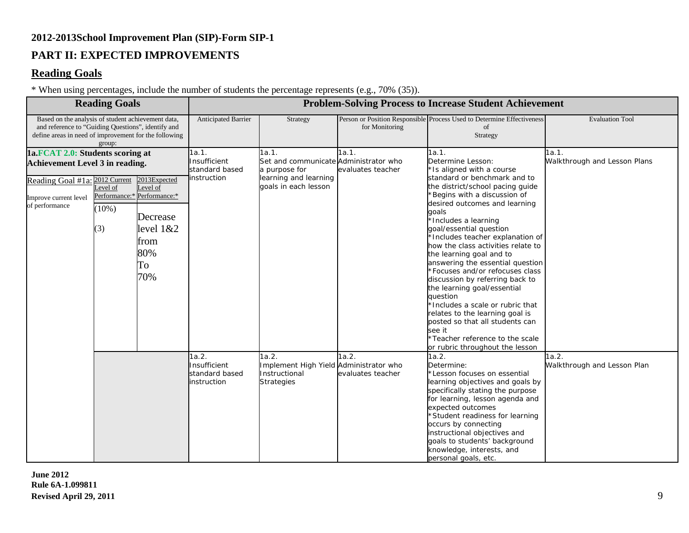### **PART II: EXPECTED IMPROVEMENTS**

### **Reading Goals**

\* When using percentages, include the number of students the percentage represents (e.g., 70% (35)).

|                                                                                                                                                                             | <b>Reading Goals</b>       |                                                                                                                 |                                                        | <b>Problem-Solving Process to Increase Student Achievement</b>                                                   |                            |                                                                                                                                                                                                                                                                                                                                                                                                                                                                                                                                                                                                                                                                                                               |                                       |  |  |
|-----------------------------------------------------------------------------------------------------------------------------------------------------------------------------|----------------------------|-----------------------------------------------------------------------------------------------------------------|--------------------------------------------------------|------------------------------------------------------------------------------------------------------------------|----------------------------|---------------------------------------------------------------------------------------------------------------------------------------------------------------------------------------------------------------------------------------------------------------------------------------------------------------------------------------------------------------------------------------------------------------------------------------------------------------------------------------------------------------------------------------------------------------------------------------------------------------------------------------------------------------------------------------------------------------|---------------------------------------|--|--|
| Based on the analysis of student achievement data,<br>and reference to "Guiding Questions", identify and<br>define areas in need of improvement for the following<br>group: |                            |                                                                                                                 | Anticipated Barrier                                    | Strategy                                                                                                         | for Monitoring             | Person or Position Responsible Process Used to Determine Effectiveness<br>of<br>Strategy                                                                                                                                                                                                                                                                                                                                                                                                                                                                                                                                                                                                                      | <b>Evaluation Tool</b>                |  |  |
| 1a.FCAT 2.0: Students scoring at<br><b>Achievement Level 3 in reading.</b><br>Reading Goal #1a: 2012 Current<br>Improve current level<br>of performance                     | evel of<br>$(10\%)$<br>(3) | 2013Expected<br>Level of<br>Performance:* Performance:*<br>Decrease<br>level $1&&2$<br>from<br>80%<br>To<br>70% | 1a.1.<br>Insufficient<br>standard based<br>instruction | 1a.1.<br>Set and communicate Administrator who<br>a purpose for<br>learning and learning<br>goals in each lesson | 1a.1.<br>evaluates teacher | 1a.1.<br>Determine Lesson:<br>*Is aligned with a course<br>standard or benchmark and to<br>the district/school pacing guide<br>*Begins with a discussion of<br>desired outcomes and learning<br>qoals<br>*Includes a learning<br>goal/essential question<br>*Includes teacher explanation of<br>how the class activities relate to<br>the learning goal and to<br>answering the essential question<br>*Focuses and/or refocuses class<br>discussion by referring back to<br>the learning goal/essential<br>question<br>*Includes a scale or rubric that<br>relates to the learning goal is<br>posted so that all students can<br>see it<br>*Teacher reference to the scale<br>or rubric throughout the lesson | 1a.1.<br>Walkthrough and Lesson Plans |  |  |
|                                                                                                                                                                             |                            |                                                                                                                 | 1a.2.<br>Insufficient<br>standard based<br>instruction | 1a.2.<br>Implement High Yield Administrator who<br>Instructional<br><b>Strategies</b>                            | 1a.2.<br>evaluates teacher | 1a.2.<br>Determine:<br>*Lesson focuses on essential<br>learning objectives and goals by<br>specifically stating the purpose<br>for learning, lesson agenda and<br>expected outcomes<br>*Student readiness for learning<br>occurs by connecting<br>instructional objectives and<br>goals to students' background<br>knowledge, interests, and<br>personal goals, etc.                                                                                                                                                                                                                                                                                                                                          | 1a.2.<br>Walkthrough and Lesson Plan  |  |  |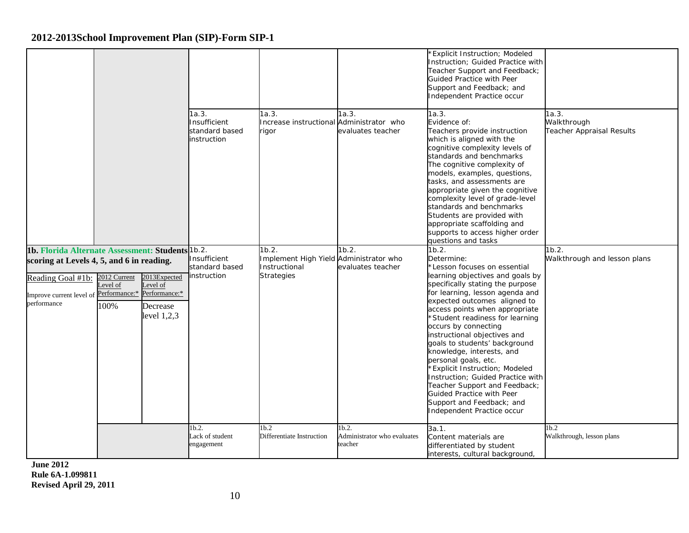|                                                                                                                                                               |                                                   |                                                                        |                                                        |                                                                                       |                                                            | <b>Explicit Instruction; Modeled</b><br>Instruction; Guided Practice with<br>Teacher Support and Feedback;<br>Guided Practice with Peer<br>Support and Feedback; and<br>Independent Practice occur                                                                                                                                                                                                                                                                                                                                                                                                                     |                                                   |
|---------------------------------------------------------------------------------------------------------------------------------------------------------------|---------------------------------------------------|------------------------------------------------------------------------|--------------------------------------------------------|---------------------------------------------------------------------------------------|------------------------------------------------------------|------------------------------------------------------------------------------------------------------------------------------------------------------------------------------------------------------------------------------------------------------------------------------------------------------------------------------------------------------------------------------------------------------------------------------------------------------------------------------------------------------------------------------------------------------------------------------------------------------------------------|---------------------------------------------------|
|                                                                                                                                                               |                                                   |                                                                        | 1a.3.<br>Insufficient<br>standard based<br>instruction | 1a.3.<br>Increase instructional Administrator who<br>rigor                            | 1a.3.<br>evaluates teacher                                 | 1a.3.<br>Evidence of:<br>Teachers provide instruction<br>which is aligned with the<br>cognitive complexity levels of<br>standards and benchmarks<br>The cognitive complexity of<br>models, examples, questions,<br>tasks, and assessments are<br>appropriate given the cognitive<br>complexity level of grade-level<br>standards and benchmarks<br>Students are provided with<br>appropriate scaffolding and<br>supports to access higher order<br>questions and tasks                                                                                                                                                 | 1a.3.<br>Walkthrough<br>Teacher Appraisal Results |
| 1b. Florida Alternate Assessment: Students 1b.2.<br>scoring at Levels 4, 5, and 6 in reading.<br>Reading Goal #1b:<br>Improve current level of<br>performance | 2012 Current<br>Level of<br>Performance:*<br>100% | 2013Expected<br>Level of<br>Performance:*<br>Decrease<br>level $1,2,3$ | Insufficient<br>standard based<br>instruction          | 1b.2.<br>Implement High Yield Administrator who<br>Instructional<br><b>Strategies</b> | 1b.2.<br>evaluates teacher                                 | 1b.2.<br>Determine:<br>Lesson focuses on essential<br>learning objectives and goals by<br>specifically stating the purpose<br>for learning, lesson agenda and<br>expected outcomes aligned to<br>access points when appropriate<br>'Student readiness for learning<br>occurs by connecting<br>instructional objectives and<br>goals to students' background<br>knowledge, interests, and<br>personal goals, etc.<br><b>Explicit Instruction; Modeled</b><br>Instruction; Guided Practice with<br>Teacher Support and Feedback;<br>Guided Practice with Peer<br>Support and Feedback; and<br>Independent Practice occur | 1b.2.<br>Walkthrough and lesson plans             |
|                                                                                                                                                               |                                                   |                                                                        | 1 <sub>b.2</sub><br>Lack of student<br>engagement      | 1 <sub>b.2</sub><br>Differentiate Instruction                                         | 1 <sub>b.2</sub><br>Administrator who evaluates<br>teacher | 3a.1.<br>Content materials are<br>differentiated by student<br>interests, cultural background,                                                                                                                                                                                                                                                                                                                                                                                                                                                                                                                         | 1 <sub>b.2</sub><br>Walkthrough, lesson plans     |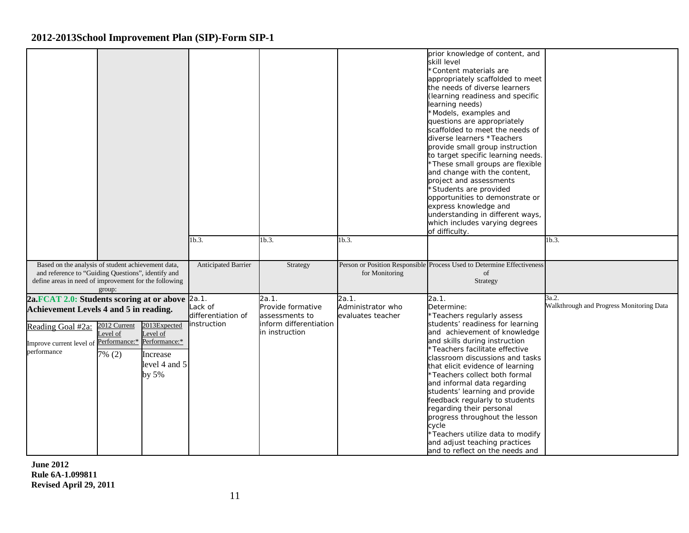|                                                                                                                                                                                       |                                    |                                                                |                                              |                                                                                          |                                                 | prior knowledge of content, and<br>skill level<br>*Content materials are<br>appropriately scaffolded to meet<br>the needs of diverse learners<br>(learning readiness and specific<br>learning needs)<br>*Models, examples and<br>questions are appropriately<br>scaffolded to meet the needs of<br>diverse learners *Teachers<br>provide small group instruction<br>to target specific learning needs.<br>*These small groups are flexible<br>and change with the content,<br>project and assessments<br>*Students are provided<br>opportunities to demonstrate or<br>express knowledge and<br>understanding in different ways,<br>which includes varying degrees<br>of difficulty. |                                                   |
|---------------------------------------------------------------------------------------------------------------------------------------------------------------------------------------|------------------------------------|----------------------------------------------------------------|----------------------------------------------|------------------------------------------------------------------------------------------|-------------------------------------------------|-------------------------------------------------------------------------------------------------------------------------------------------------------------------------------------------------------------------------------------------------------------------------------------------------------------------------------------------------------------------------------------------------------------------------------------------------------------------------------------------------------------------------------------------------------------------------------------------------------------------------------------------------------------------------------------|---------------------------------------------------|
|                                                                                                                                                                                       |                                    |                                                                | 1b.3.                                        | 1b.3.                                                                                    | 1b.3.                                           |                                                                                                                                                                                                                                                                                                                                                                                                                                                                                                                                                                                                                                                                                     | 1b.3.                                             |
| Based on the analysis of student achievement data,<br>and reference to "Guiding Questions", identify and<br>define areas in need of improvement for the following                     | group:                             |                                                                | <b>Anticipated Barrier</b>                   | Strategy                                                                                 | for Monitoring                                  | Person or Position Responsible Process Used to Determine Effectiveness<br>of<br>Strategy                                                                                                                                                                                                                                                                                                                                                                                                                                                                                                                                                                                            |                                                   |
| 2a.FCAT 2.0: Students scoring at or above 2a.1.<br>Achievement Levels 4 and 5 in reading.<br>Reading Goal #2a:<br>Improve current level of Performance:* Performance:*<br>performance | 2012 Current<br>Level of<br>7% (2) | 2013Expected<br>Level of<br>Increase<br>level 4 and 5<br>by 5% | Lack of<br>differentiation of<br>instruction | 2a.1.<br>Provide formative<br>assessments to<br>inform differentiation<br>in instruction | 2a.1.<br>Administrator who<br>evaluates teacher | 2a.1.<br>Determine:<br>*Teachers regularly assess<br>students' readiness for learning<br>and achievement of knowledge<br>and skills during instruction<br>Teachers facilitate effective<br>classroom discussions and tasks<br>that elicit evidence of learning<br><sup>*</sup> Teachers collect both formal<br>and informal data regarding<br>students' learning and provide<br>feedback regularly to students<br>regarding their personal<br>progress throughout the lesson<br>cycle<br>*Teachers utilize data to modify<br>and adjust teaching practices<br>and to reflect on the needs and                                                                                       | 3a.2.<br>Walkthrough and Progress Monitoring Data |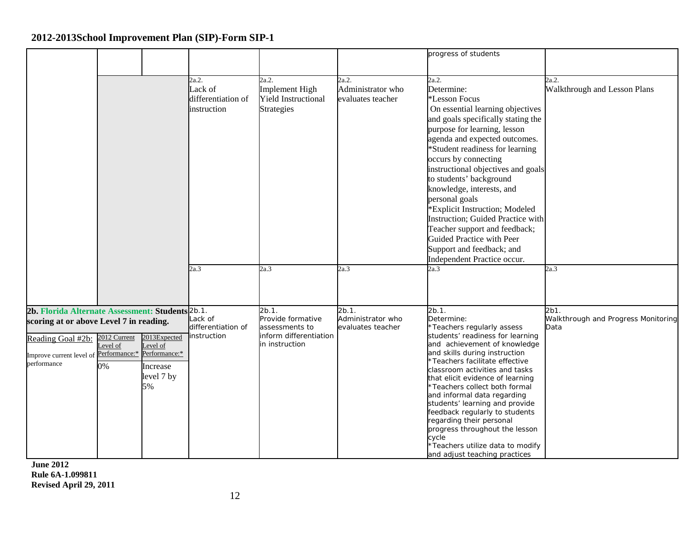|                                                                                                                                                                                         |                               |                                                          |                                                       |                                                                                          |                                                 | progress of students                                                                                                                                                                                                                                                                                                                                                                                                                                                                                                                                        |                                                     |
|-----------------------------------------------------------------------------------------------------------------------------------------------------------------------------------------|-------------------------------|----------------------------------------------------------|-------------------------------------------------------|------------------------------------------------------------------------------------------|-------------------------------------------------|-------------------------------------------------------------------------------------------------------------------------------------------------------------------------------------------------------------------------------------------------------------------------------------------------------------------------------------------------------------------------------------------------------------------------------------------------------------------------------------------------------------------------------------------------------------|-----------------------------------------------------|
|                                                                                                                                                                                         |                               |                                                          | 2a.2.<br>Lack of<br>differentiation of<br>instruction | 2a.2.<br>Implement High<br><b>Yield Instructional</b><br><b>Strategies</b>               | 2a.2.<br>Administrator who<br>evaluates teacher | 2a.2.<br>Determine:<br>*Lesson Focus<br>On essential learning objectives<br>and goals specifically stating the<br>purpose for learning, lesson<br>agenda and expected outcomes.<br>*Student readiness for learning<br>occurs by connecting<br>instructional objectives and goals<br>to students' background<br>knowledge, interests, and<br>personal goals<br>*Explicit Instruction; Modeled<br>Instruction; Guided Practice with<br>Teacher support and feedback;<br>Guided Practice with Peer<br>Support and feedback; and<br>Independent Practice occur. | 2a.2.<br>Walkthrough and Lesson Plans               |
|                                                                                                                                                                                         |                               |                                                          | 2a.3                                                  | 2a.3                                                                                     | 2a.3                                            | 2a.3                                                                                                                                                                                                                                                                                                                                                                                                                                                                                                                                                        | 2a.3                                                |
| 2b. Florida Alternate Assessment: Students 2b.1.<br>scoring at or above Level 7 in reading.<br>Reading Goal #2b:<br>Improve current level of Performance:* Performance:*<br>performance | 2012 Current<br>evel of<br>0% | 2013Expected<br>Level of<br>Increase<br>level 7 by<br>5% | Lack of<br>differentiation of<br>instruction          | 2b.1.<br>Provide formative<br>assessments to<br>inform differentiation<br>in instruction | 2b.1.<br>Administrator who<br>evaluates teacher | $2b.1$ .<br>Determine:<br>*Teachers regularly assess<br>students' readiness for learning<br>and achievement of knowledge<br>and skills during instruction<br>*Teachers facilitate effective<br>classroom activities and tasks<br>that elicit evidence of learning<br>*Teachers collect both formal<br>and informal data regarding<br>students' learning and provide<br>feedback regularly to students<br>regarding their personal<br>progress throughout the lesson<br>cycle<br>*Teachers utilize data to modify<br>and adjust teaching practices           | 2b1.<br>Walkthrough and Progress Monitoring<br>Data |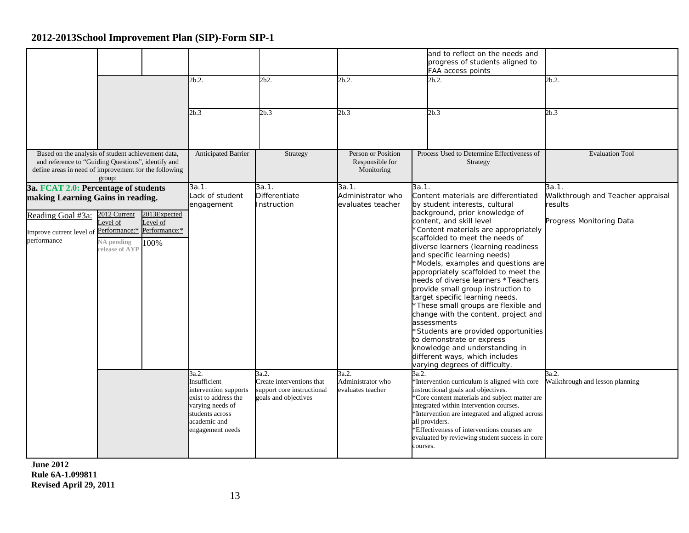|                                                                                                                                                                   |                                                                          |                                                   | 2b.2.<br>2b.3                                                                                                                                     | 2b2.<br>2b.3                                                                             | 2b.2.<br>2b.3                                       | and to reflect on the needs and<br>progress of students aligned to<br>FAA access points<br>2b.2.<br>2b.3                                                                                                                                                                                                                                                                                                                                                                                                                                                                                                                                                                                                                                                                  | 2b.2.<br>2b.3                                                                     |
|-------------------------------------------------------------------------------------------------------------------------------------------------------------------|--------------------------------------------------------------------------|---------------------------------------------------|---------------------------------------------------------------------------------------------------------------------------------------------------|------------------------------------------------------------------------------------------|-----------------------------------------------------|---------------------------------------------------------------------------------------------------------------------------------------------------------------------------------------------------------------------------------------------------------------------------------------------------------------------------------------------------------------------------------------------------------------------------------------------------------------------------------------------------------------------------------------------------------------------------------------------------------------------------------------------------------------------------------------------------------------------------------------------------------------------------|-----------------------------------------------------------------------------------|
| Based on the analysis of student achievement data,<br>and reference to "Guiding Questions", identify and<br>define areas in need of improvement for the following | group:                                                                   |                                                   | <b>Anticipated Barrier</b>                                                                                                                        | Strategy                                                                                 | Person or Position<br>Responsible for<br>Monitoring | Process Used to Determine Effectiveness of<br>Strategy                                                                                                                                                                                                                                                                                                                                                                                                                                                                                                                                                                                                                                                                                                                    | <b>Evaluation Tool</b>                                                            |
| 3a. FCAT 2.0: Percentage of students<br>making Learning Gains in reading.<br>Reading Goal #3a:<br>Improve current level of<br>performance                         | 2012 Current<br>evel of<br>Performance:*<br>NA pending<br>release of AYI | 2013Expected<br>Level of<br>Performance:*<br>100% | 3a.1.<br>Lack of student<br>engagement                                                                                                            | 3a.1.<br>Differentiate<br>Instruction                                                    | 3a.1.<br>Administrator who<br>evaluates teacher     | 3a.1.<br>Content materials are differentiated<br>by student interests, cultural<br>background, prior knowledge of<br>content, and skill level<br>*Content materials are appropriately<br>scaffolded to meet the needs of<br>diverse learners (learning readiness<br>and specific learning needs)<br>*Models, examples and questions are<br>appropriately scaffolded to meet the<br>needs of diverse learners *Teachers<br>provide small group instruction to<br>target specific learning needs.<br>*These small groups are flexible and<br>change with the content, project and<br>assessments<br>*Students are provided opportunities<br>to demonstrate or express<br>knowledge and understanding in<br>different ways, which includes<br>varying degrees of difficulty. | 3a.1.<br>Walkthrough and Teacher appraisal<br>results<br>Progress Monitoring Data |
|                                                                                                                                                                   |                                                                          |                                                   | 3a.2.<br>Insufficient<br>intervention supports<br>exist to address the<br>varying needs of<br>students across<br>academic and<br>engagement needs | 3a.2.<br>Create interventions that<br>support core instructional<br>goals and objectives | 3a.2.<br>Administrator who<br>evaluates teacher     | 3a.2.<br>*Intervention curriculum is aligned with core<br>instructional goals and objectives.<br>*Core content materials and subject matter are<br>integrated within intervention courses.<br>*Intervention are integrated and aligned across<br>all providers.<br>*Effectiveness of interventions courses are<br>evaluated by reviewing student success in core<br>courses.                                                                                                                                                                                                                                                                                                                                                                                              | 3a.2.<br>Walkthrough and lesson planning                                          |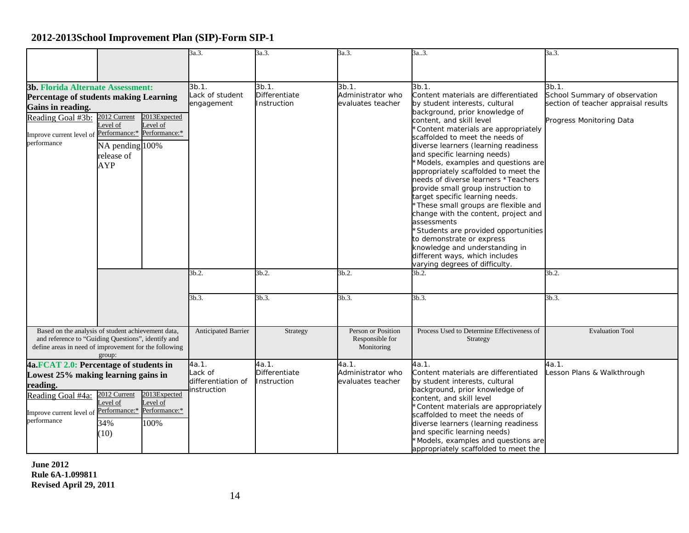|                                                                                                                                                                                                                                                                                                            |                                                         |                                                  | 3a.3.                                                 | 3a.3.                                           | 3a.3.                                                                                                                                                                                                                                                                                                                                                                                                                                                                                                                                                                                                                                                                                                                                                                     | 3a3.                                                                                                                                                                                                                                                                                                                                                                            | 3a.3.                               |
|------------------------------------------------------------------------------------------------------------------------------------------------------------------------------------------------------------------------------------------------------------------------------------------------------------|---------------------------------------------------------|--------------------------------------------------|-------------------------------------------------------|-------------------------------------------------|---------------------------------------------------------------------------------------------------------------------------------------------------------------------------------------------------------------------------------------------------------------------------------------------------------------------------------------------------------------------------------------------------------------------------------------------------------------------------------------------------------------------------------------------------------------------------------------------------------------------------------------------------------------------------------------------------------------------------------------------------------------------------|---------------------------------------------------------------------------------------------------------------------------------------------------------------------------------------------------------------------------------------------------------------------------------------------------------------------------------------------------------------------------------|-------------------------------------|
|                                                                                                                                                                                                                                                                                                            |                                                         |                                                  |                                                       |                                                 |                                                                                                                                                                                                                                                                                                                                                                                                                                                                                                                                                                                                                                                                                                                                                                           |                                                                                                                                                                                                                                                                                                                                                                                 |                                     |
| <b>3b. Florida Alternate Assessment:</b><br>Percentage of students making Learning<br>Gains in reading.<br>2013Expected<br>2012 Current<br>Reading Goal #3b:<br>Level of<br>Level of<br>Improve current level of Performance:* Performance:*<br>performance<br>NA pending 100%<br>release of<br><b>AYP</b> |                                                         | 3b.1.<br>Lack of student<br>engagement           | 3b.1.<br>Differentiate<br>Instruction                 | 3b.1.<br>Administrator who<br>evaluates teacher | 3b.1.<br>Content materials are differentiated<br>by student interests, cultural<br>background, prior knowledge of<br>content, and skill level<br>*Content materials are appropriately<br>scaffolded to meet the needs of<br>diverse learners (learning readiness<br>and specific learning needs)<br>*Models, examples and questions are<br>appropriately scaffolded to meet the<br>needs of diverse learners *Teachers<br>provide small group instruction to<br>target specific learning needs.<br>*These small groups are flexible and<br>change with the content, project and<br>assessments<br>*Students are provided opportunities<br>to demonstrate or express<br>knowledge and understanding in<br>different ways, which includes<br>varying degrees of difficulty. | 3b.1.<br>School Summary of observation<br>section of teacher appraisal results<br>Progress Monitoring Data                                                                                                                                                                                                                                                                      |                                     |
|                                                                                                                                                                                                                                                                                                            |                                                         |                                                  | 3b.2.                                                 | 3b.2.                                           | 3b.2.                                                                                                                                                                                                                                                                                                                                                                                                                                                                                                                                                                                                                                                                                                                                                                     | 3b.2.                                                                                                                                                                                                                                                                                                                                                                           | 3b.2.                               |
|                                                                                                                                                                                                                                                                                                            |                                                         |                                                  | 3b.3.                                                 | 3b.3.                                           | 3b.3.                                                                                                                                                                                                                                                                                                                                                                                                                                                                                                                                                                                                                                                                                                                                                                     | 3b.3.                                                                                                                                                                                                                                                                                                                                                                           | 3b.3.                               |
| Based on the analysis of student achievement data,<br>and reference to "Guiding Questions", identify and<br>define areas in need of improvement for the following                                                                                                                                          | group:                                                  |                                                  | Anticipated Barrier                                   | Strategy                                        | Person or Position<br>Responsible for<br>Monitoring                                                                                                                                                                                                                                                                                                                                                                                                                                                                                                                                                                                                                                                                                                                       | Process Used to Determine Effectiveness of<br>Strategy                                                                                                                                                                                                                                                                                                                          | <b>Evaluation Tool</b>              |
| 4a.FCAT 2.0: Percentage of students in<br>Lowest 25% making learning gains in<br>reading.<br>Reading Goal #4a:<br>Improve current level of<br>performance                                                                                                                                                  | 2012 Current<br>evel of<br>Performance:*<br>34%<br>(10) | 2013Expected<br>evel of<br>Performance:*<br>100% | 4a.1.<br>Lack of<br>differentiation of<br>instruction | 4a.1.<br>Differentiate<br>Instruction           | 4a.1.<br>Administrator who<br>evaluates teacher                                                                                                                                                                                                                                                                                                                                                                                                                                                                                                                                                                                                                                                                                                                           | 4a.1.<br>Content materials are differentiated<br>by student interests, cultural<br>background, prior knowledge of<br>content, and skill level<br>*Content materials are appropriately<br>scaffolded to meet the needs of<br>diverse learners (learning readiness<br>and specific learning needs)<br>*Models, examples and questions are<br>appropriately scaffolded to meet the | 4a.1.<br>Lesson Plans & Walkthrough |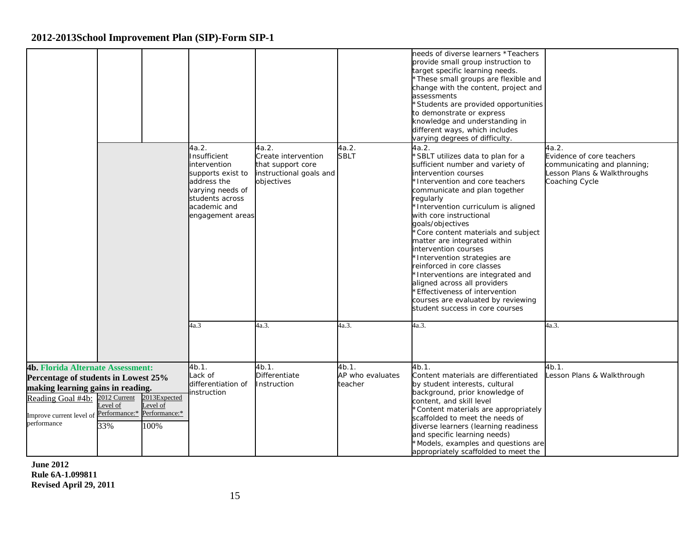|                                                                                                                                                                                                     |                                 |                                                   |                                                                                                                                                      |                                                                                            |                                         | needs of diverse learners *Teachers<br>provide small group instruction to<br>target specific learning needs.<br>*These small groups are flexible and<br>change with the content, project and<br>assessments<br>*Students are provided opportunities<br>to demonstrate or express<br>knowledge and understanding in<br>different ways, which includes<br>varying degrees of difficulty.                                                                                                                                                                                                                                     |                                                                                                                    |
|-----------------------------------------------------------------------------------------------------------------------------------------------------------------------------------------------------|---------------------------------|---------------------------------------------------|------------------------------------------------------------------------------------------------------------------------------------------------------|--------------------------------------------------------------------------------------------|-----------------------------------------|----------------------------------------------------------------------------------------------------------------------------------------------------------------------------------------------------------------------------------------------------------------------------------------------------------------------------------------------------------------------------------------------------------------------------------------------------------------------------------------------------------------------------------------------------------------------------------------------------------------------------|--------------------------------------------------------------------------------------------------------------------|
|                                                                                                                                                                                                     |                                 |                                                   | 4a.2.<br>Insufficient<br>intervention<br>supports exist to<br>address the<br>varying needs of<br>students across<br>academic and<br>engagement areas | 4a.2.<br>Create intervention<br>that support core<br>instructional goals and<br>objectives | 4a.2.<br><b>SBLT</b>                    | 4a.2.<br>*SBLT utilizes data to plan for a<br>sufficient number and variety of<br>intervention courses<br>*Intervention and core teachers<br>communicate and plan together<br>regularly<br>*Intervention curriculum is aligned<br>with core instructional<br>goals/objectives<br>*Core content materials and subject<br>matter are integrated within<br>intervention courses<br>*Intervention strategies are<br>reinforced in core classes<br>*Interventions are integrated and<br>aligned across all providers<br>*Effectiveness of intervention<br>courses are evaluated by reviewing<br>student success in core courses | 4a.2.<br>Evidence of core teachers<br>communicating and planning;<br>Lesson Plans & Walkthroughs<br>Coaching Cycle |
|                                                                                                                                                                                                     |                                 |                                                   | 4a.3                                                                                                                                                 | 4a.3.                                                                                      | 4a.3.                                   | 4a.3.                                                                                                                                                                                                                                                                                                                                                                                                                                                                                                                                                                                                                      | 4a.3.                                                                                                              |
| <b>4b. Florida Alternate Assessment:</b><br>Percentage of students in Lowest 25%<br>making learning gains in reading.<br>Reading Goal #4b:<br>Improve current level of Performance:*<br>performance | 2012 Current<br>Level of<br>33% | 2013Expected<br>Level of<br>Performance:*<br>100% | 4b.1.<br>Lack of<br>differentiation of<br>nstruction                                                                                                 | 4b.1.<br>Differentiate<br>Instruction                                                      | $4b.1$ .<br>AP who evaluates<br>teacher | $4b.1$ .<br>Content materials are differentiated<br>by student interests, cultural<br>background, prior knowledge of<br>content, and skill level<br>*Content materials are appropriately<br>scaffolded to meet the needs of<br>diverse learners (learning readiness<br>and specific learning needs)<br>*Models, examples and questions are<br>appropriately scaffolded to meet the                                                                                                                                                                                                                                         | 4b.1.<br>Lesson Plans & Walkthrough                                                                                |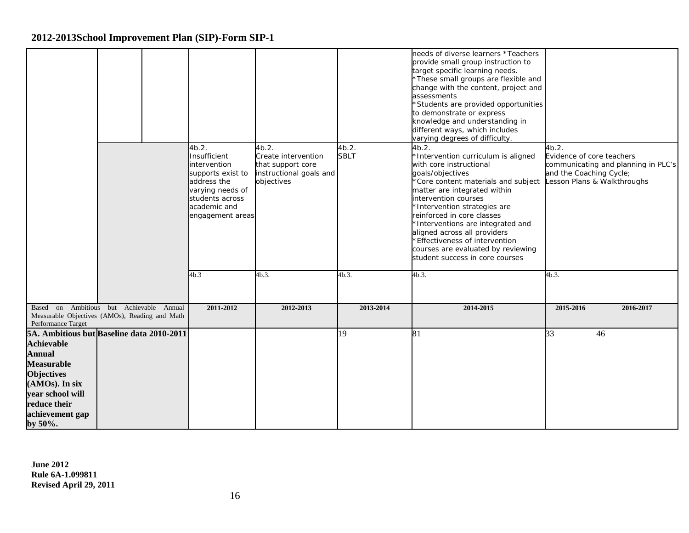|                                                                                                                                                                                                            | 4b.2.<br>Insufficient<br>intervention<br>supports exist to<br>address the<br>varying needs of<br>students across<br>academic and<br>engagement areas | 4b.2.<br>Create intervention<br>that support core<br>instructional goals and<br>objectives | 4b.2.<br><b>SBLT</b> | needs of diverse learners *Teachers<br>provide small group instruction to<br>target specific learning needs.<br>*These small groups are flexible and<br>change with the content, project and<br>assessments<br>*Students are provided opportunities<br>to demonstrate or express<br>knowledge and understanding in<br>different ways, which includes<br>varying degrees of difficulty.<br>4b.2.<br>*Intervention curriculum is aligned<br>with core instructional<br>goals/objectives<br>*Core content materials and subject<br>matter are integrated within<br>intervention courses<br>*Intervention strategies are<br>reinforced in core classes<br>*Interventions are integrated and<br>aligned across all providers<br>*Effectiveness of intervention<br>courses are evaluated by reviewing<br>student success in core courses | 4b.2.<br>Evidence of core teachers<br>and the Coaching Cycle; | communicating and planning in PLC's<br>Lesson Plans & Walkthroughs |
|------------------------------------------------------------------------------------------------------------------------------------------------------------------------------------------------------------|------------------------------------------------------------------------------------------------------------------------------------------------------|--------------------------------------------------------------------------------------------|----------------------|------------------------------------------------------------------------------------------------------------------------------------------------------------------------------------------------------------------------------------------------------------------------------------------------------------------------------------------------------------------------------------------------------------------------------------------------------------------------------------------------------------------------------------------------------------------------------------------------------------------------------------------------------------------------------------------------------------------------------------------------------------------------------------------------------------------------------------|---------------------------------------------------------------|--------------------------------------------------------------------|
|                                                                                                                                                                                                            | 4b.3                                                                                                                                                 | 4b.3.                                                                                      | 4b.3                 | 4b.3                                                                                                                                                                                                                                                                                                                                                                                                                                                                                                                                                                                                                                                                                                                                                                                                                               | 4b.3                                                          |                                                                    |
| Based on Ambitious but Achievable Annual<br>Measurable Objectives (AMOs), Reading and Math<br>Performance Target                                                                                           | 2011-2012                                                                                                                                            | 2012-2013                                                                                  | 2013-2014            | 2014-2015                                                                                                                                                                                                                                                                                                                                                                                                                                                                                                                                                                                                                                                                                                                                                                                                                          | 2015-2016                                                     | 2016-2017                                                          |
| 5A. Ambitious but Baseline data 2010-2011<br><b>Achievable</b><br>Annual<br><b>Measurable</b><br><b>Objectives</b><br>(AMOs). In six<br>year school will<br>reduce their<br>achievement gap<br>by $50\%$ . |                                                                                                                                                      |                                                                                            | 19                   | 81                                                                                                                                                                                                                                                                                                                                                                                                                                                                                                                                                                                                                                                                                                                                                                                                                                 | 33                                                            | 46                                                                 |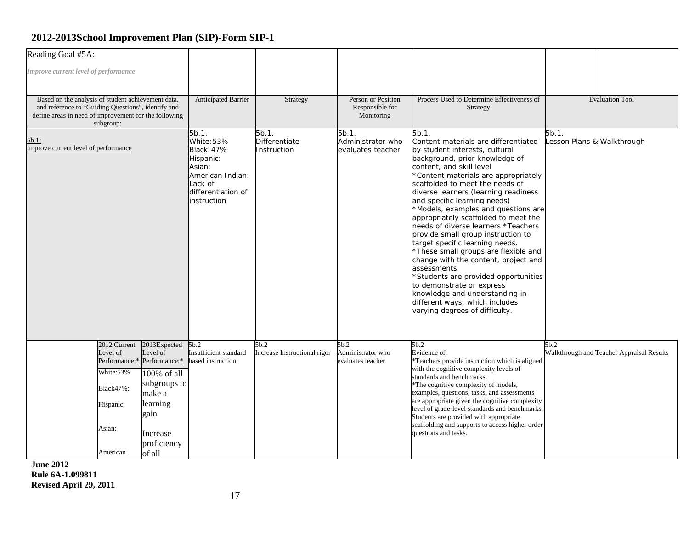| Reading Goal #5A:                                                                                                                                                              |                                                                                                                             |                                                                                                                   |                                                                                                                              |                                                     |                                                        |                                                                                                                                                                                                                                                                                                                                                                                                                                                                                                                                                                                                                                                                                                                                                                           |                                                   |
|--------------------------------------------------------------------------------------------------------------------------------------------------------------------------------|-----------------------------------------------------------------------------------------------------------------------------|-------------------------------------------------------------------------------------------------------------------|------------------------------------------------------------------------------------------------------------------------------|-----------------------------------------------------|--------------------------------------------------------|---------------------------------------------------------------------------------------------------------------------------------------------------------------------------------------------------------------------------------------------------------------------------------------------------------------------------------------------------------------------------------------------------------------------------------------------------------------------------------------------------------------------------------------------------------------------------------------------------------------------------------------------------------------------------------------------------------------------------------------------------------------------------|---------------------------------------------------|
| Improve current level of performance                                                                                                                                           |                                                                                                                             |                                                                                                                   |                                                                                                                              |                                                     |                                                        |                                                                                                                                                                                                                                                                                                                                                                                                                                                                                                                                                                                                                                                                                                                                                                           |                                                   |
| Based on the analysis of student achievement data,<br>and reference to "Guiding Questions", identify and<br>define areas in need of improvement for the following<br>subgroup: |                                                                                                                             | Anticipated Barrier                                                                                               | Strategy                                                                                                                     | Person or Position<br>Responsible for<br>Monitoring | Process Used to Determine Effectiveness of<br>Strategy | <b>Evaluation Tool</b>                                                                                                                                                                                                                                                                                                                                                                                                                                                                                                                                                                                                                                                                                                                                                    |                                                   |
| 5b.1:<br>Improve current level of performance                                                                                                                                  |                                                                                                                             |                                                                                                                   | 5b.1.<br>White: 53%<br>Black: 47%<br>Hispanic:<br>Asian:<br>American Indian:<br>Lack of<br>differentiation of<br>instruction | 5b.1.<br><b>Differentiate</b><br>Instruction        | 5b.1.<br>Administrator who<br>evaluates teacher        | 5b.1.<br>Content materials are differentiated<br>by student interests, cultural<br>background, prior knowledge of<br>content, and skill level<br>*Content materials are appropriately<br>scaffolded to meet the needs of<br>diverse learners (learning readiness<br>and specific learning needs)<br>*Models, examples and questions are<br>appropriately scaffolded to meet the<br>needs of diverse learners *Teachers<br>provide small group instruction to<br>target specific learning needs.<br>*These small groups are flexible and<br>change with the content, project and<br>assessments<br>'Students are provided opportunities<br>to demonstrate or express<br>knowledge and understanding in<br>different ways, which includes<br>varying degrees of difficulty. | 5b.1.<br>Lesson Plans & Walkthrough               |
|                                                                                                                                                                                | 2012 Current<br>evel of<br>Performance:* Performance:*<br>White:53%<br>Black47%:<br>Hispanic:<br>gain<br>Asian:<br>American | 2013Expected<br>evel of<br>100% of all<br>subgroups to<br>make a<br>learning<br>Increase<br>proficiency<br>of all | 5b.2<br>Insufficient standard<br>based instruction                                                                           | 5b.2<br>Increase Instructional rigor                | 5b.2<br>Administrator who<br>evaluates teacher         | 5b.2<br>Evidence of:<br>Teachers provide instruction which is aligned<br>with the cognitive complexity levels of<br>standards and benchmarks.<br><sup>*</sup> The cognitive complexity of models,<br>examples, questions, tasks, and assessments<br>are appropriate given the cognitive complexity<br>level of grade-level standards and benchmarks.<br>Students are provided with appropriate<br>scaffolding and supports to access higher order<br>questions and tasks.                                                                                                                                                                                                                                                                                                 | 5b.2<br>Walkthrough and Teacher Appraisal Results |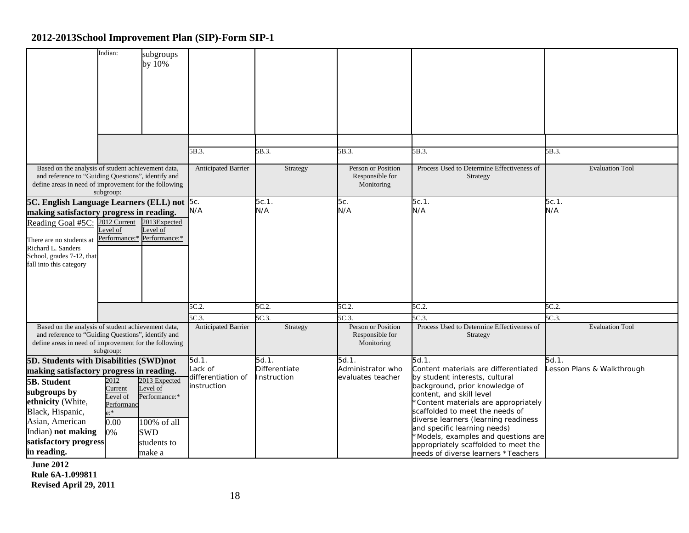|                                                                                                                                                                   | Indian:                                         | subgroups<br>by 10%                                              |                              |                              |                                                     |                                                                                                                                                                               |                            |
|-------------------------------------------------------------------------------------------------------------------------------------------------------------------|-------------------------------------------------|------------------------------------------------------------------|------------------------------|------------------------------|-----------------------------------------------------|-------------------------------------------------------------------------------------------------------------------------------------------------------------------------------|----------------------------|
|                                                                                                                                                                   |                                                 |                                                                  |                              |                              |                                                     |                                                                                                                                                                               |                            |
|                                                                                                                                                                   |                                                 |                                                                  | 5B.3.                        | 5B.3.                        | 5B.3.                                               | 5B.3.                                                                                                                                                                         | 5B.3.                      |
| Based on the analysis of student achievement data,<br>and reference to "Guiding Questions", identify and<br>define areas in need of improvement for the following | subgroup:                                       |                                                                  | Anticipated Barrier          | Strategy                     | Person or Position<br>Responsible for<br>Monitoring | Process Used to Determine Effectiveness of<br><b>Strategy</b>                                                                                                                 | <b>Evaluation Tool</b>     |
| 5C. English Language Learners (ELL) not 5c.                                                                                                                       |                                                 |                                                                  |                              | $5c.1$ .                     | 5с.                                                 | 5c.1.                                                                                                                                                                         | 5c.1.                      |
| making satisfactory progress in reading.<br>Reading Goal #5C:                                                                                                     | 2012 Current<br>Level of                        | 2013Expected<br>$\text{level of}$<br>Performance:* Performance:* | N/A                          | N/A                          | N/A                                                 | N/A                                                                                                                                                                           | N/A                        |
| There are no students at<br>Richard L. Sanders<br>School, grades 7-12, that<br>fall into this category                                                            |                                                 |                                                                  |                              |                              |                                                     |                                                                                                                                                                               |                            |
|                                                                                                                                                                   |                                                 |                                                                  | 5C.2.                        | 5C.2.                        | 5C.2.                                               | 5C.2.                                                                                                                                                                         | 5C.2                       |
|                                                                                                                                                                   |                                                 |                                                                  | 5C.3.                        | 5C.3.                        | 5C.3                                                | 5C.3                                                                                                                                                                          | 5C.3                       |
| Based on the analysis of student achievement data,<br>and reference to "Guiding Questions", identify and<br>define areas in need of improvement for the following | subgroup:                                       |                                                                  | <b>Anticipated Barrier</b>   | Strategy                     | Person or Position<br>Responsible for<br>Monitoring | Process Used to Determine Effectiveness of<br>Strategy                                                                                                                        | <b>Evaluation Tool</b>     |
| 5D. Students with Disabilities (SWD)not                                                                                                                           |                                                 |                                                                  | 5d.1.                        | 5d.1.                        | 5d.1.                                               | 5d.1.                                                                                                                                                                         | 5d.1.                      |
| making satisfactory progress in reading.<br><b>5B.</b> Student                                                                                                    | 2012                                            | 2013 Expected                                                    | ack of<br>differentiation of | Differentiate<br>Instruction | Administrator who<br>evaluates teacher              | Content materials are differentiated<br>by student interests, cultural                                                                                                        | Lesson Plans & Walkthrough |
| subgroups by<br>ethnicity (White,<br>Black, Hispanic,<br>Asian, American                                                                                          | Current<br>evel of<br>Performanc<br>):*<br>0.00 | evel of<br>Performance:*<br>100% of all                          | instruction                  |                              |                                                     | background, prior knowledge of<br>content, and skill level<br>*Content materials are appropriately<br>scaffolded to meet the needs of<br>diverse learners (learning readiness |                            |
| Indian) not making<br>satisfactory progress                                                                                                                       | 0%                                              | <b>SWD</b>                                                       |                              |                              |                                                     | and specific learning needs)<br>*Models, examples and questions are                                                                                                           |                            |
| in reading.                                                                                                                                                       |                                                 | students to<br>make a                                            |                              |                              |                                                     | appropriately scaffolded to meet the<br>needs of diverse learners *Teachers                                                                                                   |                            |
|                                                                                                                                                                   |                                                 |                                                                  |                              |                              |                                                     |                                                                                                                                                                               |                            |

**June 2012**

**Rule 6A-1.099811 Revised April 29, 2011**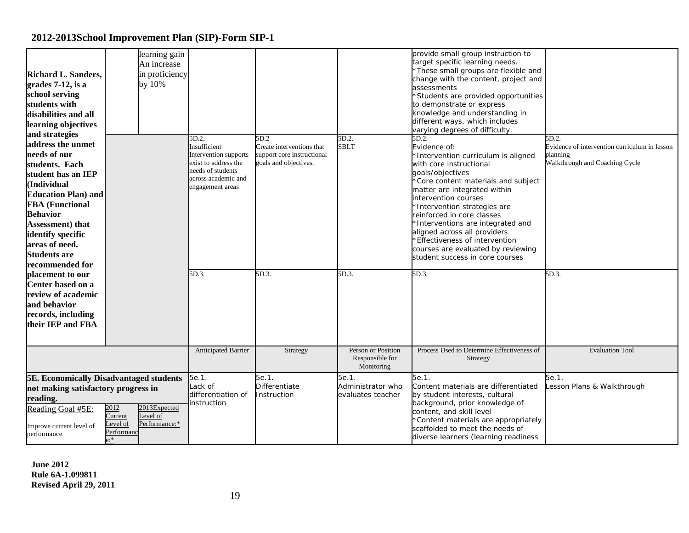| <b>Richard L. Sanders,</b><br>grades 7-12, is a<br>school serving<br>students with<br>disabilities and all<br>learning objectives<br>and strategies<br>address the unmet<br>needs of our<br>students. Each<br>student has an IEP<br>(Individual<br><b>Education Plan) and</b><br><b>FBA</b> (Functional<br><b>Behavior</b><br><b>Assessment</b> ) that<br>identify specific<br>areas of need.<br><b>Students are</b><br>recommended for | learning gain<br>An increase<br>in proficiency<br>by 10%                                          | 5D.2.<br>Insufficient<br>Intervention supports<br>exist to address the<br>needs of students<br>across academic and<br>engagement areas | 5D.2<br>Create interventions that<br>support core instructional<br>goals and objectives. | 5D.2.<br><b>SBLT</b>                                | provide small group instruction to<br>target specific learning needs.<br>These small groups are flexible and<br>change with the content, project and<br>assessments<br>Students are provided opportunities<br>to demonstrate or express<br>knowledge and understanding in<br>different ways, which includes<br>varying degrees of difficulty.<br>5D.2.<br>Evidence of:<br>*Intervention curriculum is aligned<br>with core instructional<br>goals/objectives<br>Core content materials and subject<br>matter are integrated within<br>intervention courses<br>Intervention strategies are<br>reinforced in core classes<br>Interventions are integrated and<br>aligned across all providers<br><b>Effectiveness of intervention</b><br>courses are evaluated by reviewing<br>student success in core courses | 5D.2.<br>Evidence of intervention curriculum in lesson<br>planning<br>Walkthrough and Coaching Cycle |
|-----------------------------------------------------------------------------------------------------------------------------------------------------------------------------------------------------------------------------------------------------------------------------------------------------------------------------------------------------------------------------------------------------------------------------------------|---------------------------------------------------------------------------------------------------|----------------------------------------------------------------------------------------------------------------------------------------|------------------------------------------------------------------------------------------|-----------------------------------------------------|--------------------------------------------------------------------------------------------------------------------------------------------------------------------------------------------------------------------------------------------------------------------------------------------------------------------------------------------------------------------------------------------------------------------------------------------------------------------------------------------------------------------------------------------------------------------------------------------------------------------------------------------------------------------------------------------------------------------------------------------------------------------------------------------------------------|------------------------------------------------------------------------------------------------------|
| placement to our<br>Center based on a<br>review of academic<br>and behavior<br>records, including<br>their IEP and FBA                                                                                                                                                                                                                                                                                                                  |                                                                                                   | 5D.3.                                                                                                                                  | 5D.3.                                                                                    | 5D.3.                                               | 5D.3.                                                                                                                                                                                                                                                                                                                                                                                                                                                                                                                                                                                                                                                                                                                                                                                                        | 5D.3.                                                                                                |
|                                                                                                                                                                                                                                                                                                                                                                                                                                         |                                                                                                   | Anticipated Barrier                                                                                                                    | Strategy                                                                                 | Person or Position<br>Responsible for<br>Monitoring | Process Used to Determine Effectiveness of<br>Strategy                                                                                                                                                                                                                                                                                                                                                                                                                                                                                                                                                                                                                                                                                                                                                       | <b>Evaluation Tool</b>                                                                               |
| <b>5E. Economically Disadvantaged students</b><br>not making satisfactory progress in<br>reading.<br>Reading Goal #5E:<br>Improve current level of<br>performance                                                                                                                                                                                                                                                                       | 2012<br>2013Expected<br>Level of<br>Current<br>Performance:*<br>evel of<br>Performanc<br>$e^{.*}$ | 5e.1.<br>Lack of<br>differentiation of<br>instruction                                                                                  | 5e.1.<br><b>Differentiate</b><br>Instruction                                             | 5e.1.<br>Administrator who<br>evaluates teacher     | 5e.1.<br>Content materials are differentiated<br>by student interests, cultural<br>background, prior knowledge of<br>content, and skill level<br>Content materials are appropriately<br>scaffolded to meet the needs of<br>diverse learners (learning readiness                                                                                                                                                                                                                                                                                                                                                                                                                                                                                                                                              | 5e.1.<br>Lesson Plans & Walkthrough                                                                  |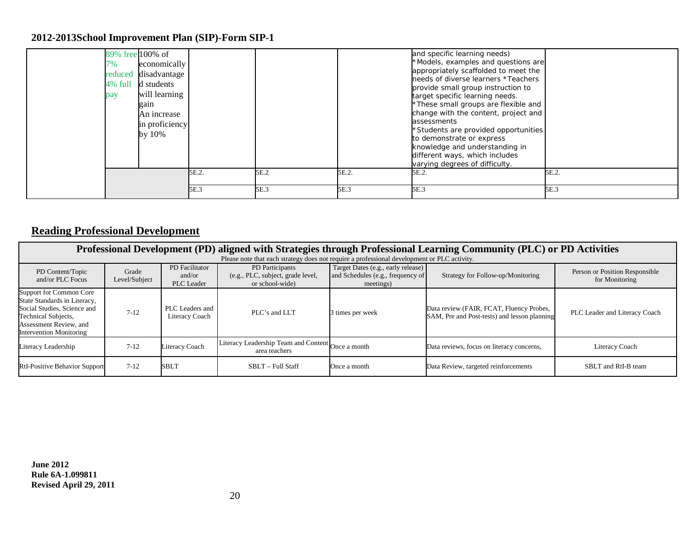| 7%<br>reduced<br>4% full<br>pay | 89% free 100% of<br>economically<br>disadvantage<br>d students<br>will learning<br>gain<br>An increase<br>in proficiency<br>by 10% |       |      |       | and specific learning needs)<br>*Models, examples and questions are<br>appropriately scaffolded to meet the<br>needs of diverse learners *Teachers<br>provide small group instruction to<br>target specific learning needs.<br>*These small groups are flexible and<br>change with the content, project and<br>assessments<br>*Students are provided opportunities<br>to demonstrate or express<br>knowledge and understanding in<br>different ways, which includes<br>varying degrees of difficulty. |       |
|---------------------------------|------------------------------------------------------------------------------------------------------------------------------------|-------|------|-------|-------------------------------------------------------------------------------------------------------------------------------------------------------------------------------------------------------------------------------------------------------------------------------------------------------------------------------------------------------------------------------------------------------------------------------------------------------------------------------------------------------|-------|
|                                 |                                                                                                                                    | 5E.2. | 5E.2 | 5E.2. | 5E.2.                                                                                                                                                                                                                                                                                                                                                                                                                                                                                                 | 5E.2. |
|                                 |                                                                                                                                    | 5E.3  | 5E.3 | 5E.3  | 5E.3                                                                                                                                                                                                                                                                                                                                                                                                                                                                                                  | 5E.3  |

### **Reading Professional Development**

|                                                                                                                                                                                  | Professional Development (PD) aligned with Strategies through Professional Learning Community (PLC) or PD Activities |                                               |                                                                         |                                                                                      |                                                                                          |                                                  |  |  |  |  |  |
|----------------------------------------------------------------------------------------------------------------------------------------------------------------------------------|----------------------------------------------------------------------------------------------------------------------|-----------------------------------------------|-------------------------------------------------------------------------|--------------------------------------------------------------------------------------|------------------------------------------------------------------------------------------|--------------------------------------------------|--|--|--|--|--|
|                                                                                                                                                                                  | Please note that each strategy does not require a professional development or PLC activity.                          |                                               |                                                                         |                                                                                      |                                                                                          |                                                  |  |  |  |  |  |
| PD Content/Topic<br>and/or PLC Focus                                                                                                                                             | Grade<br>Level/Subject                                                                                               | PD Facilitator<br>and/or<br><b>PLC</b> Leader | PD Participants<br>(e.g., PLC, subject, grade level,<br>or school-wide) | Target Dates (e.g., early release)<br>and Schedules (e.g., frequency of<br>meetings) | Strategy for Follow-up/Monitoring                                                        | Person or Position Responsible<br>for Monitoring |  |  |  |  |  |
| <b>Support for Common Core</b><br>State Standards in Literacy,<br>Social Studies, Science and<br>Technical Subjects,<br>Assessment Review, and<br><b>Intervention Monitoring</b> | $7 - 12$                                                                                                             | PLC Leaders and<br>Literacy Coach             | $\text{PLC's}$ and LLT                                                  | 3 times per week                                                                     | Data review (FAIR, FCAT, Fluency Probes,<br>SAM, Pre and Post-tests) and lesson planning | PLC Leader and Literacy Coach                    |  |  |  |  |  |
| Literacy Leadership                                                                                                                                                              | $7 - 12$                                                                                                             | Literacy Coach                                | Literacy Leadership Team and Content Once a month<br>area teachers      |                                                                                      | Data reviews, focus on literacy concerns,                                                | Literacy Coach                                   |  |  |  |  |  |
| <b>RtI-Positive Behavior Support</b>                                                                                                                                             | $7 - 12$                                                                                                             | SBLT                                          | SBLT - Full Staff                                                       | Once a month                                                                         | Data Review, targeted reinforcements                                                     | SBLT and RtI-B team                              |  |  |  |  |  |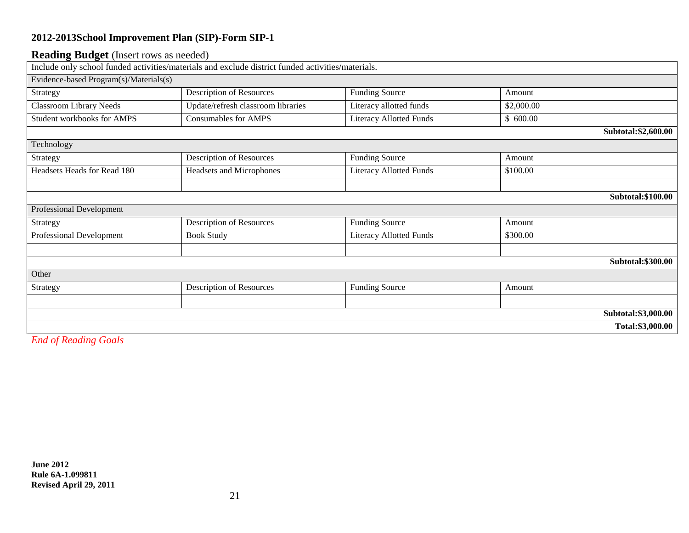#### **Reading Budget** (Insert rows as needed)

| $\sigma$ and $\sigma$ and $\sigma$ and $\sigma$ and $\sigma$ | Include only school funded activities/materials and exclude district funded activities/materials. |                                |                      |  |
|--------------------------------------------------------------|---------------------------------------------------------------------------------------------------|--------------------------------|----------------------|--|
| Evidence-based Program(s)/Materials(s)                       |                                                                                                   |                                |                      |  |
| Strategy                                                     | Description of Resources                                                                          | <b>Funding Source</b>          | Amount               |  |
| <b>Classroom Library Needs</b>                               | Update/refresh classroom libraries                                                                | Literacy allotted funds        | \$2,000.00           |  |
| Student workbooks for AMPS                                   | <b>Consumables for AMPS</b>                                                                       | <b>Literacy Allotted Funds</b> | \$600.00             |  |
|                                                              |                                                                                                   |                                | Subtotal: \$2,600.00 |  |
| Technology                                                   |                                                                                                   |                                |                      |  |
| Strategy                                                     | Description of Resources                                                                          | <b>Funding Source</b>          | Amount               |  |
| Headsets Heads for Read 180                                  | <b>Headsets and Microphones</b>                                                                   | <b>Literacy Allotted Funds</b> | \$100.00             |  |
|                                                              |                                                                                                   |                                |                      |  |
|                                                              |                                                                                                   |                                | Subtotal: \$100.00   |  |
| <b>Professional Development</b>                              |                                                                                                   |                                |                      |  |
| Strategy                                                     | <b>Description of Resources</b>                                                                   | <b>Funding Source</b>          | Amount               |  |
| Professional Development                                     | <b>Book Study</b>                                                                                 | <b>Literacy Allotted Funds</b> | \$300.00             |  |
|                                                              |                                                                                                   |                                |                      |  |
|                                                              |                                                                                                   |                                | Subtotal: \$300.00   |  |
| Other                                                        |                                                                                                   |                                |                      |  |
| Strategy                                                     | Description of Resources                                                                          | <b>Funding Source</b>          | Amount               |  |
|                                                              |                                                                                                   |                                |                      |  |
|                                                              |                                                                                                   |                                | Subtotal: \$3,000.00 |  |
|                                                              |                                                                                                   |                                | Total:\$3,000.00     |  |

*End of Reading Goals*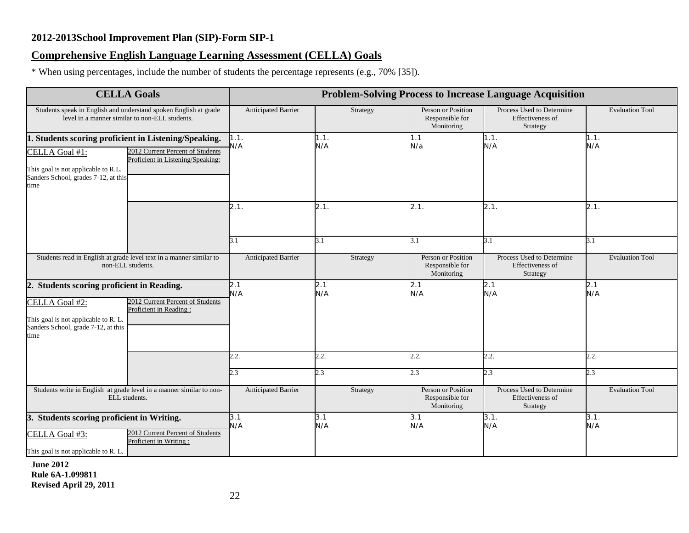### **Comprehensive English Language Learning Assessment (CELLA) Goals**

\* When using percentages, include the number of students the percentage represents (e.g., 70% [35]).

|                                                                                                                                                                | <b>CELLA Goals</b>                                                    |                            |                 |                                                            | <b>Problem-Solving Process to Increase Language Acquisition</b>  |                               |
|----------------------------------------------------------------------------------------------------------------------------------------------------------------|-----------------------------------------------------------------------|----------------------------|-----------------|------------------------------------------------------------|------------------------------------------------------------------|-------------------------------|
| level in a manner similar to non-ELL students.                                                                                                                 | Students speak in English and understand spoken English at grade      | <b>Anticipated Barrier</b> | Strategy        | Person or Position<br>Responsible for<br>Monitoring        | Process Used to Determine<br>Effectiveness of<br>Strategy        | <b>Evaluation Tool</b>        |
| 1. Students scoring proficient in Listening/Speaking.<br>CELLA Goal #1:<br>This goal is not applicable to R.L.<br>Sanders School, grades 7-12, at this<br>time | 2012 Current Percent of Students<br>Proficient in Listening/Speaking: | 1.1.<br>N/A                | 1.1.<br>N/A     | 1.1<br>N/a                                                 | 1.1.<br>N/A                                                      | 1.1.<br>N/A                   |
|                                                                                                                                                                |                                                                       | 2.1.                       | 2.1.            | 2.1.                                                       | 2.1.                                                             | 2.1.                          |
| non-ELL students.                                                                                                                                              | Students read in English at grade level text in a manner similar to   | 3.1<br>Anticipated Barrier | 3.1<br>Strategy | 3.1<br>Person or Position<br>Responsible for<br>Monitoring | 3.1<br>Process Used to Determine<br>Effectiveness of<br>Strategy | 3.1<br><b>Evaluation Tool</b> |
| Students scoring proficient in Reading.<br>2.<br>CELLA Goal #2:<br>This goal is not applicable to R. L.<br>Sanders School, grade 7-12, at this<br>time         | 2012 Current Percent of Students<br>Proficient in Reading:            | 2.1<br>N/A                 | 2.1<br>N/A      | 2.1<br>N/A                                                 | 2.1<br>N/A                                                       | 2.1<br>N/A                    |
|                                                                                                                                                                |                                                                       | 2.2.<br>2.3                | 2.2.<br>2.3     | 2.2.<br>2.3                                                | 2.2.<br>2.3                                                      | 2.2.<br>2.3                   |
| ELL students.                                                                                                                                                  | Students write in English at grade level in a manner similar to non-  | <b>Anticipated Barrier</b> | Strategy        | Person or Position<br>Responsible for<br>Monitoring        | Process Used to Determine<br>Effectiveness of<br>Strategy        | <b>Evaluation Tool</b>        |
| Students scoring proficient in Writing.<br>З.<br>CELLA Goal #3:<br>This goal is not applicable to R. L.                                                        | 2012 Current Percent of Students<br>Proficient in Writing:            | 3.1<br>N/A                 | 3.1<br>N/A      | 3.1<br>N/A                                                 | 3.1.<br>N/A                                                      | 3.1.<br>N/A                   |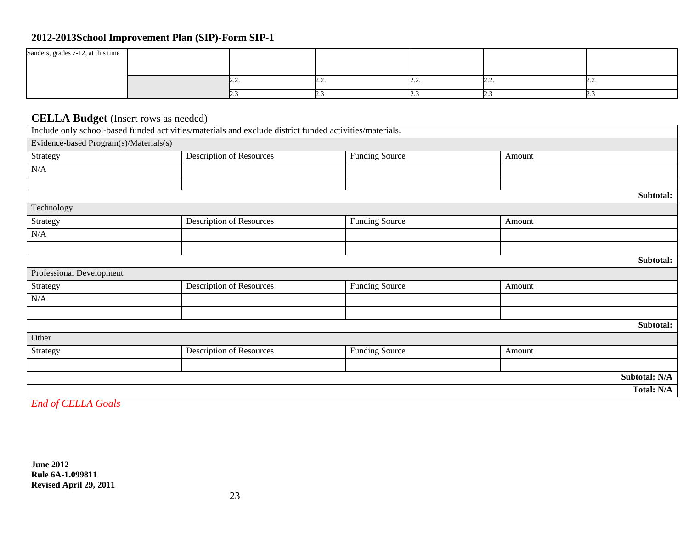| Sanders, grades 7-12, at this time |     |   |          |   |
|------------------------------------|-----|---|----------|---|
|                                    |     |   |          |   |
|                                    |     |   |          |   |
|                                    | ,,, | . | <u>.</u> | . |
|                                    |     |   |          |   |
|                                    |     |   |          |   |

### **CELLA Budget** (Insert rows as needed)

| $\bullet$ $\bullet$                    | $\sim$ $\sim$<br>Include only school-based funded activities/materials and exclude district funded activities/materials. |                       |        |                   |
|----------------------------------------|--------------------------------------------------------------------------------------------------------------------------|-----------------------|--------|-------------------|
| Evidence-based Program(s)/Materials(s) |                                                                                                                          |                       |        |                   |
| Strategy                               | <b>Description of Resources</b>                                                                                          | <b>Funding Source</b> | Amount |                   |
| N/A                                    |                                                                                                                          |                       |        |                   |
|                                        |                                                                                                                          |                       |        |                   |
|                                        |                                                                                                                          |                       |        | Subtotal:         |
| Technology                             |                                                                                                                          |                       |        |                   |
| Strategy                               | <b>Description of Resources</b>                                                                                          | <b>Funding Source</b> | Amount |                   |
| N/A                                    |                                                                                                                          |                       |        |                   |
|                                        |                                                                                                                          |                       |        |                   |
|                                        |                                                                                                                          |                       |        | Subtotal:         |
| Professional Development               |                                                                                                                          |                       |        |                   |
| Strategy                               | <b>Description of Resources</b>                                                                                          | <b>Funding Source</b> | Amount |                   |
| N/A                                    |                                                                                                                          |                       |        |                   |
|                                        |                                                                                                                          |                       |        |                   |
|                                        |                                                                                                                          |                       |        | Subtotal:         |
| Other                                  |                                                                                                                          |                       |        |                   |
| Strategy                               | <b>Description of Resources</b>                                                                                          | <b>Funding Source</b> | Amount |                   |
|                                        |                                                                                                                          |                       |        |                   |
|                                        |                                                                                                                          |                       |        | Subtotal: N/A     |
|                                        |                                                                                                                          |                       |        | <b>Total: N/A</b> |

*End of CELLA Goals*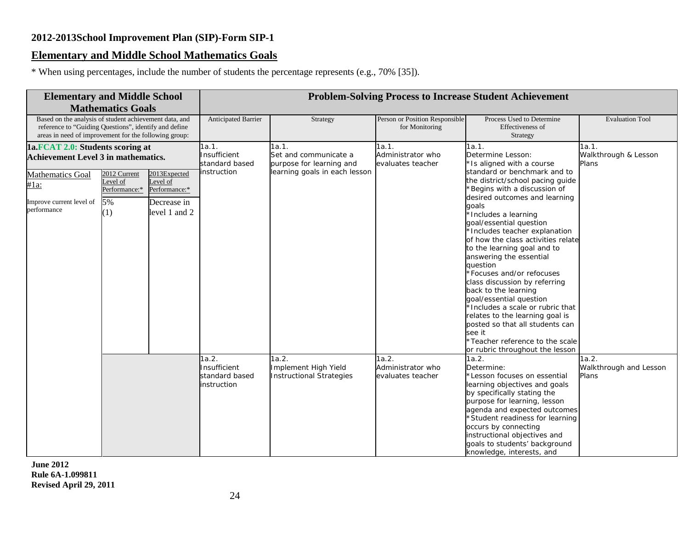### **Elementary and Middle School Mathematics Goals**

\* When using percentages, include the number of students the percentage represents (e.g., 70% [35]).

| <b>Elementary and Middle School</b>                                                                                                                                      |                                                        |                                                                           |                                                        |                                                                  |                                                  | <b>Problem-Solving Process to Increase Student Achievement</b>                                                                                                                                                                                                                                                                                                                                                                                                                                                                                                       |                                          |
|--------------------------------------------------------------------------------------------------------------------------------------------------------------------------|--------------------------------------------------------|---------------------------------------------------------------------------|--------------------------------------------------------|------------------------------------------------------------------|--------------------------------------------------|----------------------------------------------------------------------------------------------------------------------------------------------------------------------------------------------------------------------------------------------------------------------------------------------------------------------------------------------------------------------------------------------------------------------------------------------------------------------------------------------------------------------------------------------------------------------|------------------------------------------|
|                                                                                                                                                                          | <b>Mathematics Goals</b>                               |                                                                           |                                                        |                                                                  |                                                  |                                                                                                                                                                                                                                                                                                                                                                                                                                                                                                                                                                      |                                          |
| Based on the analysis of student achievement data, and<br>reference to "Guiding Questions", identify and define<br>areas in need of improvement for the following group: |                                                        |                                                                           | Anticipated Barrier                                    | Strategy                                                         | Person or Position Responsible<br>for Monitoring | Process Used to Determine<br>Effectiveness of<br>Strategy                                                                                                                                                                                                                                                                                                                                                                                                                                                                                                            | <b>Evaluation Tool</b>                   |
| 1a.FCAT 2.0: Students scoring at                                                                                                                                         |                                                        |                                                                           | 1a.1.                                                  | 1a.1.                                                            | 1a.1.                                            | 1a.1.                                                                                                                                                                                                                                                                                                                                                                                                                                                                                                                                                                | 1a.1.                                    |
| <b>Achievement Level 3 in mathematics.</b>                                                                                                                               |                                                        |                                                                           | Insufficient<br>standard based                         | Set and communicate a<br>purpose for learning and                | Administrator who<br>evaluates teacher           | Determine Lesson:<br>*Is aligned with a course                                                                                                                                                                                                                                                                                                                                                                                                                                                                                                                       | Walkthrough & Lesson<br>Plans            |
| <b>Mathematics Goal</b><br>#1a:<br>Improve current level of<br>performance                                                                                               | 2012 Current<br>Level of<br>Performance:*<br>5%<br>(1) | 2013Expected<br>Level of<br>Performance:*<br>Decrease in<br>level 1 and 2 | instruction                                            | learning goals in each lesson                                    |                                                  | standard or benchmark and to<br>the district/school pacing guide<br>Begins with a discussion of<br>desired outcomes and learning<br>qoals<br>*Includes a learning<br>goal/essential question<br>*Includes teacher explanation<br>of how the class activities relate<br>to the learning goal and to<br>answering the essential<br>question<br>*Focuses and/or refocuses<br>class discussion by referring<br>back to the learning<br>goal/essential question<br>*Includes a scale or rubric that<br>relates to the learning goal is<br>posted so that all students can |                                          |
|                                                                                                                                                                          |                                                        |                                                                           |                                                        |                                                                  |                                                  | see it<br>*Teacher reference to the scale<br>or rubric throughout the lesson                                                                                                                                                                                                                                                                                                                                                                                                                                                                                         |                                          |
|                                                                                                                                                                          |                                                        |                                                                           | 1a.2.<br>Insufficient<br>standard based<br>instruction | 1a.2.<br>Implement High Yield<br><b>Instructional Strategies</b> | 1a.2.<br>Administrator who<br>evaluates teacher  | 1a.2.<br>Determine:<br>*Lesson focuses on essential<br>learning objectives and goals<br>by specifically stating the<br>purpose for learning, lesson<br>agenda and expected outcomes<br>Student readiness for learning<br>occurs by connecting<br>instructional objectives and<br>goals to students' background<br>knowledge, interests, and                                                                                                                                                                                                                          | 1a.2.<br>Walkthrough and Lesson<br>Plans |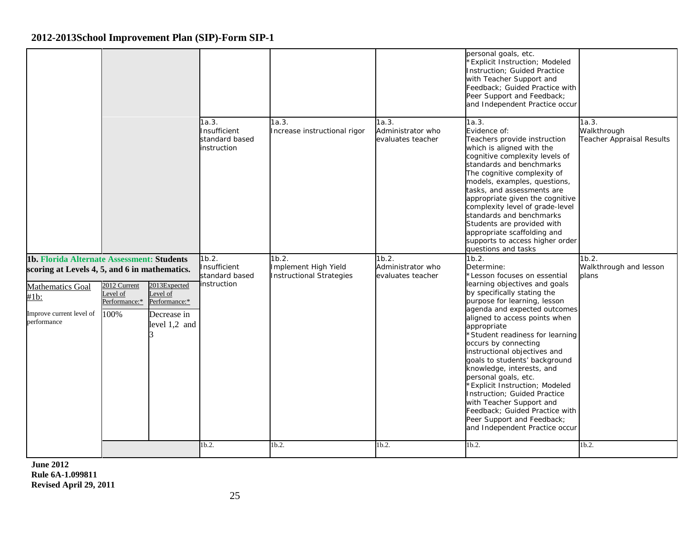|                                                                                                                                                                                           |                                                                                                            |                                                        |                                                                  |                                                 | personal goals, etc.<br><b>Explicit Instruction; Modeled</b><br>Instruction; Guided Practice<br>with Teacher Support and<br>Feedback; Guided Practice with<br>Peer Support and Feedback;<br>and Independent Practice occur                                                                                                                                                                                                                                                                                                                                                                                                 |                                                          |
|-------------------------------------------------------------------------------------------------------------------------------------------------------------------------------------------|------------------------------------------------------------------------------------------------------------|--------------------------------------------------------|------------------------------------------------------------------|-------------------------------------------------|----------------------------------------------------------------------------------------------------------------------------------------------------------------------------------------------------------------------------------------------------------------------------------------------------------------------------------------------------------------------------------------------------------------------------------------------------------------------------------------------------------------------------------------------------------------------------------------------------------------------------|----------------------------------------------------------|
|                                                                                                                                                                                           |                                                                                                            | 1a.3.<br>Insufficient<br>standard based<br>instruction | 1a.3.<br>Increase instructional rigor                            | 1a.3.<br>Administrator who<br>evaluates teacher | 1a.3.<br>Evidence of:<br>Teachers provide instruction<br>which is aligned with the<br>cognitive complexity levels of<br>standards and benchmarks<br>The cognitive complexity of<br>models, examples, questions,<br>tasks, and assessments are<br>appropriate given the cognitive<br>complexity level of grade-level<br>standards and benchmarks<br>Students are provided with<br>appropriate scaffolding and<br>supports to access higher order<br>questions and tasks                                                                                                                                                     | 1a.3.<br>Walkthrough<br><b>Teacher Appraisal Results</b> |
| 1b. Florida Alternate Assessment: Students<br>scoring at Levels 4, 5, and 6 in mathematics.<br>Mathematics Goal<br>Level of<br>$#1b$ :<br>Improve current level of<br>100%<br>performance | 2013Expected<br>2012 Current<br>Level of<br>Performance:*<br>Performance:*<br>Decrease in<br>level 1,2 and | 1b.2.<br>Insufficient<br>standard based<br>instruction | 1b.2.<br>Implement High Yield<br><b>Instructional Strategies</b> | 1b.2.<br>Administrator who<br>evaluates teacher | 1b.2.<br>Determine:<br>*Lesson focuses on essential<br>learning objectives and goals<br>by specifically stating the<br>purpose for learning, lesson<br>agenda and expected outcomes<br>aligned to access points when<br>appropriate<br>*Student readiness for learning<br>occurs by connecting<br>instructional objectives and<br>goals to students' background<br>knowledge, interests, and<br>personal goals, etc.<br><b>Explicit Instruction; Modeled</b><br>Instruction; Guided Practice<br>with Teacher Support and<br>Feedback; Guided Practice with<br>Peer Support and Feedback;<br>and Independent Practice occur | 1b.2.<br>Walkthrough and lesson<br>plans                 |
|                                                                                                                                                                                           |                                                                                                            | 1b.2.                                                  | 1b.2.                                                            | 1b.2.                                           | 1b.2.                                                                                                                                                                                                                                                                                                                                                                                                                                                                                                                                                                                                                      | $1b.2$ .                                                 |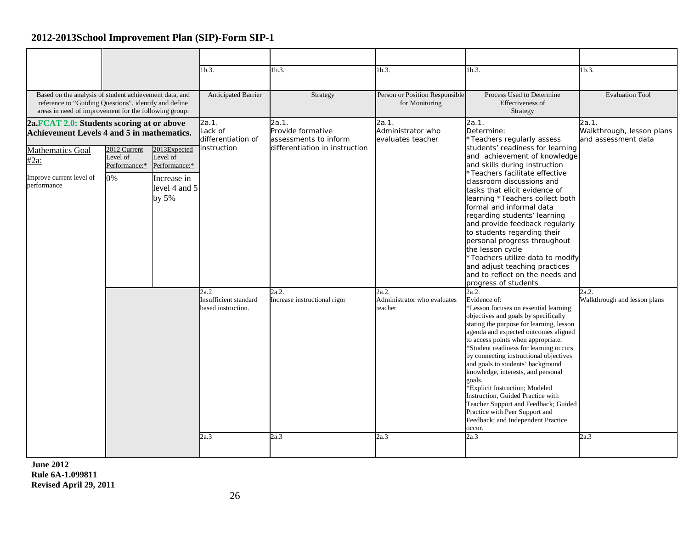|                                                                                                                                                                          |                                                |                                                                                      | 1b.3.                                                              | 1b.3.                                                                   | 1b.3.                                            | 1b.3.                                                                                                                                                                                                                                                                                                                                                                                                                                                                                                                                                                                                                                                                                                                                                                                                                                                                         | $1b.3$ .                                                  |
|--------------------------------------------------------------------------------------------------------------------------------------------------------------------------|------------------------------------------------|--------------------------------------------------------------------------------------|--------------------------------------------------------------------|-------------------------------------------------------------------------|--------------------------------------------------|-------------------------------------------------------------------------------------------------------------------------------------------------------------------------------------------------------------------------------------------------------------------------------------------------------------------------------------------------------------------------------------------------------------------------------------------------------------------------------------------------------------------------------------------------------------------------------------------------------------------------------------------------------------------------------------------------------------------------------------------------------------------------------------------------------------------------------------------------------------------------------|-----------------------------------------------------------|
| Based on the analysis of student achievement data, and<br>reference to "Guiding Questions", identify and define<br>areas in need of improvement for the following group: |                                                |                                                                                      | Anticipated Barrier                                                | Strategy                                                                | Person or Position Responsible<br>for Monitoring | Process Used to Determine<br>Effectiveness of<br>Strategy                                                                                                                                                                                                                                                                                                                                                                                                                                                                                                                                                                                                                                                                                                                                                                                                                     | <b>Evaluation Tool</b>                                    |
| 2a.FCAT 2.0: Students scoring at or above<br><b>Achievement Levels 4 and 5 in mathematics.</b>                                                                           |                                                |                                                                                      | 2a.1.<br>ack of<br>differentiation of                              | 2a.1.<br>Provide formative<br>assessments to inform                     | 2a.1.<br>Administrator who<br>evaluates teacher  | 2a.1.<br>Determine:<br>*Teachers regularly assess                                                                                                                                                                                                                                                                                                                                                                                                                                                                                                                                                                                                                                                                                                                                                                                                                             | 2a.1.<br>Walkthrough, lesson plans<br>and assessment data |
| Mathematics Goal<br>$#2a$ :<br>Improve current level of<br>performance                                                                                                   | 2012 Current<br>evel of<br>Performance:*<br>0% | 2013Expected<br>Level of<br>Performance:*<br>Increase in<br>level 4 and 5<br>by $5%$ | instruction<br>2a.2<br>Insufficient standard<br>based instruction. | differentiation in instruction<br>2a.2.<br>Increase instructional rigor | 2a.2.<br>Administrator who evaluates<br>teacher  | students' readiness for learning<br>and achievement of knowledge<br>and skills during instruction<br>*Teachers facilitate effective<br>classroom discussions and<br>tasks that elicit evidence of<br>learning *Teachers collect both<br>formal and informal data<br>regarding students' learning<br>and provide feedback regularly<br>to students regarding their<br>personal progress throughout<br>the lesson cycle<br>*Teachers utilize data to modify<br>and adjust teaching practices<br>and to reflect on the needs and<br>progress of students<br>2a.2.<br>Evidence of:<br>*Lesson focuses on essential learning<br>objectives and goals by specifically<br>stating the purpose for learning, lesson<br>agenda and expected outcomes aligned<br>to access points when appropriate.<br>*Student readiness for learning occurs<br>by connecting instructional objectives | 2a.2.<br>Walkthrough and lesson plans                     |
|                                                                                                                                                                          |                                                |                                                                                      | 2a.3                                                               | 2a.3                                                                    | 2a.3                                             | and goals to students' background<br>knowledge, interests, and personal<br>goals.<br>*Explicit Instruction; Modeled<br>Instruction, Guided Practice with<br>Teacher Support and Feedback; Guided<br>Practice with Peer Support and<br>Feedback; and Independent Practice<br>occur.<br>2a.3                                                                                                                                                                                                                                                                                                                                                                                                                                                                                                                                                                                    | 2a.3                                                      |
|                                                                                                                                                                          |                                                |                                                                                      |                                                                    |                                                                         |                                                  |                                                                                                                                                                                                                                                                                                                                                                                                                                                                                                                                                                                                                                                                                                                                                                                                                                                                               |                                                           |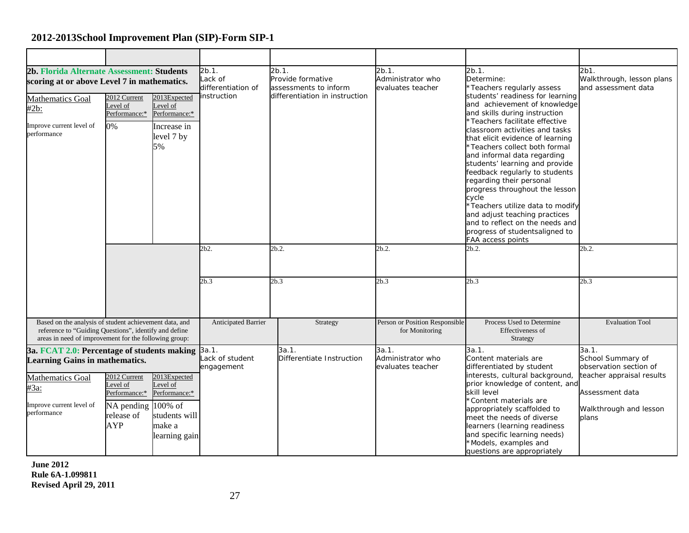| 2b. Florida Alternate Assessment: Students<br>scoring at or above Level 7 in mathematics.                                                                                |                                                                                    |                                                                                                  | 2b.1.<br>ack of<br>differentiation of | 2b.1.<br>Provide formative<br>assessments to inform | 2b.1.<br>Administrator who<br>evaluates teacher  | 2b.1.<br>Determine:<br>*Teachers regularly assess                                                                                                                                                                                                                                                                                                                                                                                                                                                                                                                                   | 2b1.<br>Walkthrough, lesson plans<br>and assessment data                                                                                |
|--------------------------------------------------------------------------------------------------------------------------------------------------------------------------|------------------------------------------------------------------------------------|--------------------------------------------------------------------------------------------------|---------------------------------------|-----------------------------------------------------|--------------------------------------------------|-------------------------------------------------------------------------------------------------------------------------------------------------------------------------------------------------------------------------------------------------------------------------------------------------------------------------------------------------------------------------------------------------------------------------------------------------------------------------------------------------------------------------------------------------------------------------------------|-----------------------------------------------------------------------------------------------------------------------------------------|
| <b>Mathematics Goal</b><br>#2b:<br>Improve current level of<br>performance                                                                                               | 2012 Current<br>Level of<br>Performance:*<br>0%                                    | 2013Expected<br>Level of<br>Performance:*<br>Increase in<br>level 7 by<br>5%                     | instruction                           | differentiation in instruction                      |                                                  | students' readiness for learning<br>and achievement of knowledge<br>and skills during instruction<br>*Teachers facilitate effective<br>classroom activities and tasks<br>that elicit evidence of learning<br>*Teachers collect both formal<br>and informal data regarding<br>students' learning and provide<br>feedback regularly to students<br>regarding their personal<br>progress throughout the lesson<br>cycle<br>*Teachers utilize data to modify<br>and adjust teaching practices<br>and to reflect on the needs and<br>progress of studentsaligned to<br>FAA access points |                                                                                                                                         |
|                                                                                                                                                                          |                                                                                    |                                                                                                  | 2b2.                                  | 2b.2.                                               | 2b.2.                                            | 2b.2.                                                                                                                                                                                                                                                                                                                                                                                                                                                                                                                                                                               | 2b.2.                                                                                                                                   |
|                                                                                                                                                                          |                                                                                    |                                                                                                  | 2b.3                                  | 2b.3                                                | 2b.3                                             | 2b.3                                                                                                                                                                                                                                                                                                                                                                                                                                                                                                                                                                                | 2b.3                                                                                                                                    |
| Based on the analysis of student achievement data, and<br>reference to "Guiding Questions", identify and define<br>areas in need of improvement for the following group: |                                                                                    |                                                                                                  | Anticipated Barrier                   | Strategy                                            | Person or Position Responsible<br>for Monitoring | Process Used to Determine<br>Effectiveness of<br>Strategy                                                                                                                                                                                                                                                                                                                                                                                                                                                                                                                           | <b>Evaluation Tool</b>                                                                                                                  |
| 3a. FCAT 2.0: Percentage of students making<br><b>Learning Gains in mathematics.</b><br><b>Mathematics Goal</b><br>#3a:<br>Improve current level of<br>performance       | 2012 Current<br>evel of<br>Performance:*<br>NA pending<br>release of<br><b>AYP</b> | 2013Expected<br>Level of<br>Performance:*<br>100% of<br>students will<br>make a<br>learning gain | 3a.1.<br>ack of student<br>engagement | 3a.1.<br>Differentiate Instruction                  | 3a.1.<br>Administrator who<br>evaluates teacher  | 3a.1.<br>Content materials are<br>differentiated by student<br>interests, cultural background,<br>prior knowledge of content, and<br>skill level<br>*Content materials are<br>appropriately scaffolded to<br>meet the needs of diverse<br>learners (learning readiness<br>and specific learning needs)<br>*Models, examples and<br>questions are appropriately                                                                                                                                                                                                                      | 3a.1.<br>School Summary of<br>observation section of<br>teacher appraisal results<br>Assessment data<br>Walkthrough and lesson<br>plans |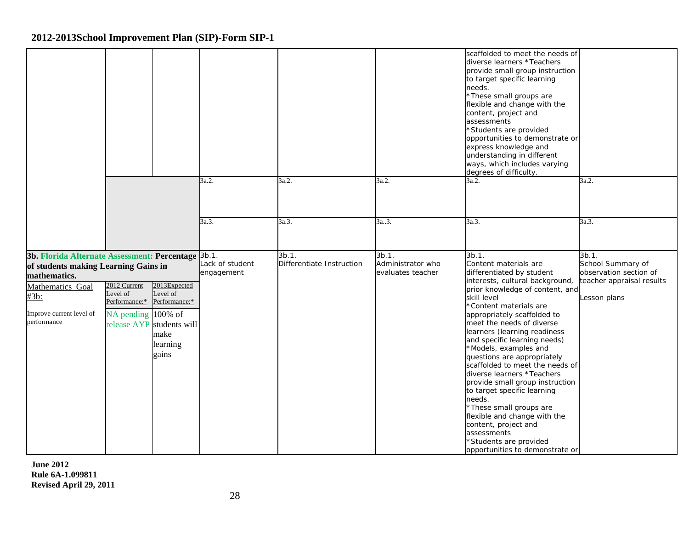|                                                                                                                                                                                   |                                                                 |                                                                                                     |                               |                                    |                                                 | scaffolded to meet the needs of<br>diverse learners *Teachers<br>provide small group instruction<br>to target specific learning<br>needs.<br>*These small groups are<br>flexible and change with the<br>content, project and<br>assessments<br>*Students are provided<br>opportunities to demonstrate or<br>express knowledge and<br>understanding in different<br>ways, which includes varying<br>degrees of difficulty.                                                                                                                                                                                                                                                  |                                                                                                   |
|-----------------------------------------------------------------------------------------------------------------------------------------------------------------------------------|-----------------------------------------------------------------|-----------------------------------------------------------------------------------------------------|-------------------------------|------------------------------------|-------------------------------------------------|----------------------------------------------------------------------------------------------------------------------------------------------------------------------------------------------------------------------------------------------------------------------------------------------------------------------------------------------------------------------------------------------------------------------------------------------------------------------------------------------------------------------------------------------------------------------------------------------------------------------------------------------------------------------------|---------------------------------------------------------------------------------------------------|
|                                                                                                                                                                                   |                                                                 |                                                                                                     | 3a.2.                         | 3a.2.                              | 3a.2.                                           | 3a.2.                                                                                                                                                                                                                                                                                                                                                                                                                                                                                                                                                                                                                                                                      | 3a.2.                                                                                             |
|                                                                                                                                                                                   |                                                                 |                                                                                                     | 3a.3.                         | 3a.3.                              | 3a3.                                            | 3a.3.                                                                                                                                                                                                                                                                                                                                                                                                                                                                                                                                                                                                                                                                      | 3a.3.                                                                                             |
| 3b. Florida Alternate Assessment: Percentage 3b.1.<br>of students making Learning Gains in<br>mathematics.<br>Mathematics Goal<br>#3b:<br>Improve current level of<br>performance | 2012 Current<br>Level of<br>Performance:*<br>NA pending 100% of | 2013Expected<br>Level of<br>Performance:*<br>release AYP students will<br>make<br>learning<br>gains | Lack of student<br>engagement | 3b.1.<br>Differentiate Instruction | 3b.1.<br>Administrator who<br>evaluates teacher | 3b.1.<br>Content materials are<br>differentiated by student<br>interests, cultural background,<br>prior knowledge of content, and<br>skill level<br>*Content materials are<br>appropriately scaffolded to<br>meet the needs of diverse<br>learners (learning readiness<br>and specific learning needs)<br>*Models, examples and<br>questions are appropriately<br>scaffolded to meet the needs of<br>diverse learners *Teachers<br>provide small group instruction<br>to target specific learning<br>needs.<br>*These small groups are<br>flexible and change with the<br>content, project and<br>assessments<br>*Students are provided<br>opportunities to demonstrate or | 3b.1.<br>School Summary of<br>observation section of<br>teacher appraisal results<br>Lesson plans |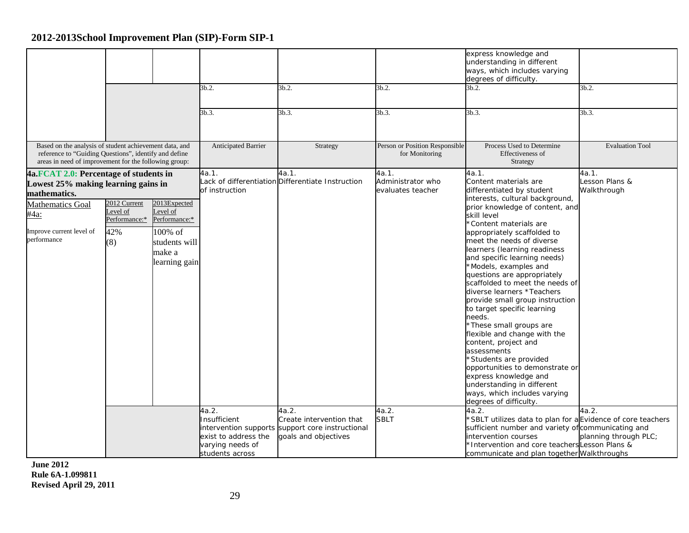|                                                                                                                                                                             |                                                         |                                                                                                  | 3b.2.<br>3b.3.                                                              | 3b.2.<br>3b.3.                                                                                       | 3b.2.<br>3b.3.                                           | express knowledge and<br>understanding in different<br>ways, which includes varying<br>degrees of difficulty.<br>3b.2.<br>3b.3.                                                                                                                                                                                                                                                                                                                                                                                                                                                                                                                                                                                                                                                                      | 3b.2.<br>3b.3.                                  |
|-----------------------------------------------------------------------------------------------------------------------------------------------------------------------------|---------------------------------------------------------|--------------------------------------------------------------------------------------------------|-----------------------------------------------------------------------------|------------------------------------------------------------------------------------------------------|----------------------------------------------------------|------------------------------------------------------------------------------------------------------------------------------------------------------------------------------------------------------------------------------------------------------------------------------------------------------------------------------------------------------------------------------------------------------------------------------------------------------------------------------------------------------------------------------------------------------------------------------------------------------------------------------------------------------------------------------------------------------------------------------------------------------------------------------------------------------|-------------------------------------------------|
| Based on the analysis of student achievement data, and<br>reference to "Guiding Questions", identify and define<br>areas in need of improvement for the following group:    |                                                         |                                                                                                  | <b>Anticipated Barrier</b>                                                  | Strategy                                                                                             | Person or Position Responsible<br>for Monitoring         | Process Used to Determine<br>Effectiveness of<br>Strategy                                                                                                                                                                                                                                                                                                                                                                                                                                                                                                                                                                                                                                                                                                                                            | <b>Evaluation Tool</b>                          |
| 4a.FCAT 2.0: Percentage of students in<br>Lowest 25% making learning gains in<br>mathematics.<br><b>Mathematics Goal</b><br>#4a:<br>Improve current level of<br>performance | 2012 Current<br>Level of<br>Performance:*<br>42%<br>(8) | 2013Expected<br>Level of<br>Performance:*<br>100% of<br>students will<br>make a<br>learning gain | 4a.1.<br>of instruction<br>4a.2.                                            | 4a.1.<br>Lack of differentiation Differentiate Instruction<br>4a.2.                                  | 4a.1.<br>Administrator who<br>evaluates teacher<br>4a.2. | 4a.1.<br>Content materials are<br>differentiated by student<br>interests, cultural background,<br>prior knowledge of content, and<br>skill level<br>*Content materials are<br>appropriately scaffolded to<br>meet the needs of diverse<br>learners (learning readiness<br>and specific learning needs)<br>*Models, examples and<br>questions are appropriately<br>scaffolded to meet the needs of<br>diverse learners *Teachers<br>provide small group instruction<br>to target specific learning<br>needs.<br>*These small groups are<br>flexible and change with the<br>content, project and<br>assessments<br>*Students are provided<br>opportunities to demonstrate or<br>express knowledge and<br>understanding in different<br>ways, which includes varying<br>degrees of difficulty.<br>4a.2. | 4a.1.<br>Lesson Plans &<br>Walkthrough<br>4a.2. |
|                                                                                                                                                                             |                                                         |                                                                                                  | Insufficient<br>exist to address the<br>varying needs of<br>students across | Create intervention that<br>intervention supports support core instructional<br>goals and objectives | <b>SBLT</b>                                              | *SBLT utilizes data to plan for aEvidence of core teachers<br>sufficient number and variety of communicating and<br>intervention courses<br>*Intervention and core teachers Lesson Plans &<br>communicate and plan together Walkthroughs                                                                                                                                                                                                                                                                                                                                                                                                                                                                                                                                                             | planning through PLC;                           |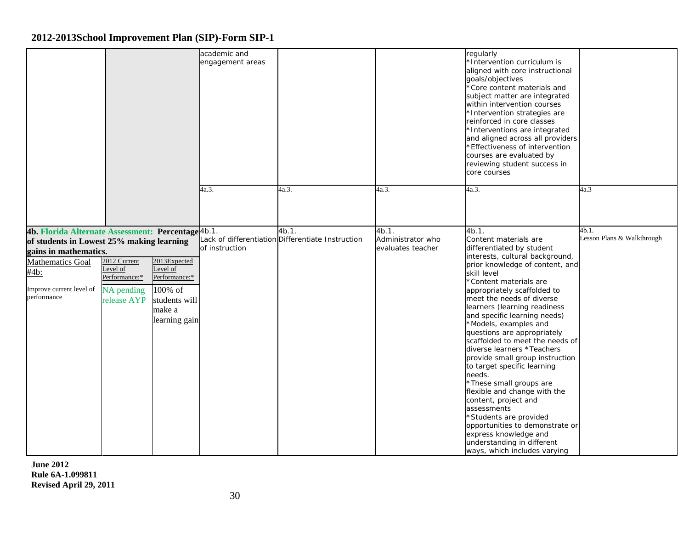|                                                                                                                                                                                                        |                                                                        |                                                                                                  | academic and<br>engagement areas |                                                            |                                                 | regularly<br>*Intervention curriculum is<br>aligned with core instructional<br>goals/objectives<br>*Core content materials and<br>subject matter are integrated<br>within intervention courses<br>*Intervention strategies are<br>reinforced in core classes<br>*Interventions are integrated<br>and aligned across all providers<br>*Effectiveness of intervention<br>courses are evaluated by<br>reviewing student success in<br>core courses                                                                                                                                                                                                                                                                                                                   |                                     |
|--------------------------------------------------------------------------------------------------------------------------------------------------------------------------------------------------------|------------------------------------------------------------------------|--------------------------------------------------------------------------------------------------|----------------------------------|------------------------------------------------------------|-------------------------------------------------|-------------------------------------------------------------------------------------------------------------------------------------------------------------------------------------------------------------------------------------------------------------------------------------------------------------------------------------------------------------------------------------------------------------------------------------------------------------------------------------------------------------------------------------------------------------------------------------------------------------------------------------------------------------------------------------------------------------------------------------------------------------------|-------------------------------------|
|                                                                                                                                                                                                        |                                                                        |                                                                                                  | 4a.3.                            | 4a.3.                                                      | 4a.3.                                           | 4a.3.                                                                                                                                                                                                                                                                                                                                                                                                                                                                                                                                                                                                                                                                                                                                                             | 4a.3                                |
| 4b. Florida Alternate Assessment: Percentage 4b.1.<br>of students in Lowest 25% making learning<br>gains in mathematics.<br><b>Mathematics Goal</b><br>#4b:<br>Improve current level of<br>performance | 2012 Current<br>Level of<br>Performance:*<br>NA pending<br>release AYP | 2013Expected<br>Level of<br>Performance:*<br>100% of<br>students will<br>make a<br>learning gain | of instruction                   | 4b.1.<br>Lack of differentiation Differentiate Instruction | 4b.1.<br>Administrator who<br>evaluates teacher | 4b.1.<br>Content materials are<br>differentiated by student<br>interests, cultural background,<br>prior knowledge of content, and<br>skill level<br>*Content materials are<br>appropriately scaffolded to<br>meet the needs of diverse<br>learners (learning readiness<br>and specific learning needs)<br>*Models, examples and<br>questions are appropriately<br>scaffolded to meet the needs of<br>diverse learners *Teachers<br>provide small group instruction<br>to target specific learning<br>needs.<br>*These small groups are<br>flexible and change with the<br>content, project and<br>assessments<br>*Students are provided<br>opportunities to demonstrate or<br>express knowledge and<br>understanding in different<br>ways, which includes varying | 4b.1.<br>Lesson Plans & Walkthrough |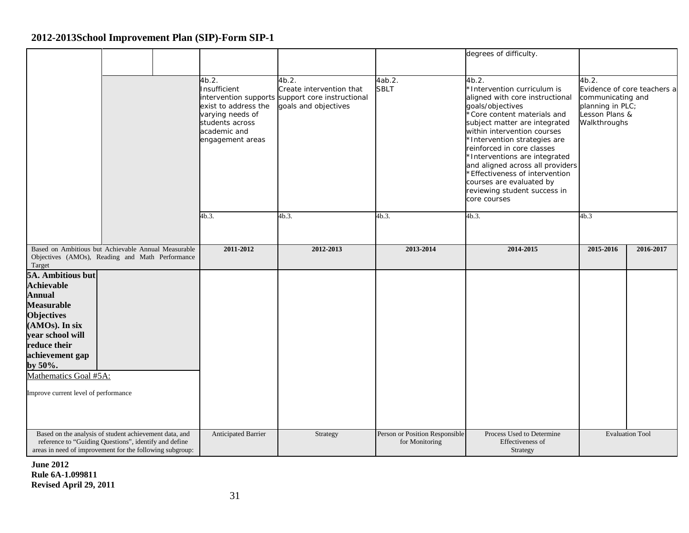|                                                                                                                                                                                                                                                            |  |                                                                                                                          |                                                                                                               |                                                  | degrees of difficulty.                                                                                                                                                                                                                                                                                                                                                                                                                      |                                                                                  |                             |
|------------------------------------------------------------------------------------------------------------------------------------------------------------------------------------------------------------------------------------------------------------|--|--------------------------------------------------------------------------------------------------------------------------|---------------------------------------------------------------------------------------------------------------|--------------------------------------------------|---------------------------------------------------------------------------------------------------------------------------------------------------------------------------------------------------------------------------------------------------------------------------------------------------------------------------------------------------------------------------------------------------------------------------------------------|----------------------------------------------------------------------------------|-----------------------------|
|                                                                                                                                                                                                                                                            |  | 4b.2.<br>Insufficient<br>exist to address the<br>varying needs of<br>students across<br>academic and<br>engagement areas | 4b.2.<br>Create intervention that<br>intervention supports support core instructional<br>goals and objectives | 4ab.2.<br><b>SBLT</b>                            | 4b.2.<br>*Intervention curriculum is<br>aligned with core instructional<br>goals/objectives<br>*Core content materials and<br>subject matter are integrated<br>within intervention courses<br>*Intervention strategies are<br>reinforced in core classes<br>*Interventions are integrated<br>and aligned across all providers<br>*Effectiveness of intervention<br>courses are evaluated by<br>reviewing student success in<br>core courses | 4b.2.<br>communicating and<br>planning in PLC;<br>Lesson Plans &<br>Walkthroughs | Evidence of core teachers a |
|                                                                                                                                                                                                                                                            |  | 4b.3.                                                                                                                    | 4b.3.                                                                                                         | 4b.3.                                            | 4b.3.                                                                                                                                                                                                                                                                                                                                                                                                                                       | 4b.3                                                                             |                             |
| Based on Ambitious but Achievable Annual Measurable<br>Objectives (AMOs), Reading and Math Performance<br>Target                                                                                                                                           |  | 2011-2012                                                                                                                | 2012-2013                                                                                                     | 2013-2014                                        | 2014-2015                                                                                                                                                                                                                                                                                                                                                                                                                                   | 2015-2016                                                                        | 2016-2017                   |
| 5A. Ambitious but<br><b>Achievable</b><br><b>Annual</b><br><b>Measurable</b><br><b>Objectives</b><br>(AMOs). In six<br>year school will<br>reduce their<br>achievement gap<br>by $50\%$ .<br>Mathematics Goal #5A:<br>Improve current level of performance |  |                                                                                                                          |                                                                                                               |                                                  |                                                                                                                                                                                                                                                                                                                                                                                                                                             |                                                                                  |                             |
| Based on the analysis of student achievement data, and<br>reference to "Guiding Questions", identify and define<br>areas in need of improvement for the following subgroup:                                                                                |  | Anticipated Barrier                                                                                                      | Strategy                                                                                                      | Person or Position Responsible<br>for Monitoring | Process Used to Determine<br>Effectiveness of<br>Strategy                                                                                                                                                                                                                                                                                                                                                                                   |                                                                                  | <b>Evaluation Tool</b>      |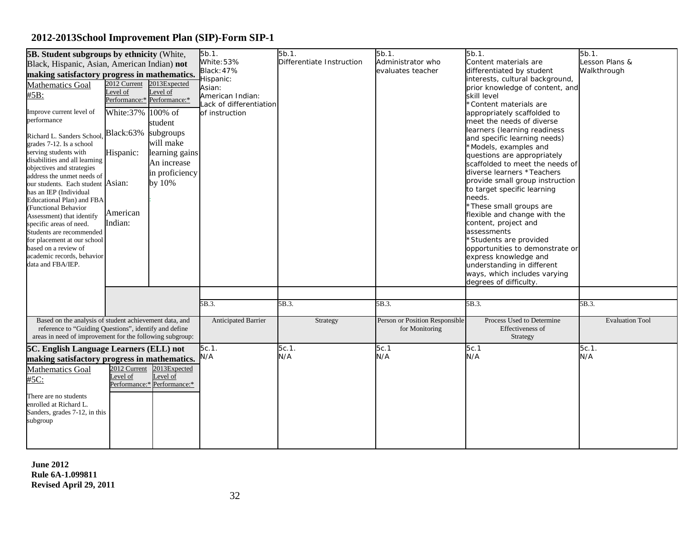| 5b.1.<br>5b.1.<br>5b.1.<br>5b.1.<br>5B. Student subgroups by ethnicity (White,<br>White: 53%<br>Differentiate Instruction<br>Administrator who<br>Content materials are<br>Black, Hispanic, Asian, American Indian) not<br><b>Black: 47%</b><br>evaluates teacher<br>differentiated by student<br>making satisfactory progress in mathematics.<br>interests, cultural background,<br>-lispanic:<br>2012 Current 2013 Expected<br><b>Mathematics Goal</b><br>prior knowledge of content, and<br>Asian:<br>Level of<br>Level of<br>#5B:<br>American Indian:<br>skill level<br>Performance:* Performance:*<br>ack of differentiation<br>*Content materials are<br>White:37% 100% of<br>Improve current level of<br>of instruction<br>appropriately scaffolded to<br>performance<br>meet the needs of diverse<br>student<br>learners (learning readiness<br>Black:63%<br>subgroups<br>Richard L. Sanders School.<br>and specific learning needs)<br>will make<br>grades 7-12. Is a school<br>*Models, examples and<br>serving students with<br>Hispanic:<br>learning gains<br>questions are appropriately<br>disabilities and all learning<br>An increase<br>scaffolded to meet the needs of<br>objectives and strategies<br>in proficiency<br>diverse learners *Teachers<br>address the unmet needs of<br>provide small group instruction<br>by 10%<br>our students. Each student Asian:<br>to target specific learning<br>has an IEP (Individual<br>needs.<br>Educational Plan) and FBA<br>*These small groups are<br><b>Functional Behavior</b><br>American<br>flexible and change with the<br>Assessment) that identify<br>Indian:<br>content, project and<br>specific areas of need.<br>assessments<br>Students are recommended<br>*Students are provided<br>for placement at our school<br>based on a review of<br>opportunities to demonstrate or<br>academic records, behavior<br>express knowledge and<br>data and FBA/IEP.<br>understanding in different<br>ways, which includes varying<br>degrees of difficulty.<br>5B.3.<br>5B.3.<br>5B.3.<br>5B.3. | 5b.1.<br>Lesson Plans &<br>Walkthrough |
|--------------------------------------------------------------------------------------------------------------------------------------------------------------------------------------------------------------------------------------------------------------------------------------------------------------------------------------------------------------------------------------------------------------------------------------------------------------------------------------------------------------------------------------------------------------------------------------------------------------------------------------------------------------------------------------------------------------------------------------------------------------------------------------------------------------------------------------------------------------------------------------------------------------------------------------------------------------------------------------------------------------------------------------------------------------------------------------------------------------------------------------------------------------------------------------------------------------------------------------------------------------------------------------------------------------------------------------------------------------------------------------------------------------------------------------------------------------------------------------------------------------------------------------------------------------------------------------------------------------------------------------------------------------------------------------------------------------------------------------------------------------------------------------------------------------------------------------------------------------------------------------------------------------------------------------------------------------------------------------------------------------------------------------------------------------|----------------------------------------|
|                                                                                                                                                                                                                                                                                                                                                                                                                                                                                                                                                                                                                                                                                                                                                                                                                                                                                                                                                                                                                                                                                                                                                                                                                                                                                                                                                                                                                                                                                                                                                                                                                                                                                                                                                                                                                                                                                                                                                                                                                                                              |                                        |
|                                                                                                                                                                                                                                                                                                                                                                                                                                                                                                                                                                                                                                                                                                                                                                                                                                                                                                                                                                                                                                                                                                                                                                                                                                                                                                                                                                                                                                                                                                                                                                                                                                                                                                                                                                                                                                                                                                                                                                                                                                                              |                                        |
|                                                                                                                                                                                                                                                                                                                                                                                                                                                                                                                                                                                                                                                                                                                                                                                                                                                                                                                                                                                                                                                                                                                                                                                                                                                                                                                                                                                                                                                                                                                                                                                                                                                                                                                                                                                                                                                                                                                                                                                                                                                              |                                        |
|                                                                                                                                                                                                                                                                                                                                                                                                                                                                                                                                                                                                                                                                                                                                                                                                                                                                                                                                                                                                                                                                                                                                                                                                                                                                                                                                                                                                                                                                                                                                                                                                                                                                                                                                                                                                                                                                                                                                                                                                                                                              |                                        |
|                                                                                                                                                                                                                                                                                                                                                                                                                                                                                                                                                                                                                                                                                                                                                                                                                                                                                                                                                                                                                                                                                                                                                                                                                                                                                                                                                                                                                                                                                                                                                                                                                                                                                                                                                                                                                                                                                                                                                                                                                                                              |                                        |
|                                                                                                                                                                                                                                                                                                                                                                                                                                                                                                                                                                                                                                                                                                                                                                                                                                                                                                                                                                                                                                                                                                                                                                                                                                                                                                                                                                                                                                                                                                                                                                                                                                                                                                                                                                                                                                                                                                                                                                                                                                                              |                                        |
|                                                                                                                                                                                                                                                                                                                                                                                                                                                                                                                                                                                                                                                                                                                                                                                                                                                                                                                                                                                                                                                                                                                                                                                                                                                                                                                                                                                                                                                                                                                                                                                                                                                                                                                                                                                                                                                                                                                                                                                                                                                              |                                        |
|                                                                                                                                                                                                                                                                                                                                                                                                                                                                                                                                                                                                                                                                                                                                                                                                                                                                                                                                                                                                                                                                                                                                                                                                                                                                                                                                                                                                                                                                                                                                                                                                                                                                                                                                                                                                                                                                                                                                                                                                                                                              |                                        |
|                                                                                                                                                                                                                                                                                                                                                                                                                                                                                                                                                                                                                                                                                                                                                                                                                                                                                                                                                                                                                                                                                                                                                                                                                                                                                                                                                                                                                                                                                                                                                                                                                                                                                                                                                                                                                                                                                                                                                                                                                                                              |                                        |
|                                                                                                                                                                                                                                                                                                                                                                                                                                                                                                                                                                                                                                                                                                                                                                                                                                                                                                                                                                                                                                                                                                                                                                                                                                                                                                                                                                                                                                                                                                                                                                                                                                                                                                                                                                                                                                                                                                                                                                                                                                                              |                                        |
|                                                                                                                                                                                                                                                                                                                                                                                                                                                                                                                                                                                                                                                                                                                                                                                                                                                                                                                                                                                                                                                                                                                                                                                                                                                                                                                                                                                                                                                                                                                                                                                                                                                                                                                                                                                                                                                                                                                                                                                                                                                              |                                        |
|                                                                                                                                                                                                                                                                                                                                                                                                                                                                                                                                                                                                                                                                                                                                                                                                                                                                                                                                                                                                                                                                                                                                                                                                                                                                                                                                                                                                                                                                                                                                                                                                                                                                                                                                                                                                                                                                                                                                                                                                                                                              |                                        |
|                                                                                                                                                                                                                                                                                                                                                                                                                                                                                                                                                                                                                                                                                                                                                                                                                                                                                                                                                                                                                                                                                                                                                                                                                                                                                                                                                                                                                                                                                                                                                                                                                                                                                                                                                                                                                                                                                                                                                                                                                                                              |                                        |
|                                                                                                                                                                                                                                                                                                                                                                                                                                                                                                                                                                                                                                                                                                                                                                                                                                                                                                                                                                                                                                                                                                                                                                                                                                                                                                                                                                                                                                                                                                                                                                                                                                                                                                                                                                                                                                                                                                                                                                                                                                                              |                                        |
|                                                                                                                                                                                                                                                                                                                                                                                                                                                                                                                                                                                                                                                                                                                                                                                                                                                                                                                                                                                                                                                                                                                                                                                                                                                                                                                                                                                                                                                                                                                                                                                                                                                                                                                                                                                                                                                                                                                                                                                                                                                              |                                        |
|                                                                                                                                                                                                                                                                                                                                                                                                                                                                                                                                                                                                                                                                                                                                                                                                                                                                                                                                                                                                                                                                                                                                                                                                                                                                                                                                                                                                                                                                                                                                                                                                                                                                                                                                                                                                                                                                                                                                                                                                                                                              |                                        |
|                                                                                                                                                                                                                                                                                                                                                                                                                                                                                                                                                                                                                                                                                                                                                                                                                                                                                                                                                                                                                                                                                                                                                                                                                                                                                                                                                                                                                                                                                                                                                                                                                                                                                                                                                                                                                                                                                                                                                                                                                                                              |                                        |
|                                                                                                                                                                                                                                                                                                                                                                                                                                                                                                                                                                                                                                                                                                                                                                                                                                                                                                                                                                                                                                                                                                                                                                                                                                                                                                                                                                                                                                                                                                                                                                                                                                                                                                                                                                                                                                                                                                                                                                                                                                                              |                                        |
|                                                                                                                                                                                                                                                                                                                                                                                                                                                                                                                                                                                                                                                                                                                                                                                                                                                                                                                                                                                                                                                                                                                                                                                                                                                                                                                                                                                                                                                                                                                                                                                                                                                                                                                                                                                                                                                                                                                                                                                                                                                              |                                        |
|                                                                                                                                                                                                                                                                                                                                                                                                                                                                                                                                                                                                                                                                                                                                                                                                                                                                                                                                                                                                                                                                                                                                                                                                                                                                                                                                                                                                                                                                                                                                                                                                                                                                                                                                                                                                                                                                                                                                                                                                                                                              |                                        |
|                                                                                                                                                                                                                                                                                                                                                                                                                                                                                                                                                                                                                                                                                                                                                                                                                                                                                                                                                                                                                                                                                                                                                                                                                                                                                                                                                                                                                                                                                                                                                                                                                                                                                                                                                                                                                                                                                                                                                                                                                                                              |                                        |
|                                                                                                                                                                                                                                                                                                                                                                                                                                                                                                                                                                                                                                                                                                                                                                                                                                                                                                                                                                                                                                                                                                                                                                                                                                                                                                                                                                                                                                                                                                                                                                                                                                                                                                                                                                                                                                                                                                                                                                                                                                                              |                                        |
|                                                                                                                                                                                                                                                                                                                                                                                                                                                                                                                                                                                                                                                                                                                                                                                                                                                                                                                                                                                                                                                                                                                                                                                                                                                                                                                                                                                                                                                                                                                                                                                                                                                                                                                                                                                                                                                                                                                                                                                                                                                              |                                        |
|                                                                                                                                                                                                                                                                                                                                                                                                                                                                                                                                                                                                                                                                                                                                                                                                                                                                                                                                                                                                                                                                                                                                                                                                                                                                                                                                                                                                                                                                                                                                                                                                                                                                                                                                                                                                                                                                                                                                                                                                                                                              |                                        |
|                                                                                                                                                                                                                                                                                                                                                                                                                                                                                                                                                                                                                                                                                                                                                                                                                                                                                                                                                                                                                                                                                                                                                                                                                                                                                                                                                                                                                                                                                                                                                                                                                                                                                                                                                                                                                                                                                                                                                                                                                                                              |                                        |
|                                                                                                                                                                                                                                                                                                                                                                                                                                                                                                                                                                                                                                                                                                                                                                                                                                                                                                                                                                                                                                                                                                                                                                                                                                                                                                                                                                                                                                                                                                                                                                                                                                                                                                                                                                                                                                                                                                                                                                                                                                                              |                                        |
|                                                                                                                                                                                                                                                                                                                                                                                                                                                                                                                                                                                                                                                                                                                                                                                                                                                                                                                                                                                                                                                                                                                                                                                                                                                                                                                                                                                                                                                                                                                                                                                                                                                                                                                                                                                                                                                                                                                                                                                                                                                              |                                        |
|                                                                                                                                                                                                                                                                                                                                                                                                                                                                                                                                                                                                                                                                                                                                                                                                                                                                                                                                                                                                                                                                                                                                                                                                                                                                                                                                                                                                                                                                                                                                                                                                                                                                                                                                                                                                                                                                                                                                                                                                                                                              |                                        |
|                                                                                                                                                                                                                                                                                                                                                                                                                                                                                                                                                                                                                                                                                                                                                                                                                                                                                                                                                                                                                                                                                                                                                                                                                                                                                                                                                                                                                                                                                                                                                                                                                                                                                                                                                                                                                                                                                                                                                                                                                                                              | 5B.3.                                  |
| Based on the analysis of student achievement data, and<br>Person or Position Responsible<br>Process Used to Determine<br>Anticipated Barrier<br>Strategy                                                                                                                                                                                                                                                                                                                                                                                                                                                                                                                                                                                                                                                                                                                                                                                                                                                                                                                                                                                                                                                                                                                                                                                                                                                                                                                                                                                                                                                                                                                                                                                                                                                                                                                                                                                                                                                                                                     | <b>Evaluation Tool</b>                 |
| reference to "Guiding Questions", identify and define<br>for Monitoring<br>Effectiveness of                                                                                                                                                                                                                                                                                                                                                                                                                                                                                                                                                                                                                                                                                                                                                                                                                                                                                                                                                                                                                                                                                                                                                                                                                                                                                                                                                                                                                                                                                                                                                                                                                                                                                                                                                                                                                                                                                                                                                                  |                                        |
| areas in need of improvement for the following subgroup:<br>Strategy                                                                                                                                                                                                                                                                                                                                                                                                                                                                                                                                                                                                                                                                                                                                                                                                                                                                                                                                                                                                                                                                                                                                                                                                                                                                                                                                                                                                                                                                                                                                                                                                                                                                                                                                                                                                                                                                                                                                                                                         |                                        |
| 5c.1<br>5c.1<br>$5c.1$ .<br>$5c.1$ .<br>5C. English Language Learners (ELL) not                                                                                                                                                                                                                                                                                                                                                                                                                                                                                                                                                                                                                                                                                                                                                                                                                                                                                                                                                                                                                                                                                                                                                                                                                                                                                                                                                                                                                                                                                                                                                                                                                                                                                                                                                                                                                                                                                                                                                                              | $5c.1$ .                               |
| N/A<br>N/A<br>N/A<br>N/A<br>making satisfactory progress in mathematics.                                                                                                                                                                                                                                                                                                                                                                                                                                                                                                                                                                                                                                                                                                                                                                                                                                                                                                                                                                                                                                                                                                                                                                                                                                                                                                                                                                                                                                                                                                                                                                                                                                                                                                                                                                                                                                                                                                                                                                                     | N/A                                    |
| 2012 Current<br>2013Expected<br><b>Mathematics Goal</b>                                                                                                                                                                                                                                                                                                                                                                                                                                                                                                                                                                                                                                                                                                                                                                                                                                                                                                                                                                                                                                                                                                                                                                                                                                                                                                                                                                                                                                                                                                                                                                                                                                                                                                                                                                                                                                                                                                                                                                                                      |                                        |
| evel of<br>Level of<br>#5C:                                                                                                                                                                                                                                                                                                                                                                                                                                                                                                                                                                                                                                                                                                                                                                                                                                                                                                                                                                                                                                                                                                                                                                                                                                                                                                                                                                                                                                                                                                                                                                                                                                                                                                                                                                                                                                                                                                                                                                                                                                  |                                        |
| Performance:* Performance:*                                                                                                                                                                                                                                                                                                                                                                                                                                                                                                                                                                                                                                                                                                                                                                                                                                                                                                                                                                                                                                                                                                                                                                                                                                                                                                                                                                                                                                                                                                                                                                                                                                                                                                                                                                                                                                                                                                                                                                                                                                  |                                        |
| There are no students                                                                                                                                                                                                                                                                                                                                                                                                                                                                                                                                                                                                                                                                                                                                                                                                                                                                                                                                                                                                                                                                                                                                                                                                                                                                                                                                                                                                                                                                                                                                                                                                                                                                                                                                                                                                                                                                                                                                                                                                                                        |                                        |
| enrolled at Richard L.                                                                                                                                                                                                                                                                                                                                                                                                                                                                                                                                                                                                                                                                                                                                                                                                                                                                                                                                                                                                                                                                                                                                                                                                                                                                                                                                                                                                                                                                                                                                                                                                                                                                                                                                                                                                                                                                                                                                                                                                                                       |                                        |
| Sanders, grades 7-12, in this                                                                                                                                                                                                                                                                                                                                                                                                                                                                                                                                                                                                                                                                                                                                                                                                                                                                                                                                                                                                                                                                                                                                                                                                                                                                                                                                                                                                                                                                                                                                                                                                                                                                                                                                                                                                                                                                                                                                                                                                                                |                                        |
| subgroup                                                                                                                                                                                                                                                                                                                                                                                                                                                                                                                                                                                                                                                                                                                                                                                                                                                                                                                                                                                                                                                                                                                                                                                                                                                                                                                                                                                                                                                                                                                                                                                                                                                                                                                                                                                                                                                                                                                                                                                                                                                     |                                        |
|                                                                                                                                                                                                                                                                                                                                                                                                                                                                                                                                                                                                                                                                                                                                                                                                                                                                                                                                                                                                                                                                                                                                                                                                                                                                                                                                                                                                                                                                                                                                                                                                                                                                                                                                                                                                                                                                                                                                                                                                                                                              |                                        |
|                                                                                                                                                                                                                                                                                                                                                                                                                                                                                                                                                                                                                                                                                                                                                                                                                                                                                                                                                                                                                                                                                                                                                                                                                                                                                                                                                                                                                                                                                                                                                                                                                                                                                                                                                                                                                                                                                                                                                                                                                                                              |                                        |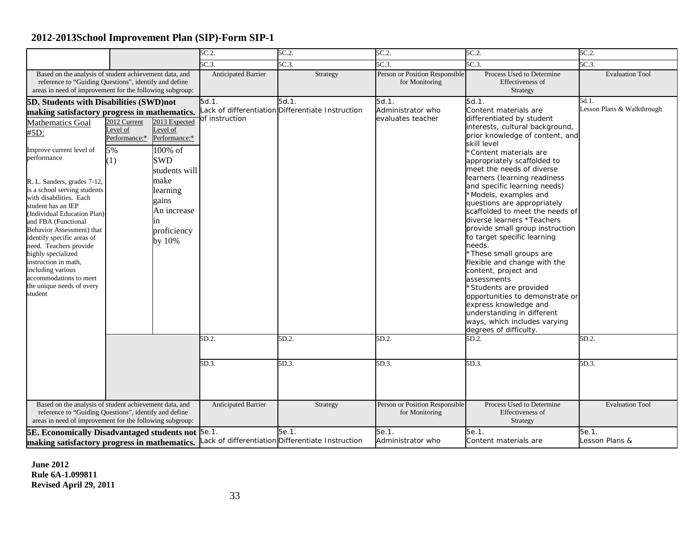|                                                                                                                                                                                                                                                                                                                                                                                                                                                                                                                                                                              |                                                        |                                                                                                                                                                    | 5C.2.                                        | 5C.2.                                                                       | 5C.2.                                                             | 5C.2.                                                                                                                                                                                                                                                                                                                                                                                                                                                                                                                                                                                                                                                                                                                                                                                                         | 5C.2.                                                 |
|------------------------------------------------------------------------------------------------------------------------------------------------------------------------------------------------------------------------------------------------------------------------------------------------------------------------------------------------------------------------------------------------------------------------------------------------------------------------------------------------------------------------------------------------------------------------------|--------------------------------------------------------|--------------------------------------------------------------------------------------------------------------------------------------------------------------------|----------------------------------------------|-----------------------------------------------------------------------------|-------------------------------------------------------------------|---------------------------------------------------------------------------------------------------------------------------------------------------------------------------------------------------------------------------------------------------------------------------------------------------------------------------------------------------------------------------------------------------------------------------------------------------------------------------------------------------------------------------------------------------------------------------------------------------------------------------------------------------------------------------------------------------------------------------------------------------------------------------------------------------------------|-------------------------------------------------------|
|                                                                                                                                                                                                                                                                                                                                                                                                                                                                                                                                                                              |                                                        |                                                                                                                                                                    | 5C.3                                         | 5C.3.                                                                       | 5C.3                                                              | 5C.3                                                                                                                                                                                                                                                                                                                                                                                                                                                                                                                                                                                                                                                                                                                                                                                                          | 5C.3.                                                 |
| Based on the analysis of student achievement data, and<br>reference to "Guiding Questions", identify and define<br>areas in need of improvement for the following subgroup:                                                                                                                                                                                                                                                                                                                                                                                                  |                                                        | Anticipated Barrier                                                                                                                                                | Strategy                                     | Person or Position Responsible<br>for Monitoring                            | Process Used to Determine<br>Effectiveness of<br>Strategy         | <b>Evaluation Tool</b>                                                                                                                                                                                                                                                                                                                                                                                                                                                                                                                                                                                                                                                                                                                                                                                        |                                                       |
| <b>5D. Students with Disabilities (SWD)not</b><br>making satisfactory progress in mathematics.<br><b>Mathematics Goal</b><br>#5D:<br>Improve current level of<br>performance<br>R. L. Sanders, grades 7-12,<br>is a school serving students<br>with disabilities. Each<br>student has an IEP<br>(Individual Education Plan)<br>and FBA (Functional<br>Behavior Assessment) that<br>identify specific areas of<br>need. Teachers provide<br>highly specialized<br>instruction in math,<br>including various<br>accommodations to meet<br>the unique needs of every<br>student | 2012 Current<br>Level of<br>Performance:*<br>5%<br>(1) | 2013 Expected<br>Level of<br>Performance:*<br>100% of<br><b>SWD</b><br>students will<br>make<br>learning<br>gains<br>An increase<br>ın<br>proficiency<br>by $10\%$ | $5d.1$ .<br>of instruction<br>5D.2.<br>5D.3. | 5d.1.<br>ack of differentiation Differentiate Instruction<br>5D.2.<br>5D.3. | 5d.1.<br>Administrator who<br>evaluates teacher<br>5D.2.<br>5D.3. | 5d.1.<br>Content materials are<br>differentiated by student<br>interests, cultural background,<br>prior knowledge of content, and<br>skill level<br>*Content materials are<br>appropriately scaffolded to<br>meet the needs of diverse<br>learners (learning readiness<br>and specific learning needs)<br>*Models, examples and<br>questions are appropriately<br>scaffolded to meet the needs of<br>diverse learners *Teachers<br>provide small group instruction<br>to target specific learning<br>needs.<br>*These small groups are<br>flexible and change with the<br>content, project and<br>assessments<br>*Students are provided<br>opportunities to demonstrate or<br>express knowledge and<br>understanding in different<br>ways, which includes varying<br>degrees of difficulty.<br>5D.2.<br>5D.3. | 5d.1.<br>Lesson Plans & Walkthrough<br>5D.2.<br>5D.3. |
| Based on the analysis of student achievement data, and<br>reference to "Guiding Questions", identify and define<br>areas in need of improvement for the following subgroup:                                                                                                                                                                                                                                                                                                                                                                                                  |                                                        | Anticipated Barrier                                                                                                                                                | Strategy                                     | Person or Position Responsible<br>for Monitoring                            | Process Used to Determine<br>Effectiveness of<br>Strategy         | <b>Evaluation Tool</b>                                                                                                                                                                                                                                                                                                                                                                                                                                                                                                                                                                                                                                                                                                                                                                                        |                                                       |
| <b>5E. Economically Disadvantaged students not 5e.1.</b><br>making satisfactory progress in mathematics.                                                                                                                                                                                                                                                                                                                                                                                                                                                                     |                                                        |                                                                                                                                                                    |                                              | 5e.1.<br>ack of differentiation Differentiate Instruction                   | 5e.1.<br>Administrator who                                        | 5e.1.<br>Content materials are                                                                                                                                                                                                                                                                                                                                                                                                                                                                                                                                                                                                                                                                                                                                                                                | 5e.1.<br>Lesson Plans &                               |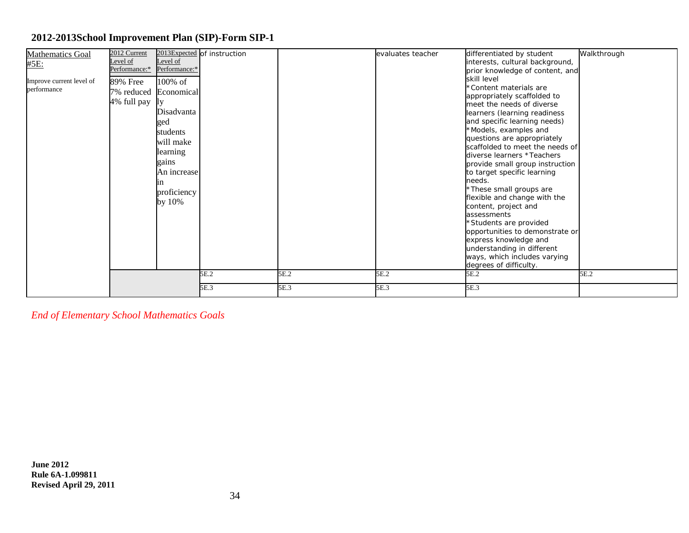| <b>Mathematics Goal</b>  | 2012 Current  |                       | 2013Expected of instruction |      | evaluates teacher | differentiated by student                                      | Walkthrough |
|--------------------------|---------------|-----------------------|-----------------------------|------|-------------------|----------------------------------------------------------------|-------------|
| #5E:                     | Level of      | Level of              |                             |      |                   | interests, cultural background,                                |             |
|                          | Performance:* | Performance:*         |                             |      |                   | prior knowledge of content, and                                |             |
| Improve current level of | 89% Free      | 100% of               |                             |      |                   | skill level                                                    |             |
| performance              |               | 7% reduced Economical |                             |      |                   | *Content materials are                                         |             |
|                          | 4% full pay   | <b>IIV</b>            |                             |      |                   | appropriately scaffolded to                                    |             |
|                          |               |                       |                             |      |                   | meet the needs of diverse                                      |             |
|                          |               | Disadvanta            |                             |      |                   | learners (learning readiness                                   |             |
|                          |               | ged                   |                             |      |                   | and specific learning needs)                                   |             |
|                          |               | students              |                             |      |                   | *Models, examples and                                          |             |
|                          |               | will make             |                             |      |                   | questions are appropriately                                    |             |
|                          |               | learning              |                             |      |                   | scaffolded to meet the needs of                                |             |
|                          |               | gains                 |                             |      |                   | diverse learners *Teachers                                     |             |
|                          |               | An increase           |                             |      |                   | provide small group instruction<br>to target specific learning |             |
|                          |               |                       |                             |      |                   | needs.                                                         |             |
|                          |               | 1n                    |                             |      |                   | *These small groups are                                        |             |
|                          |               | proficiency           |                             |      |                   | flexible and change with the                                   |             |
|                          |               | by 10%                |                             |      |                   | content, project and                                           |             |
|                          |               |                       |                             |      |                   | assessments                                                    |             |
|                          |               |                       |                             |      |                   | *Students are provided                                         |             |
|                          |               |                       |                             |      |                   | opportunities to demonstrate or                                |             |
|                          |               |                       |                             |      |                   | express knowledge and                                          |             |
|                          |               |                       |                             |      |                   | understanding in different                                     |             |
|                          |               |                       |                             |      |                   | ways, which includes varying                                   |             |
|                          |               |                       |                             |      |                   | degrees of difficulty.                                         |             |
|                          |               |                       | 5E.2                        | 5E.2 | 5E.2              | 5E.2                                                           | 5E.2        |
|                          |               |                       | 5E.3                        | 5E.3 | 5E.3              | 5E.3                                                           |             |

*End of Elementary School Mathematics Goals*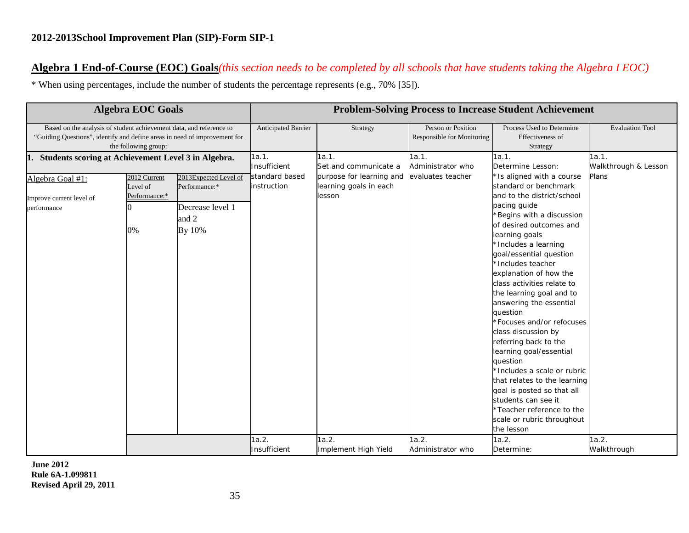### **Algebra 1 End-of-Course (EOC) Goals***(this section needs to be completed by all schools that have students taking the Algebra I EOC)*

\* When using percentages, include the number of students the percentage represents (e.g., 70% [35]).

|                                                                                                                                                  | <b>Algebra EOC Goals</b>                        |                                                                               | <b>Problem-Solving Process to Increase Student Achievement</b> |                                                                                                |                                                  |                                                                                                                                                                                                                                                                                                                                                                                                                                                                                                                                                                                                                                                                                |                                        |  |
|--------------------------------------------------------------------------------------------------------------------------------------------------|-------------------------------------------------|-------------------------------------------------------------------------------|----------------------------------------------------------------|------------------------------------------------------------------------------------------------|--------------------------------------------------|--------------------------------------------------------------------------------------------------------------------------------------------------------------------------------------------------------------------------------------------------------------------------------------------------------------------------------------------------------------------------------------------------------------------------------------------------------------------------------------------------------------------------------------------------------------------------------------------------------------------------------------------------------------------------------|----------------------------------------|--|
| Based on the analysis of student achievement data, and reference to<br>"Guiding Questions", identify and define areas in need of improvement for | the following group:                            |                                                                               | Anticipated Barrier                                            | Strategy                                                                                       | Person or Position<br>Responsible for Monitoring | Process Used to Determine<br>Effectiveness of<br>Strategy                                                                                                                                                                                                                                                                                                                                                                                                                                                                                                                                                                                                                      | <b>Evaluation Tool</b>                 |  |
| Students scoring at Achievement Level 3 in Algebra.<br>1.<br>Algebra Goal #1:<br>Improve current level of<br>performance                         | 2012 Current<br>Level of<br>Performance:*<br>0% | 2013Expected Level of<br>Performance:*<br>Decrease level 1<br>and 2<br>By 10% | 1a.1.<br>Insufficient<br>standard based<br>instruction         | 1a.1.<br>Set and communicate a<br>purpose for learning and<br>learning goals in each<br>lesson | 1a.1.<br>Administrator who<br>evaluates teacher  | 1a.1.<br>Determine Lesson:<br>'Is aligned with a course<br>standard or benchmark<br>and to the district/school<br>pacing guide<br>Begins with a discussion<br>of desired outcomes and<br>learning goals<br>*Includes a learning<br>goal/essential question<br>*Includes teacher<br>explanation of how the<br>class activities relate to<br>the learning goal and to<br>answering the essential<br>question<br>Focuses and/or refocuses<br>class discussion by<br>referring back to the<br>learning goal/essential<br>question<br>*Includes a scale or rubric<br>that relates to the learning<br>goal is posted so that all<br>students can see it<br>*Teacher reference to the | 1a.1.<br>Walkthrough & Lesson<br>Plans |  |
|                                                                                                                                                  |                                                 |                                                                               | 1a.2.<br>Insufficient                                          | 1a.2.<br>Implement High Yield                                                                  | 1a.2.<br>Administrator who                       | scale or rubric throughout<br>the lesson<br>1a.2.<br>Determine:                                                                                                                                                                                                                                                                                                                                                                                                                                                                                                                                                                                                                | 1a.2.<br>Walkthrough                   |  |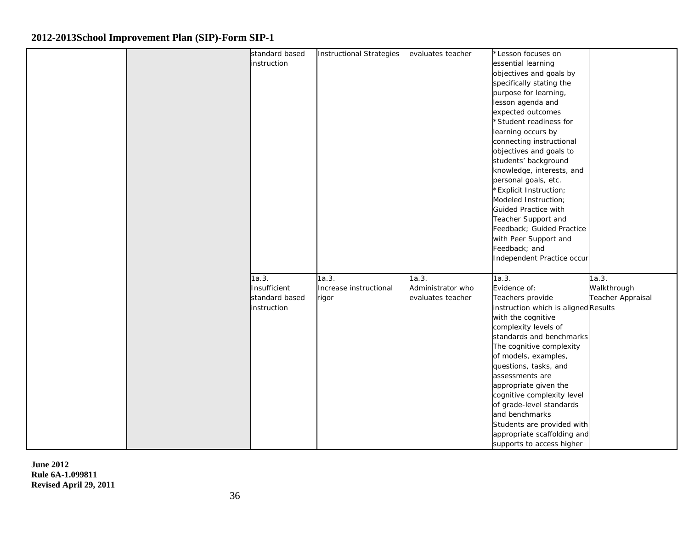|  | standard based | <b>Instructional Strategies</b> | evaluates teacher | *Lesson focuses on                   |                          |
|--|----------------|---------------------------------|-------------------|--------------------------------------|--------------------------|
|  | instruction    |                                 |                   | essential learning                   |                          |
|  |                |                                 |                   | objectives and goals by              |                          |
|  |                |                                 |                   | specifically stating the             |                          |
|  |                |                                 |                   | purpose for learning,                |                          |
|  |                |                                 |                   | lesson agenda and                    |                          |
|  |                |                                 |                   | expected outcomes                    |                          |
|  |                |                                 |                   | *Student readiness for               |                          |
|  |                |                                 |                   | learning occurs by                   |                          |
|  |                |                                 |                   | connecting instructional             |                          |
|  |                |                                 |                   | objectives and goals to              |                          |
|  |                |                                 |                   | students' background                 |                          |
|  |                |                                 |                   | knowledge, interests, and            |                          |
|  |                |                                 |                   | personal goals, etc.                 |                          |
|  |                |                                 |                   | <b>Explicit Instruction;</b>         |                          |
|  |                |                                 |                   | Modeled Instruction;                 |                          |
|  |                |                                 |                   | Guided Practice with                 |                          |
|  |                |                                 |                   | Teacher Support and                  |                          |
|  |                |                                 |                   | Feedback; Guided Practice            |                          |
|  |                |                                 |                   | with Peer Support and                |                          |
|  |                |                                 |                   | Feedback; and                        |                          |
|  |                |                                 |                   | Independent Practice occur           |                          |
|  |                |                                 |                   |                                      |                          |
|  | 1a.3.          | 1a.3.                           | 1a.3.             | 1a.3.                                | 1a.3.                    |
|  | Insufficient   | Increase instructional          | Administrator who | Evidence of:                         | Walkthrough              |
|  | standard based | rigor                           | evaluates teacher | Teachers provide                     | <b>Teacher Appraisal</b> |
|  | instruction    |                                 |                   | instruction which is aligned Results |                          |
|  |                |                                 |                   | with the cognitive                   |                          |
|  |                |                                 |                   | complexity levels of                 |                          |
|  |                |                                 |                   | standards and benchmarks             |                          |
|  |                |                                 |                   | The cognitive complexity             |                          |
|  |                |                                 |                   | of models, examples,                 |                          |
|  |                |                                 |                   | questions, tasks, and                |                          |
|  |                |                                 |                   | assessments are                      |                          |
|  |                |                                 |                   | appropriate given the                |                          |
|  |                |                                 |                   | cognitive complexity level           |                          |
|  |                |                                 |                   | of grade-level standards             |                          |
|  |                |                                 |                   | and benchmarks                       |                          |
|  |                |                                 |                   | Students are provided with           |                          |
|  |                |                                 |                   | appropriate scaffolding and          |                          |
|  |                |                                 |                   | supports to access higher            |                          |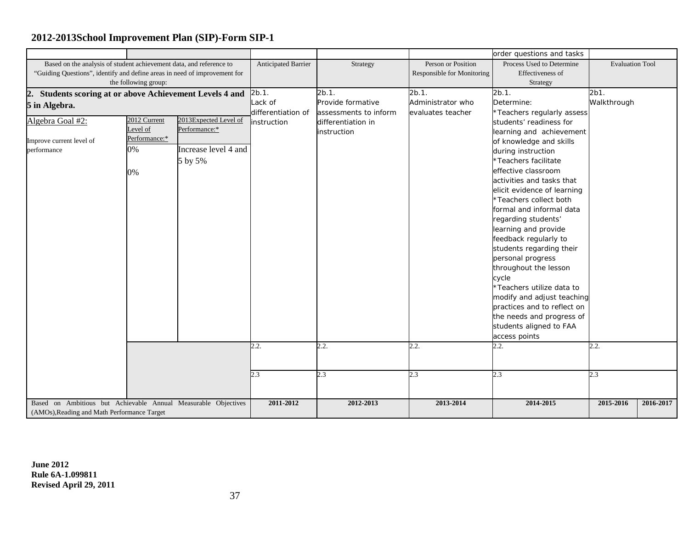|                                                                           |                                                                |                       |                     |                       |                            | order questions and tasks   |                        |           |
|---------------------------------------------------------------------------|----------------------------------------------------------------|-----------------------|---------------------|-----------------------|----------------------------|-----------------------------|------------------------|-----------|
| Based on the analysis of student achievement data, and reference to       |                                                                |                       | Anticipated Barrier | Strategy              | Person or Position         | Process Used to Determine   | <b>Evaluation Tool</b> |           |
| "Guiding Questions", identify and define areas in need of improvement for |                                                                |                       |                     |                       | Responsible for Monitoring | Effectiveness of            |                        |           |
|                                                                           | the following group:                                           |                       |                     |                       |                            | Strategy                    |                        |           |
| Students scoring at or above Achievement Levels 4 and<br>2.               |                                                                |                       | $2b.1$ .            | $2b.1$ .              | 2b.1.                      | 2b.1.                       | 2b1.                   |           |
| 5 in Algebra.                                                             |                                                                |                       | Lack of             | Provide formative     | Administrator who          | Determine:                  | Walkthrough            |           |
|                                                                           |                                                                |                       | differentiation of  | assessments to inform | evaluates teacher          | *Teachers regularly assess  |                        |           |
| Algebra Goal #2:                                                          | 2012 Current                                                   | 2013Expected Level of | <i>instruction</i>  | differentiation in    |                            | students' readiness for     |                        |           |
|                                                                           | Level of                                                       | Performance:*         |                     | instruction           |                            | learning and achievement    |                        |           |
| Improve current level of                                                  | Performance:*                                                  |                       |                     |                       |                            | of knowledge and skills     |                        |           |
| performance                                                               | 0%                                                             | Increase level 4 and  |                     |                       |                            | during instruction          |                        |           |
|                                                                           |                                                                | 5 by 5%               |                     |                       |                            | *Teachers facilitate        |                        |           |
|                                                                           | 0%                                                             |                       |                     |                       |                            | effective classroom         |                        |           |
|                                                                           |                                                                |                       |                     |                       |                            | activities and tasks that   |                        |           |
|                                                                           |                                                                |                       |                     |                       |                            | elicit evidence of learning |                        |           |
|                                                                           |                                                                |                       |                     |                       |                            | *Teachers collect both      |                        |           |
|                                                                           |                                                                |                       |                     |                       |                            | formal and informal data    |                        |           |
|                                                                           |                                                                |                       |                     |                       |                            | regarding students'         |                        |           |
|                                                                           |                                                                |                       |                     |                       |                            | learning and provide        |                        |           |
|                                                                           |                                                                |                       |                     |                       |                            | feedback regularly to       |                        |           |
|                                                                           |                                                                |                       |                     |                       |                            | students regarding their    |                        |           |
|                                                                           |                                                                |                       |                     |                       |                            | personal progress           |                        |           |
|                                                                           |                                                                |                       |                     |                       |                            | throughout the lesson       |                        |           |
|                                                                           |                                                                |                       |                     |                       |                            | cycle                       |                        |           |
|                                                                           |                                                                |                       |                     |                       |                            | *Teachers utilize data to   |                        |           |
|                                                                           |                                                                |                       |                     |                       |                            | modify and adjust teaching  |                        |           |
|                                                                           |                                                                |                       |                     |                       |                            | practices and to reflect on |                        |           |
|                                                                           |                                                                |                       |                     |                       |                            | the needs and progress of   |                        |           |
|                                                                           |                                                                |                       |                     |                       |                            | students aligned to FAA     |                        |           |
|                                                                           |                                                                |                       |                     |                       |                            | access points               |                        |           |
|                                                                           |                                                                |                       | 2.2.                | 2.2.                  | 2.2.                       | 2.2.                        | 2.2.                   |           |
|                                                                           |                                                                |                       |                     |                       |                            |                             |                        |           |
|                                                                           |                                                                |                       |                     |                       |                            |                             |                        |           |
|                                                                           |                                                                |                       | 2.3                 | 2.3                   | 2.3                        | 2.3                         | 2.3                    |           |
|                                                                           |                                                                |                       |                     |                       |                            |                             |                        |           |
|                                                                           |                                                                |                       |                     |                       |                            |                             |                        |           |
|                                                                           | Based on Ambitious but Achievable Annual Measurable Objectives |                       | 2011-2012           | 2012-2013             | 2013-2014                  | 2014-2015                   | 2015-2016              | 2016-2017 |
| (AMOs), Reading and Math Performance Target                               |                                                                |                       |                     |                       |                            |                             |                        |           |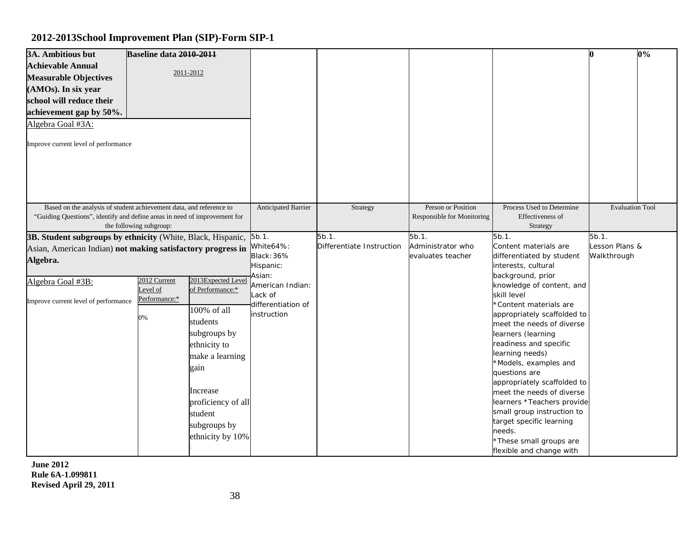| 3A. Ambitious but<br><b>Achievable Annual</b><br><b>Measurable Objectives</b><br>(AMOs). In six year<br>school will reduce their<br>achievement gap by 50%.<br>Algebra Goal #3A:<br>Improve current level of performance | Baseline data 2010-2011                        | 2011-2012                                                                                                                                                                                                     |                                                                                                                                       |                                    |                                                  |                                                                                                                                                                                                                                                                                                                                                                                                                                                                                                                                                                             | n                                      | 0% |
|--------------------------------------------------------------------------------------------------------------------------------------------------------------------------------------------------------------------------|------------------------------------------------|---------------------------------------------------------------------------------------------------------------------------------------------------------------------------------------------------------------|---------------------------------------------------------------------------------------------------------------------------------------|------------------------------------|--------------------------------------------------|-----------------------------------------------------------------------------------------------------------------------------------------------------------------------------------------------------------------------------------------------------------------------------------------------------------------------------------------------------------------------------------------------------------------------------------------------------------------------------------------------------------------------------------------------------------------------------|----------------------------------------|----|
| Based on the analysis of student achievement data, and reference to<br>"Guiding Questions", identify and define areas in need of improvement for                                                                         | the following subgroup:                        |                                                                                                                                                                                                               | Anticipated Barrier                                                                                                                   | Strategy                           | Person or Position<br>Responsible for Monitoring | Process Used to Determine<br>Effectiveness of<br>Strategy                                                                                                                                                                                                                                                                                                                                                                                                                                                                                                                   | <b>Evaluation Tool</b>                 |    |
| 3B. Student subgroups by ethnicity (White, Black, Hispanic,<br>Asian, American Indian) not making satisfactory progress in<br>Algebra.<br>Algebra Goal #3B:<br>Improve current level of performance                      | 2012 Current<br>evel of<br>Performance:*<br>0% | 2013Expected Level<br>of Performance:*<br>100% of all<br>students<br>subgroups by<br>ethnicity to<br>make a learning<br>gain<br>Increase<br>proficiency of all<br>student<br>subgroups by<br>ethnicity by 10% | $5b.1$ .<br>White64%:<br><b>Black: 36%</b><br>Hispanic:<br>Asian:<br>American Indian:<br>Lack of<br>differentiation of<br>instruction | 5b.1.<br>Differentiate Instruction | 5b.1.<br>Administrator who<br>evaluates teacher  | 5b.1.<br>Content materials are<br>differentiated by student<br>interests, cultural<br>background, prior<br>knowledge of content, and<br>skill level<br>*Content materials are<br>appropriately scaffolded to<br>meet the needs of diverse<br>learners (learning<br>readiness and specific<br>learning needs)<br>*Models, examples and<br>questions are<br>appropriately scaffolded to<br>meet the needs of diverse<br>learners *Teachers provide<br>small group instruction to<br>target specific learning<br>needs.<br>*These small groups are<br>flexible and change with | 5b.1.<br>Lesson Plans &<br>Walkthrough |    |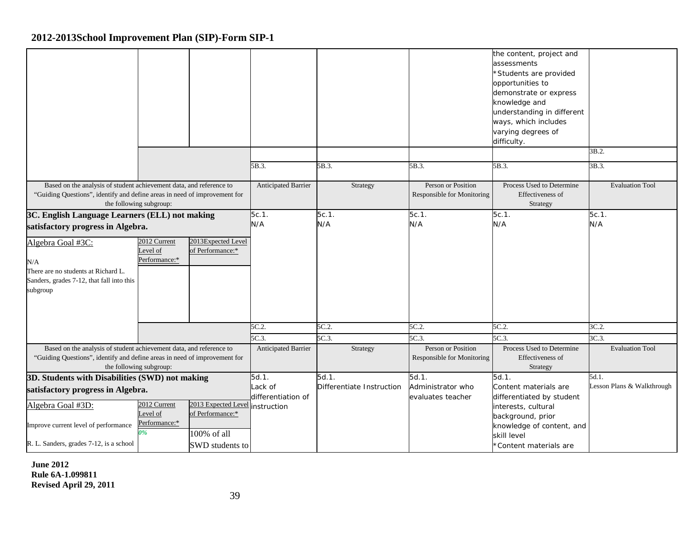|                                                                                                                                                  |                                                |                                                                    |                               |                           |                                                         | the content, project and<br>assessments<br>*Students are provided<br>opportunities to<br>demonstrate or express<br>knowledge and<br>understanding in different<br>ways, which includes<br>varying degrees of<br>difficulty. | 3B.2.                          |
|--------------------------------------------------------------------------------------------------------------------------------------------------|------------------------------------------------|--------------------------------------------------------------------|-------------------------------|---------------------------|---------------------------------------------------------|-----------------------------------------------------------------------------------------------------------------------------------------------------------------------------------------------------------------------------|--------------------------------|
|                                                                                                                                                  |                                                |                                                                    | 5B.3.                         | 5B.3.                     | 5B.3.                                                   | 5B.3.                                                                                                                                                                                                                       | 3B.3.                          |
|                                                                                                                                                  |                                                |                                                                    |                               |                           |                                                         |                                                                                                                                                                                                                             |                                |
| Based on the analysis of student achievement data, and reference to<br>"Guiding Questions", identify and define areas in need of improvement for | the following subgroup:                        |                                                                    | <b>Anticipated Barrier</b>    | Strategy                  | Person or Position<br><b>Responsible for Monitoring</b> | Process Used to Determine<br>Effectiveness of<br>Strategy                                                                                                                                                                   | <b>Evaluation Tool</b>         |
| 3C. English Language Learners (ELL) not making                                                                                                   |                                                |                                                                    | 5c.1.                         | $5c.1$ .                  | $5c.1$ .                                                | 5c.1.                                                                                                                                                                                                                       | $5c.1$ .                       |
| satisfactory progress in Algebra.                                                                                                                |                                                |                                                                    | N/A                           | N/A                       | N/A                                                     | N/A                                                                                                                                                                                                                         | N/A                            |
| Algebra Goal #3C:<br>N/A<br>There are no students at Richard L.<br>Sanders, grades 7-12, that fall into this<br>subgroup                         | 2012 Current<br>evel of<br>Performance:*       | 2013Expected Level<br>of Performance:*                             |                               |                           |                                                         |                                                                                                                                                                                                                             |                                |
|                                                                                                                                                  |                                                |                                                                    | 5C.2.                         | 5C.2.                     | 5C.2.                                                   | 5C.2.                                                                                                                                                                                                                       | 3C.2                           |
|                                                                                                                                                  |                                                |                                                                    | 5C.3                          | 5C.3                      | 5C.3<br>Person or Position                              | 5C.3.<br>Process Used to Determine                                                                                                                                                                                          | 3C.3<br><b>Evaluation Tool</b> |
| Based on the analysis of student achievement data, and reference to<br>"Guiding Questions", identify and define areas in need of improvement for | the following subgroup:                        |                                                                    | Anticipated Barrier           | Strategy                  | Responsible for Monitoring                              | Effectiveness of<br>Strategy                                                                                                                                                                                                |                                |
| 3D. Students with Disabilities (SWD) not making                                                                                                  |                                                |                                                                    | 5d.1.                         | 5d.1.                     | 5d.1.                                                   | 5d.1.                                                                                                                                                                                                                       | 5d.1.                          |
| satisfactory progress in Algebra.<br>Algebra Goal #3D:<br>Improve current level of performance<br>R. L. Sanders, grades 7-12, is a school        | 2012 Current<br>evel of<br>Performance:*<br>9% | 2013 Expected Level instruction<br>of Performance:*<br>100% of all | Lack of<br>differentiation of | Differentiate Instruction | Administrator who<br>evaluates teacher                  | Content materials are<br>differentiated by student<br>interests, cultural<br>background, prior<br>knowledge of content, and<br>skill level                                                                                  | Lesson Plans & Walkthrough     |
|                                                                                                                                                  |                                                | SWD students to                                                    |                               |                           |                                                         | *Content materials are                                                                                                                                                                                                      |                                |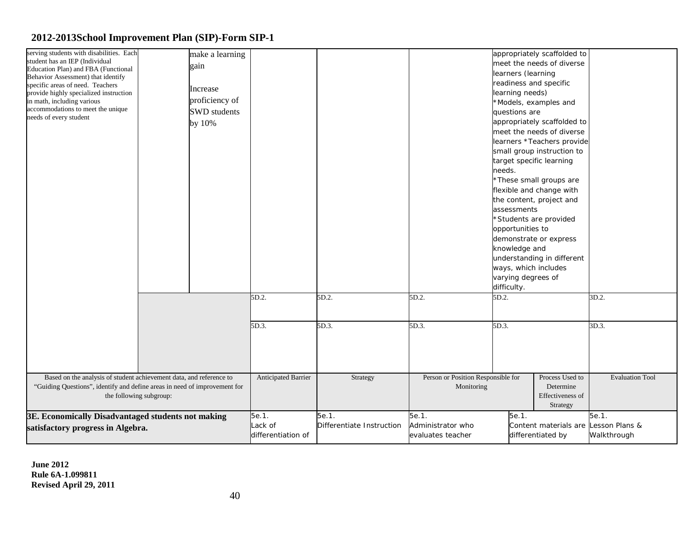| serving students with disabilities. Each                                  | make a learning     |                            |                           |                                    |                      | appropriately scaffolded to          |                        |
|---------------------------------------------------------------------------|---------------------|----------------------------|---------------------------|------------------------------------|----------------------|--------------------------------------|------------------------|
| student has an IEP (Individual                                            |                     |                            |                           |                                    |                      |                                      |                        |
| Education Plan) and FBA (Functional                                       | gain                |                            |                           |                                    |                      | meet the needs of diverse            |                        |
| Behavior Assessment) that identify                                        |                     |                            |                           |                                    | learners (learning   |                                      |                        |
| specific areas of need. Teachers                                          |                     |                            |                           |                                    |                      | readiness and specific               |                        |
| provide highly specialized instruction                                    | Increase            |                            |                           |                                    | learning needs)      |                                      |                        |
| in math, including various                                                | proficiency of      |                            |                           |                                    |                      | *Models, examples and                |                        |
| accommodations to meet the unique                                         | <b>SWD</b> students |                            |                           |                                    | questions are        |                                      |                        |
| needs of every student                                                    | by 10%              |                            |                           |                                    |                      | appropriately scaffolded to          |                        |
|                                                                           |                     |                            |                           |                                    |                      | meet the needs of diverse            |                        |
|                                                                           |                     |                            |                           |                                    |                      | learners *Teachers provide           |                        |
|                                                                           |                     |                            |                           |                                    |                      | small group instruction to           |                        |
|                                                                           |                     |                            |                           |                                    |                      | target specific learning             |                        |
|                                                                           |                     |                            |                           |                                    | needs.               |                                      |                        |
|                                                                           |                     |                            |                           |                                    |                      | *These small groups are              |                        |
|                                                                           |                     |                            |                           |                                    |                      |                                      |                        |
|                                                                           |                     |                            |                           |                                    |                      | flexible and change with             |                        |
|                                                                           |                     |                            |                           |                                    |                      | the content, project and             |                        |
|                                                                           |                     |                            |                           |                                    | assessments          |                                      |                        |
|                                                                           |                     |                            |                           |                                    |                      | *Students are provided               |                        |
|                                                                           |                     |                            |                           |                                    | opportunities to     |                                      |                        |
|                                                                           |                     |                            |                           |                                    |                      | demonstrate or express               |                        |
|                                                                           |                     |                            |                           |                                    | knowledge and        |                                      |                        |
|                                                                           |                     |                            |                           |                                    |                      | understanding in different           |                        |
|                                                                           |                     |                            |                           |                                    | ways, which includes |                                      |                        |
|                                                                           |                     |                            |                           |                                    | varying degrees of   |                                      |                        |
|                                                                           |                     |                            |                           |                                    | difficulty.          |                                      |                        |
|                                                                           |                     | 5D.2.                      | 5D.2.                     | 5D.2.                              | 5D.2.                |                                      | 3D.2.                  |
|                                                                           |                     |                            |                           |                                    |                      |                                      |                        |
|                                                                           |                     |                            |                           |                                    |                      |                                      |                        |
|                                                                           |                     | 5D.3.                      | 5D.3.                     | 5D.3.                              | 5D.3.                |                                      | 3D.3.                  |
|                                                                           |                     |                            |                           |                                    |                      |                                      |                        |
|                                                                           |                     |                            |                           |                                    |                      |                                      |                        |
|                                                                           |                     |                            |                           |                                    |                      |                                      |                        |
|                                                                           |                     |                            |                           |                                    |                      |                                      |                        |
|                                                                           |                     |                            |                           |                                    |                      |                                      |                        |
| Based on the analysis of student achievement data, and reference to       |                     | <b>Anticipated Barrier</b> | Strategy                  | Person or Position Responsible for |                      | Process Used to                      | <b>Evaluation Tool</b> |
| "Guiding Questions", identify and define areas in need of improvement for |                     |                            |                           | Monitoring                         |                      | Determine                            |                        |
| the following subgroup:                                                   |                     |                            |                           |                                    |                      | Effectiveness of                     |                        |
|                                                                           |                     |                            |                           |                                    |                      | Strategy                             |                        |
| 3E. Economically Disadvantaged students not making                        |                     | 5e.1.                      | 5e.1.                     | 5e.1.                              | 5e.1.                |                                      | 5e.1.                  |
| satisfactory progress in Algebra.                                         |                     | Lack of                    | Differentiate Instruction | Administrator who                  |                      | Content materials are Lesson Plans & |                        |
|                                                                           |                     | differentiation of         |                           | evaluates teacher                  |                      | differentiated by                    | Walkthrough            |
|                                                                           |                     |                            |                           |                                    |                      |                                      |                        |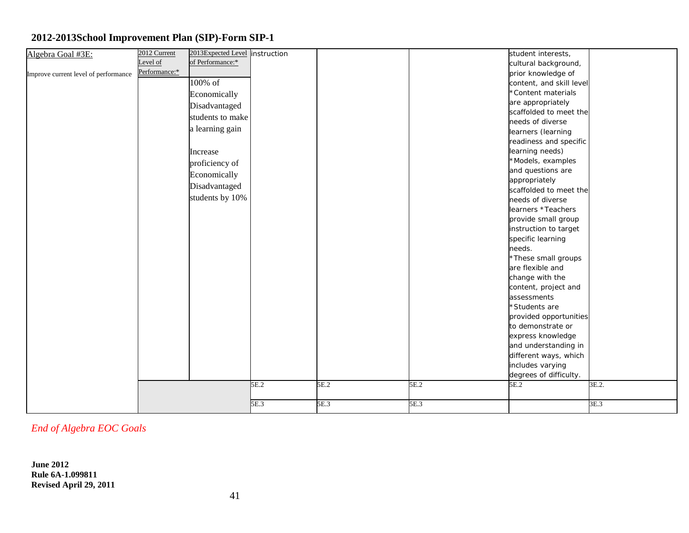| Algebra Goal #3E:                    | 2012 Current  | 2013Expected Level instruction |      |      |      | student interests,       |       |
|--------------------------------------|---------------|--------------------------------|------|------|------|--------------------------|-------|
|                                      | evel of       | of Performance:*               |      |      |      | cultural background,     |       |
| Improve current level of performance | Performance:* |                                |      |      |      | prior knowledge of       |       |
|                                      |               | 100% of                        |      |      |      | content, and skill level |       |
|                                      |               | Economically                   |      |      |      | *Content materials       |       |
|                                      |               | Disadvantaged                  |      |      |      | are appropriately        |       |
|                                      |               | students to make               |      |      |      | scaffolded to meet the   |       |
|                                      |               |                                |      |      |      | needs of diverse         |       |
|                                      |               | a learning gain                |      |      |      | learners (learning       |       |
|                                      |               |                                |      |      |      | readiness and specific   |       |
|                                      |               | Increase                       |      |      |      | learning needs)          |       |
|                                      |               | proficiency of                 |      |      |      | *Models, examples        |       |
|                                      |               | Economically                   |      |      |      | and questions are        |       |
|                                      |               | Disadvantaged                  |      |      |      | appropriately            |       |
|                                      |               |                                |      |      |      | scaffolded to meet the   |       |
|                                      |               | students by 10%                |      |      |      | needs of diverse         |       |
|                                      |               |                                |      |      |      | learners *Teachers       |       |
|                                      |               |                                |      |      |      | provide small group      |       |
|                                      |               |                                |      |      |      | instruction to target    |       |
|                                      |               |                                |      |      |      | specific learning        |       |
|                                      |               |                                |      |      |      | needs.                   |       |
|                                      |               |                                |      |      |      | *These small groups      |       |
|                                      |               |                                |      |      |      | are flexible and         |       |
|                                      |               |                                |      |      |      | change with the          |       |
|                                      |               |                                |      |      |      | content, project and     |       |
|                                      |               |                                |      |      |      | assessments              |       |
|                                      |               |                                |      |      |      | *Students are            |       |
|                                      |               |                                |      |      |      | provided opportunities   |       |
|                                      |               |                                |      |      |      | to demonstrate or        |       |
|                                      |               |                                |      |      |      | express knowledge        |       |
|                                      |               |                                |      |      |      | and understanding in     |       |
|                                      |               |                                |      |      |      | different ways, which    |       |
|                                      |               |                                |      |      |      | includes varying         |       |
|                                      |               |                                |      |      |      | degrees of difficulty.   |       |
|                                      |               |                                | 5E.2 | 5E.2 | 5E.2 | 5E.2                     | 3E.2. |
|                                      |               |                                |      |      |      |                          |       |
|                                      |               |                                | 5E.3 | 5E.3 | 5E.3 |                          | 3E.3  |

*End of Algebra EOC Goals*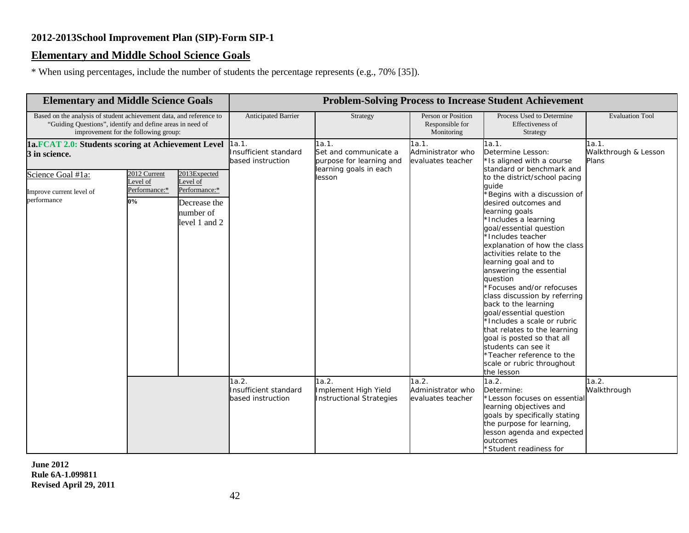## **Elementary and Middle School Science Goals**

\* When using percentages, include the number of students the percentage represents (e.g., 70% [35]).

| <b>Elementary and Middle Science Goals</b>                                                                                                                               |                                                    |                                                                                         | <b>Problem-Solving Process to Increase Student Achievement</b> |                                                                                                |                                                     |                                                                                                                                                                                                                                                                                                                                                                                                                                                                         |                                        |  |  |
|--------------------------------------------------------------------------------------------------------------------------------------------------------------------------|----------------------------------------------------|-----------------------------------------------------------------------------------------|----------------------------------------------------------------|------------------------------------------------------------------------------------------------|-----------------------------------------------------|-------------------------------------------------------------------------------------------------------------------------------------------------------------------------------------------------------------------------------------------------------------------------------------------------------------------------------------------------------------------------------------------------------------------------------------------------------------------------|----------------------------------------|--|--|
| Based on the analysis of student achievement data, and reference to<br>"Guiding Questions", identify and define areas in need of<br>improvement for the following group: |                                                    |                                                                                         | Anticipated Barrier                                            | Strategy                                                                                       | Person or Position<br>Responsible for<br>Monitoring | Process Used to Determine<br>Effectiveness of<br>Strategy                                                                                                                                                                                                                                                                                                                                                                                                               | <b>Evaluation Tool</b>                 |  |  |
| 1a.FCAT 2.0: Students scoring at Achievement Level<br>3 in science.<br>Science Goal #1a:<br>Improve current level of<br>performance                                      | 2012 Current<br>Level of<br>Performance:*<br>$0\%$ | 2013Expected<br>Level of<br>Performance:*<br>Decrease the<br>number of<br>level 1 and 2 | 1a.1.<br>Insufficient standard<br>based instruction            | 1a.1.<br>Set and communicate a<br>purpose for learning and<br>learning goals in each<br>lesson | 1a.1.<br>Administrator who<br>evaluates teacher     | 1a.1.<br>Determine Lesson:<br>*Is aligned with a course<br>standard or benchmark and<br>to the district/school pacing<br>quide<br>Begins with a discussion of<br>desired outcomes and<br>learning goals<br>*Includes a learning<br>goal/essential question<br>*Includes teacher<br>explanation of how the class<br>activities relate to the<br>learning goal and to<br>answering the essential<br>question<br>*Focuses and/or refocuses                                 | 1a.1.<br>Walkthrough & Lesson<br>Plans |  |  |
|                                                                                                                                                                          |                                                    |                                                                                         | 1a.2.<br>Insufficient standard<br>based instruction            | 1a.2.<br>Implement High Yield<br><b>Instructional Strategies</b>                               | 1a.2.<br>Administrator who<br>evaluates teacher     | class discussion by referring<br>back to the learning<br>goal/essential question<br>*Includes a scale or rubric<br>that relates to the learning<br>goal is posted so that all<br>students can see it<br>*Teacher reference to the<br>scale or rubric throughout<br>the lesson<br>1a.2.<br>Determine:<br>*Lesson focuses on essential<br>learning objectives and<br>goals by specifically stating<br>the purpose for learning,<br>lesson agenda and expected<br>outcomes | 1a.2.<br>Walkthrough                   |  |  |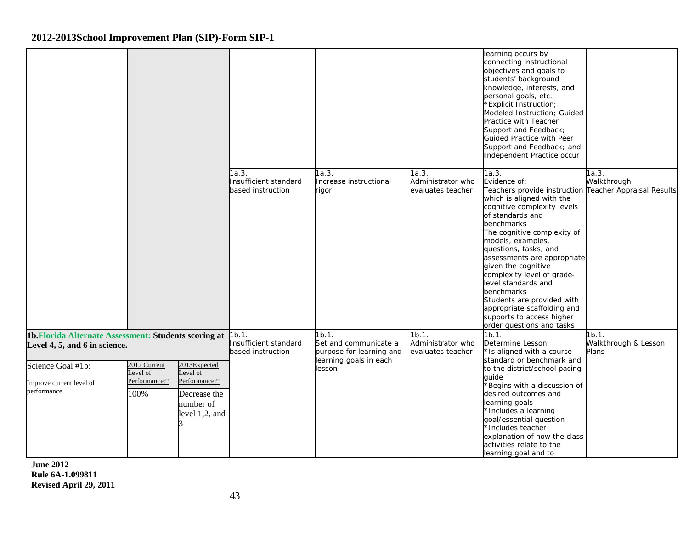|                                                                                        |                                                              |                                                                              |                                                     |                                                                                      |                                                 | learning occurs by<br>connecting instructional<br>objectives and goals to<br>students' background<br>knowledge, interests, and<br>personal goals, etc.<br>*Explicit Instruction;<br>Modeled Instruction; Guided<br>Practice with Teacher<br>Support and Feedback;<br>Guided Practice with Peer<br>Support and Feedback; and<br>Independent Practice occur                                                                                                                                                  |                                        |
|----------------------------------------------------------------------------------------|--------------------------------------------------------------|------------------------------------------------------------------------------|-----------------------------------------------------|--------------------------------------------------------------------------------------|-------------------------------------------------|------------------------------------------------------------------------------------------------------------------------------------------------------------------------------------------------------------------------------------------------------------------------------------------------------------------------------------------------------------------------------------------------------------------------------------------------------------------------------------------------------------|----------------------------------------|
|                                                                                        |                                                              |                                                                              | 1a.3.<br>Insufficient standard<br>based instruction | 1a.3.<br>ncrease instructional<br>rigor                                              | 1a.3.<br>Administrator who<br>evaluates teacher | 1a.3.<br>Evidence of:<br>Teachers provide instruction Teacher Appraisal Results<br>which is aligned with the<br>cognitive complexity levels<br>of standards and<br>benchmarks<br>The cognitive complexity of<br>models, examples,<br>questions, tasks, and<br>assessments are appropriate<br>given the cognitive<br>complexity level of grade-<br>level standards and<br>benchmarks<br>Students are provided with<br>appropriate scaffolding and<br>supports to access higher<br>order questions and tasks | 1a.3.<br>Walkthrough                   |
| 1b. Florida Alternate Assessment: Students scoring at<br>Level 4, 5, and 6 in science. |                                                              |                                                                              | 1b.1.<br>Insufficient standard<br>based instruction | 1b.1.<br>Set and communicate a<br>purpose for learning and<br>learning goals in each | 1b.1.<br>Administrator who<br>evaluates teacher | 1b.1.<br>Determine Lesson:<br>*Is aligned with a course<br>standard or benchmark and                                                                                                                                                                                                                                                                                                                                                                                                                       | 1b.1.<br>Walkthrough & Lesson<br>Plans |
| Science Goal #1b:<br>Improve current level of<br>performance                           | 2012 Current<br>evel of<br>Level of<br>Performance:*<br>100% | 2013Expected<br>Performance:*<br>Decrease the<br>number of<br>level 1,2, and |                                                     | lesson                                                                               |                                                 | to the district/school pacing<br>quide<br>*Begins with a discussion of<br>desired outcomes and<br>learning goals<br>*Includes a learning<br>goal/essential question<br>*Includes teacher<br>explanation of how the class<br>activities relate to the<br>learning goal and to                                                                                                                                                                                                                               |                                        |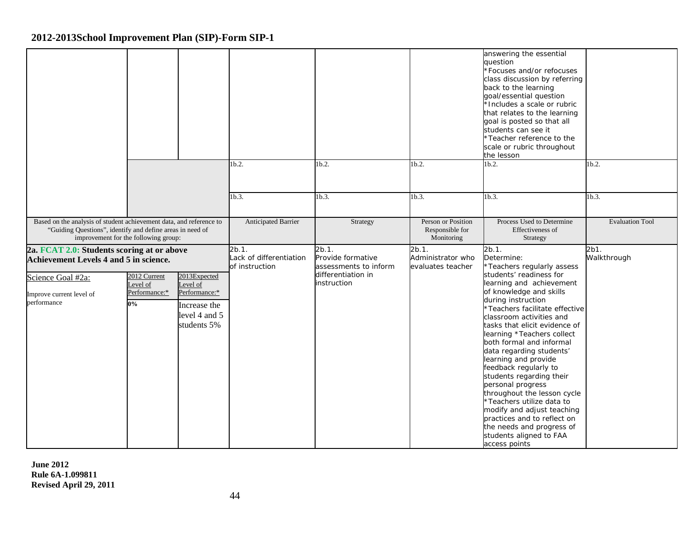|                                                                                                                                                                          |                                                   |                                                                                           |                                                    |                                                     |                                                     | answering the essential<br>question<br>*Focuses and/or refocuses<br>class discussion by referring<br>back to the learning<br>goal/essential question<br>*Includes a scale or rubric<br>that relates to the learning<br>goal is posted so that all<br>students can see it<br>*Teacher reference to the<br>scale or rubric throughout<br>the lesson                                                                                                                                                                                                                                             |                        |
|--------------------------------------------------------------------------------------------------------------------------------------------------------------------------|---------------------------------------------------|-------------------------------------------------------------------------------------------|----------------------------------------------------|-----------------------------------------------------|-----------------------------------------------------|-----------------------------------------------------------------------------------------------------------------------------------------------------------------------------------------------------------------------------------------------------------------------------------------------------------------------------------------------------------------------------------------------------------------------------------------------------------------------------------------------------------------------------------------------------------------------------------------------|------------------------|
|                                                                                                                                                                          |                                                   |                                                                                           | 1 <sub>b.2</sub>                                   | 1b.2.                                               | 1 <sub>b.2</sub>                                    | 1 <sub>b.2</sub>                                                                                                                                                                                                                                                                                                                                                                                                                                                                                                                                                                              | 1 <sub>b.2</sub>       |
|                                                                                                                                                                          |                                                   |                                                                                           | 1b.3.                                              | 1b.3.                                               | 1 <sub>b.3</sub>                                    | 1b.3                                                                                                                                                                                                                                                                                                                                                                                                                                                                                                                                                                                          | 1b.3.                  |
| Based on the analysis of student achievement data, and reference to<br>"Guiding Questions", identify and define areas in need of<br>improvement for the following group: |                                                   |                                                                                           | Anticipated Barrier                                | Strategy                                            | Person or Position<br>Responsible for<br>Monitoring | Process Used to Determine<br>Effectiveness of<br>Strategy                                                                                                                                                                                                                                                                                                                                                                                                                                                                                                                                     | <b>Evaluation Tool</b> |
| 2a. FCAT 2.0: Students scoring at or above<br>Achievement Levels 4 and 5 in science.                                                                                     |                                                   |                                                                                           | 2b.1.<br>Lack of differentiation<br>of instruction | 2b.1.<br>Provide formative<br>assessments to inform | $2b.1$ .<br>Administrator who<br>evaluates teacher  | 2b.1.<br>Determine:<br>*Teachers regularly assess                                                                                                                                                                                                                                                                                                                                                                                                                                                                                                                                             | 2b1.<br>Walkthrough    |
| Science Goal #2a:<br>Improve current level of<br>performance                                                                                                             | 2012 Current<br>evel of<br>Performance:*<br>$0\%$ | 2013Expected<br>Level of<br>Performance:*<br>Increase the<br>level 4 and 5<br>students 5% |                                                    | differentiation in<br>instruction                   |                                                     | students' readiness for<br>learning and achievement<br>of knowledge and skills<br>during instruction<br>*Teachers facilitate effective<br>classroom activities and<br>tasks that elicit evidence of<br>learning *Teachers collect<br>both formal and informal<br>data regarding students'<br>learning and provide<br>feedback regularly to<br>students regarding their<br>personal progress<br>throughout the lesson cycle<br>*Teachers utilize data to<br>modify and adjust teaching<br>practices and to reflect on<br>the needs and progress of<br>students aligned to FAA<br>access points |                        |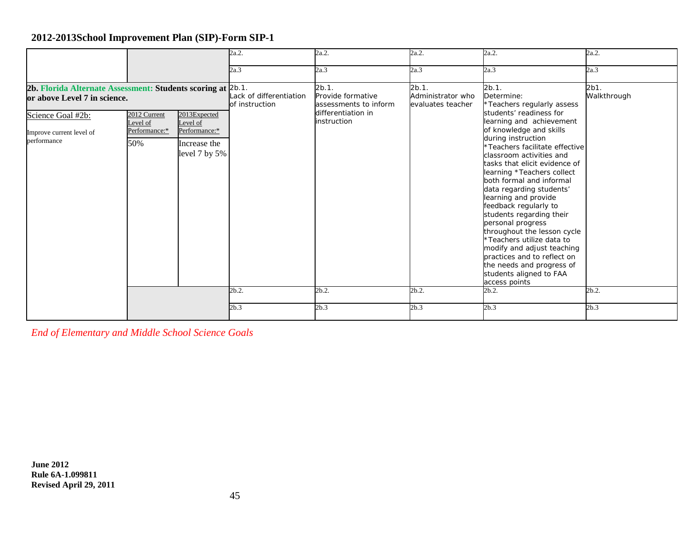|                                                                                                                                                             |                                                  |                                                                            | 2a.2.                                     | 2a.2.                                                                                    | 2a.2.                                           | 2a.2.                                                                                                                                                                                                                                                                                                                                                                                                                                                                                                                                                                                                                             | 2a.2.               |
|-------------------------------------------------------------------------------------------------------------------------------------------------------------|--------------------------------------------------|----------------------------------------------------------------------------|-------------------------------------------|------------------------------------------------------------------------------------------|-------------------------------------------------|-----------------------------------------------------------------------------------------------------------------------------------------------------------------------------------------------------------------------------------------------------------------------------------------------------------------------------------------------------------------------------------------------------------------------------------------------------------------------------------------------------------------------------------------------------------------------------------------------------------------------------------|---------------------|
|                                                                                                                                                             |                                                  |                                                                            | 2a.3                                      | 2a.3                                                                                     | 2a.3                                            | 2a.3                                                                                                                                                                                                                                                                                                                                                                                                                                                                                                                                                                                                                              | 2a.3                |
| 2b. Florida Alternate Assessment: Students scoring at 2b.1.<br>or above Level 7 in science.<br>Science Goal #2b:<br>Improve current level of<br>performance | 2012 Current<br>Level of<br>Performance:*<br>50% | 2013Expected<br>Level of<br>Performance:*<br>Increase the<br>level 7 by 5% | Lack of differentiation<br>of instruction | 2b.1.<br>Provide formative<br>assessments to inform<br>differentiation in<br>instruction | 2b.1.<br>Administrator who<br>evaluates teacher | 2b.1.<br>Determine:<br>*Teachers regularly assess<br>students' readiness for<br>learning and achievement<br>of knowledge and skills<br>during instruction<br>*Teachers facilitate effective<br>classroom activities and<br>tasks that elicit evidence of<br>learning *Teachers collect<br>both formal and informal<br>data regarding students'<br>learning and provide<br>feedback regularly to<br>students regarding their<br>personal progress<br>throughout the lesson cycle<br>*Teachers utilize data to<br>modify and adjust teaching<br>practices and to reflect on<br>the needs and progress of<br>students aligned to FAA | 2b1.<br>Walkthrough |
|                                                                                                                                                             |                                                  |                                                                            | 2b.2.                                     | 2b.2.                                                                                    | 2b.2.                                           | access points<br>2b.2.                                                                                                                                                                                                                                                                                                                                                                                                                                                                                                                                                                                                            | 2b.2.               |
|                                                                                                                                                             |                                                  |                                                                            | 2b.3                                      | 2b.3                                                                                     | 2b.3                                            | 2b.3                                                                                                                                                                                                                                                                                                                                                                                                                                                                                                                                                                                                                              | 2b.3                |

*End of Elementary and Middle School Science Goals*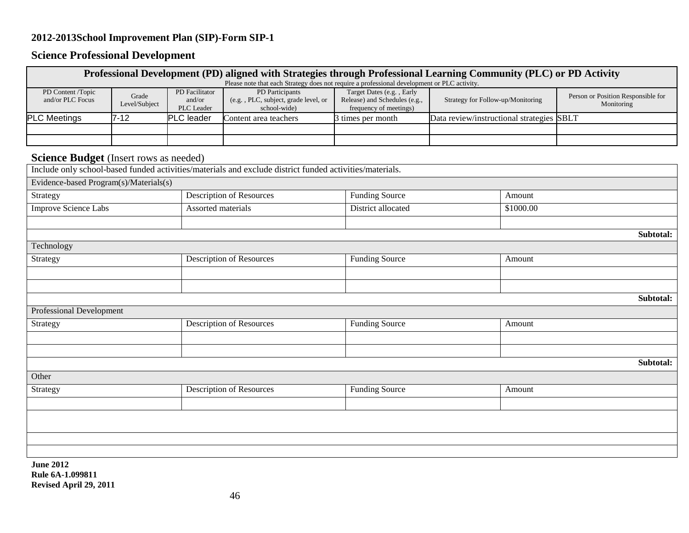# **Science Professional Development**

|                                        |                        |                                        | Professional Development (PD) aligned with Strategies through Professional Learning Community (PLC) or PD Activity<br>Please note that each Strategy does not require a professional development or PLC activity. |                                                                                      |                                           |           |                                                  |
|----------------------------------------|------------------------|----------------------------------------|-------------------------------------------------------------------------------------------------------------------------------------------------------------------------------------------------------------------|--------------------------------------------------------------------------------------|-------------------------------------------|-----------|--------------------------------------------------|
| PD Content /Topic<br>and/or PLC Focus  | Grade<br>Level/Subject | PD Facilitator<br>and/or<br>PLC Leader | PD Participants<br>(e.g., PLC, subject, grade level, or<br>school-wide)                                                                                                                                           | Target Dates (e.g., Early<br>Release) and Schedules (e.g.,<br>frequency of meetings) | Strategy for Follow-up/Monitoring         |           | Person or Position Responsible for<br>Monitoring |
| <b>PLC Meetings</b>                    | $7 - 12$               | PLC leader                             | Content area teachers                                                                                                                                                                                             | 3 times per month                                                                    | Data review/instructional strategies SBLT |           |                                                  |
|                                        |                        |                                        |                                                                                                                                                                                                                   |                                                                                      |                                           |           |                                                  |
|                                        |                        |                                        |                                                                                                                                                                                                                   |                                                                                      |                                           |           |                                                  |
| Science Budget (Insert rows as needed) |                        |                                        |                                                                                                                                                                                                                   |                                                                                      |                                           |           |                                                  |
|                                        |                        |                                        | Include only school-based funded activities/materials and exclude district funded activities/materials.                                                                                                           |                                                                                      |                                           |           |                                                  |
| Evidence-based Program(s)/Materials(s) |                        |                                        |                                                                                                                                                                                                                   |                                                                                      |                                           |           |                                                  |
| Strategy                               |                        |                                        | <b>Description of Resources</b>                                                                                                                                                                                   | <b>Funding Source</b>                                                                |                                           | Amount    |                                                  |
| <b>Improve Science Labs</b>            |                        | Assorted materials                     |                                                                                                                                                                                                                   | District allocated                                                                   |                                           | \$1000.00 |                                                  |
|                                        |                        |                                        |                                                                                                                                                                                                                   |                                                                                      |                                           |           |                                                  |
|                                        |                        |                                        |                                                                                                                                                                                                                   |                                                                                      |                                           |           | Subtotal:                                        |
| Technology                             |                        |                                        |                                                                                                                                                                                                                   |                                                                                      |                                           |           |                                                  |
| Strategy                               |                        |                                        | <b>Description of Resources</b>                                                                                                                                                                                   | <b>Funding Source</b>                                                                |                                           | Amount    |                                                  |
|                                        |                        |                                        |                                                                                                                                                                                                                   |                                                                                      |                                           |           |                                                  |
|                                        |                        |                                        |                                                                                                                                                                                                                   |                                                                                      |                                           |           |                                                  |
|                                        |                        |                                        |                                                                                                                                                                                                                   |                                                                                      |                                           |           | Subtotal:                                        |
| Professional Development               |                        |                                        |                                                                                                                                                                                                                   |                                                                                      |                                           |           |                                                  |
| Strategy                               |                        |                                        | Description of Resources                                                                                                                                                                                          | <b>Funding Source</b>                                                                |                                           | Amount    |                                                  |
|                                        |                        |                                        |                                                                                                                                                                                                                   |                                                                                      |                                           |           |                                                  |
|                                        |                        |                                        |                                                                                                                                                                                                                   |                                                                                      |                                           |           |                                                  |
|                                        |                        |                                        |                                                                                                                                                                                                                   |                                                                                      |                                           |           | Subtotal:                                        |
| Other                                  |                        |                                        |                                                                                                                                                                                                                   |                                                                                      |                                           |           |                                                  |
| Strategy                               |                        |                                        | Description of Resources                                                                                                                                                                                          | <b>Funding Source</b>                                                                |                                           | Amount    |                                                  |
|                                        |                        |                                        |                                                                                                                                                                                                                   |                                                                                      |                                           |           |                                                  |
|                                        |                        |                                        |                                                                                                                                                                                                                   |                                                                                      |                                           |           |                                                  |
|                                        |                        |                                        |                                                                                                                                                                                                                   |                                                                                      |                                           |           |                                                  |
|                                        |                        |                                        |                                                                                                                                                                                                                   |                                                                                      |                                           |           |                                                  |
| <b>June 2012</b>                       |                        |                                        |                                                                                                                                                                                                                   |                                                                                      |                                           |           |                                                  |

**Rule 6A-1.099811 Revised April 29, 2011**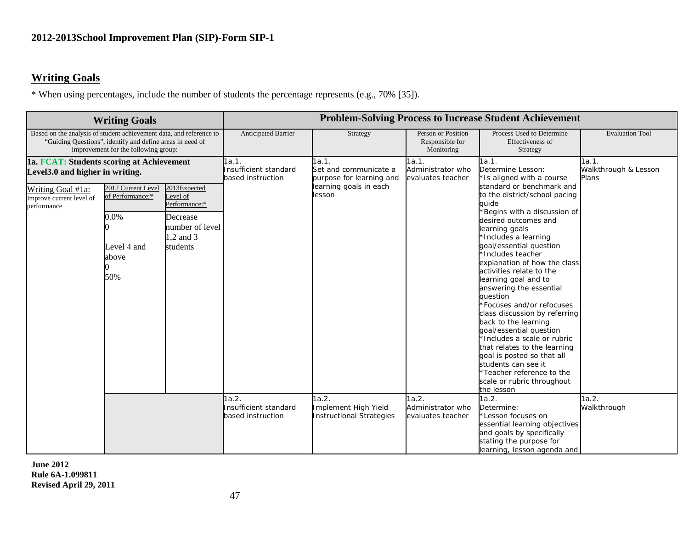## **Writing Goals**

\* When using percentages, include the number of students the percentage represents (e.g., 70% [35]).

|                                                                                                                                                                          | <b>Writing Goals</b>                                    |                                                                                   |                                                     |                                                                                      |                                                     | <b>Problem-Solving Process to Increase Student Achievement</b>                                                                                                                                                                                                                                                                                                                                                                                                                                                                                                                                                                  |                                        |
|--------------------------------------------------------------------------------------------------------------------------------------------------------------------------|---------------------------------------------------------|-----------------------------------------------------------------------------------|-----------------------------------------------------|--------------------------------------------------------------------------------------|-----------------------------------------------------|---------------------------------------------------------------------------------------------------------------------------------------------------------------------------------------------------------------------------------------------------------------------------------------------------------------------------------------------------------------------------------------------------------------------------------------------------------------------------------------------------------------------------------------------------------------------------------------------------------------------------------|----------------------------------------|
| Based on the analysis of student achievement data, and reference to<br>"Guiding Questions", identify and define areas in need of<br>improvement for the following group: |                                                         |                                                                                   | Anticipated Barrier                                 | Strategy                                                                             | Person or Position<br>Responsible for<br>Monitoring | Process Used to Determine<br>Effectiveness of<br>Strategy                                                                                                                                                                                                                                                                                                                                                                                                                                                                                                                                                                       | <b>Evaluation Tool</b>                 |
| 1a. FCAT: Students scoring at Achievement<br>Level3.0 and higher in writing.<br>Writing Goal #1a:                                                                        | 2012 Current Level                                      | 2013Expected                                                                      | 1a.1.<br>Insufficient standard<br>based instruction | 1a.1.<br>Set and communicate a<br>purpose for learning and<br>learning goals in each | 1a.1.<br>Administrator who<br>evaluates teacher     | 1a.1.<br>Determine Lesson:<br>*Is aligned with a course<br>standard or benchmark and                                                                                                                                                                                                                                                                                                                                                                                                                                                                                                                                            | 1a.1.<br>Walkthrough & Lesson<br>Plans |
| Improve current level of<br>performance                                                                                                                                  | of Performance:*<br>0.0%<br>Level 4 and<br>above<br>50% | Level of<br>Performance:*<br>Decrease<br>number of level<br>1,2 and 3<br>students |                                                     | lesson                                                                               |                                                     | to the district/school pacing<br>quide<br>Begins with a discussion of<br>desired outcomes and<br>learning goals<br>*Includes a learning<br>goal/essential question<br>*Includes teacher<br>explanation of how the class<br>activities relate to the<br>learning goal and to<br>answering the essential<br>question<br>*Focuses and/or refocuses<br>class discussion by referring<br>back to the learning<br>goal/essential question<br>*Includes a scale or rubric<br>that relates to the learning<br>goal is posted so that all<br>students can see it<br>Teacher reference to the<br>scale or rubric throughout<br>the lesson |                                        |
|                                                                                                                                                                          |                                                         |                                                                                   | 1a.2.<br>Insufficient standard<br>based instruction | 1a.2.<br>Implement High Yield<br><b>Instructional Strategies</b>                     | 1a.2.<br>Administrator who<br>evaluates teacher     | 1a.2.<br>Determine:<br>Lesson focuses on<br>essential learning objectives<br>and goals by specifically<br>stating the purpose for<br>learning, lesson agenda and                                                                                                                                                                                                                                                                                                                                                                                                                                                                | 1a.2.<br>Walkthrough                   |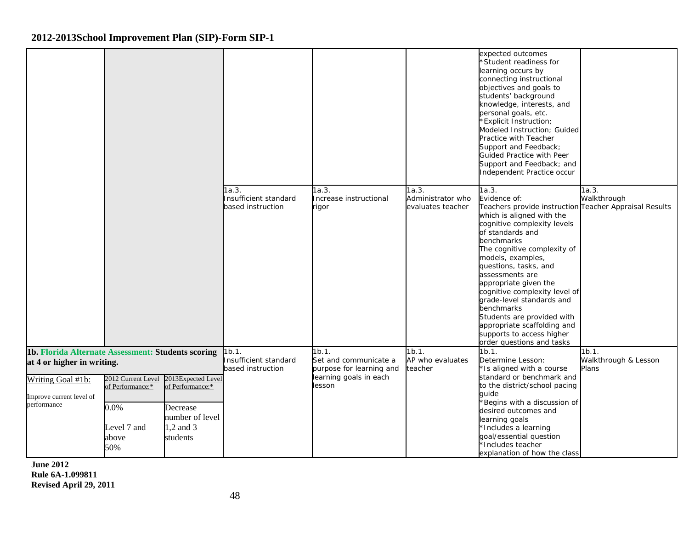|                                                                                                                                                  |                                                                                  |                                                                                                |                                                     |                                                                                                |                                                 | expected outcomes<br>'Student readiness for<br>learning occurs by<br>connecting instructional<br>objectives and goals to<br>students' background<br>knowledge, interests, and<br>personal goals, etc.<br><b>Explicit Instruction;</b><br>Modeled Instruction; Guided<br>Practice with Teacher<br>Support and Feedback;<br>Guided Practice with Peer<br>Support and Feedback; and<br>Independent Practice occur                                                                                            |                                        |
|--------------------------------------------------------------------------------------------------------------------------------------------------|----------------------------------------------------------------------------------|------------------------------------------------------------------------------------------------|-----------------------------------------------------|------------------------------------------------------------------------------------------------|-------------------------------------------------|-----------------------------------------------------------------------------------------------------------------------------------------------------------------------------------------------------------------------------------------------------------------------------------------------------------------------------------------------------------------------------------------------------------------------------------------------------------------------------------------------------------|----------------------------------------|
|                                                                                                                                                  |                                                                                  |                                                                                                | 1a.3.<br>Insufficient standard<br>based instruction | 1a.3.<br>Increase instructional<br>rigor                                                       | 1a.3.<br>Administrator who<br>evaluates teacher | 1a.3.<br>Evidence of:<br>Teachers provide instruction Teacher Appraisal Results<br>which is aligned with the<br>cognitive complexity levels<br>of standards and<br>benchmarks<br>The cognitive complexity of<br>models, examples,<br>questions, tasks, and<br>assessments are<br>appropriate given the<br>cognitive complexity level of<br>grade-level standards and<br>benchmarks<br>Students are provided with<br>appropriate scaffolding and<br>supports to access higher<br>order questions and tasks | 1a.3.<br>Walkthrough                   |
| 1b. Florida Alternate Assessment: Students scoring<br>at 4 or higher in writing.<br>Writing Goal #1b:<br>Improve current level of<br>performance | 2012 Current Level<br>of Performance:*<br>$0.0\%$<br>Level 7 and<br>above<br>50% | 2013Expected Level<br>of Performance:*<br>Decrease<br>number of level<br>1,2 and 3<br>students | 1b.1.<br>Insufficient standard<br>based instruction | 1b.1.<br>Set and communicate a<br>purpose for learning and<br>learning goals in each<br>lesson | 1b.1.<br>AP who evaluates<br>teacher            | 1b.1.<br>Determine Lesson:<br>Is aligned with a course<br>standard or benchmark and<br>to the district/school pacing<br>quide<br>Begins with a discussion of<br>desired outcomes and<br>learning goals<br>*Includes a learning<br>goal/essential question<br>Includes teacher<br>explanation of how the class                                                                                                                                                                                             | 1b.1.<br>Walkthrough & Lesson<br>Plans |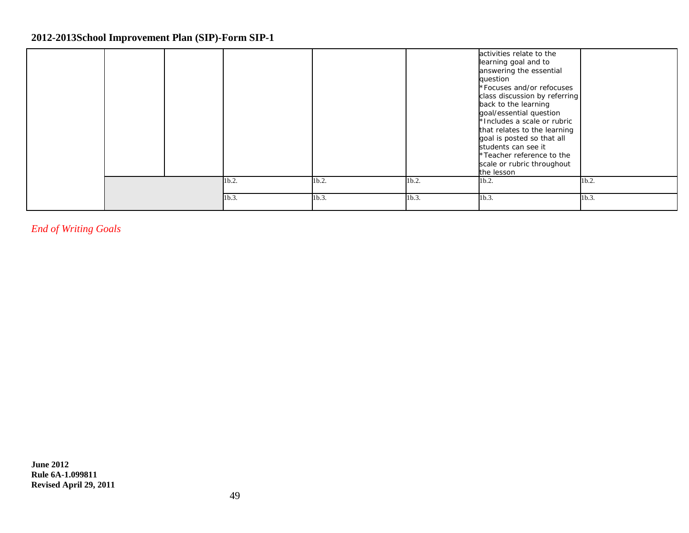|  |       |       |       | activities relate to the<br>learning goal and to<br>answering the essential<br>question<br>*Focuses and/or refocuses<br>class discussion by referring<br>back to the learning<br>goal/essential question<br>*Includes a scale or rubric<br>that relates to the learning<br>goal is posted so that all |          |
|--|-------|-------|-------|-------------------------------------------------------------------------------------------------------------------------------------------------------------------------------------------------------------------------------------------------------------------------------------------------------|----------|
|  |       |       |       | students can see it<br>*Teacher reference to the<br>scale or rubric throughout<br>the lesson                                                                                                                                                                                                          |          |
|  | 1b.2. | 1b.2. | 1b.2. | 1b.2.                                                                                                                                                                                                                                                                                                 | 1b.2.    |
|  | 1b.3. | 1b.3. | 1b.3. | 1b.3.                                                                                                                                                                                                                                                                                                 | $1b.3$ . |

*End of Writing Goals*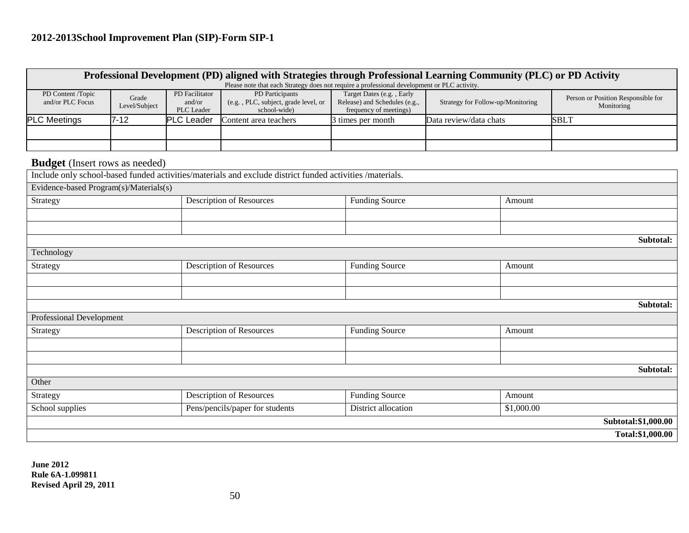|                                        |                        |                                        | Professional Development (PD) aligned with Strategies through Professional Learning Community (PLC) or PD Activity<br>Please note that each Strategy does not require a professional development or PLC activity. |                                                                                      |                                   |            |                                                  |  |
|----------------------------------------|------------------------|----------------------------------------|-------------------------------------------------------------------------------------------------------------------------------------------------------------------------------------------------------------------|--------------------------------------------------------------------------------------|-----------------------------------|------------|--------------------------------------------------|--|
| PD Content /Topic<br>and/or PLC Focus  | Grade<br>Level/Subject | PD Facilitator<br>and/or<br>PLC Leader | PD Participants<br>(e.g., PLC, subject, grade level, or<br>school-wide)                                                                                                                                           | Target Dates (e.g., Early<br>Release) and Schedules (e.g.,<br>frequency of meetings) | Strategy for Follow-up/Monitoring |            | Person or Position Responsible for<br>Monitoring |  |
| <b>PLC Meetings</b>                    | $7 - 12$               | <b>PLC</b> Leader                      | Content area teachers                                                                                                                                                                                             | 3 times per month                                                                    | Data review/data chats            |            | <b>SBLT</b>                                      |  |
|                                        |                        |                                        |                                                                                                                                                                                                                   |                                                                                      |                                   |            |                                                  |  |
|                                        |                        |                                        |                                                                                                                                                                                                                   |                                                                                      |                                   |            |                                                  |  |
| <b>Budget</b> (Insert rows as needed)  |                        |                                        |                                                                                                                                                                                                                   |                                                                                      |                                   |            |                                                  |  |
|                                        |                        |                                        | Include only school-based funded activities/materials and exclude district funded activities /materials.                                                                                                          |                                                                                      |                                   |            |                                                  |  |
| Evidence-based Program(s)/Materials(s) |                        |                                        |                                                                                                                                                                                                                   |                                                                                      |                                   |            |                                                  |  |
| Strategy                               |                        |                                        | <b>Description of Resources</b>                                                                                                                                                                                   | <b>Funding Source</b>                                                                |                                   | Amount     |                                                  |  |
|                                        |                        |                                        |                                                                                                                                                                                                                   |                                                                                      |                                   |            |                                                  |  |
|                                        |                        |                                        |                                                                                                                                                                                                                   |                                                                                      |                                   |            |                                                  |  |
|                                        |                        |                                        |                                                                                                                                                                                                                   |                                                                                      |                                   |            | Subtotal:                                        |  |
| Technology                             |                        |                                        |                                                                                                                                                                                                                   |                                                                                      |                                   |            |                                                  |  |
| Strategy                               |                        |                                        | Description of Resources                                                                                                                                                                                          | <b>Funding Source</b>                                                                |                                   | Amount     |                                                  |  |
|                                        |                        |                                        |                                                                                                                                                                                                                   |                                                                                      |                                   |            |                                                  |  |
|                                        |                        |                                        |                                                                                                                                                                                                                   |                                                                                      |                                   |            |                                                  |  |
|                                        |                        |                                        |                                                                                                                                                                                                                   |                                                                                      |                                   |            | Subtotal:                                        |  |
| <b>Professional Development</b>        |                        |                                        |                                                                                                                                                                                                                   |                                                                                      |                                   |            |                                                  |  |
| Strategy                               |                        |                                        | <b>Description of Resources</b>                                                                                                                                                                                   | <b>Funding Source</b>                                                                |                                   | Amount     |                                                  |  |
|                                        |                        |                                        |                                                                                                                                                                                                                   |                                                                                      |                                   |            |                                                  |  |
|                                        |                        |                                        |                                                                                                                                                                                                                   |                                                                                      |                                   |            |                                                  |  |
|                                        |                        |                                        |                                                                                                                                                                                                                   |                                                                                      |                                   |            | Subtotal:                                        |  |
| Other                                  |                        |                                        |                                                                                                                                                                                                                   |                                                                                      |                                   |            |                                                  |  |
| Strategy                               |                        |                                        | <b>Description of Resources</b>                                                                                                                                                                                   | <b>Funding Source</b>                                                                |                                   | Amount     |                                                  |  |
| School supplies                        |                        |                                        | Pens/pencils/paper for students                                                                                                                                                                                   | District allocation                                                                  |                                   | \$1,000.00 |                                                  |  |
|                                        |                        |                                        |                                                                                                                                                                                                                   |                                                                                      |                                   |            | Subtotal:\$1,000.00                              |  |
|                                        |                        |                                        |                                                                                                                                                                                                                   |                                                                                      |                                   |            |                                                  |  |

**Total:\$1,000.00**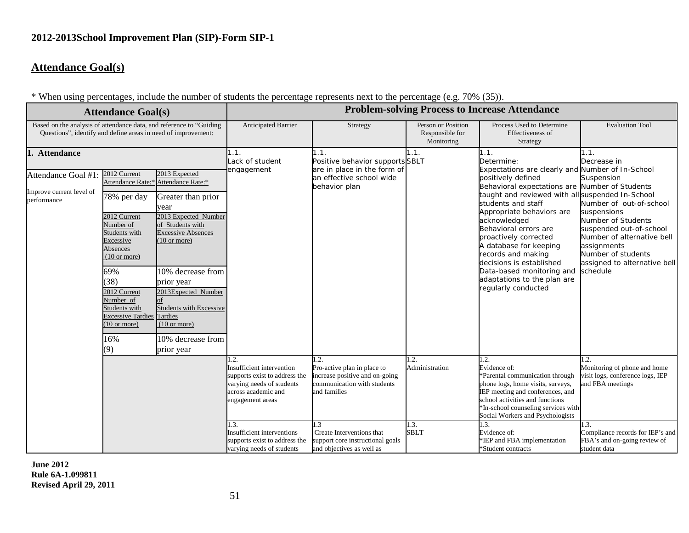## **Attendance Goal(s)**

\* When using percentages, include the number of students the percentage represents next to the percentage (e.g. 70% (35)).

| $\cdots$                                                                                                                                                                               |                                                                             | $\sum_{i=1}^{n}$<br><b>Problem-solving Process to Increase Attendance</b> |                                                                                                                                            |                                                                                                                      |                                                                                                                  |                                                                                                                                                                                                                                                |                                                                                              |  |
|----------------------------------------------------------------------------------------------------------------------------------------------------------------------------------------|-----------------------------------------------------------------------------|---------------------------------------------------------------------------|--------------------------------------------------------------------------------------------------------------------------------------------|----------------------------------------------------------------------------------------------------------------------|------------------------------------------------------------------------------------------------------------------|------------------------------------------------------------------------------------------------------------------------------------------------------------------------------------------------------------------------------------------------|----------------------------------------------------------------------------------------------|--|
|                                                                                                                                                                                        | <b>Attendance Goal(s)</b>                                                   |                                                                           |                                                                                                                                            |                                                                                                                      |                                                                                                                  |                                                                                                                                                                                                                                                |                                                                                              |  |
| Based on the analysis of attendance data, and reference to "Guiding"<br>Questions", identify and define areas in need of improvement:                                                  |                                                                             |                                                                           | Anticipated Barrier                                                                                                                        | Strategy                                                                                                             | Person or Position<br>Responsible for<br>Monitoring                                                              | Process Used to Determine<br>Effectiveness of<br>Strategy                                                                                                                                                                                      | <b>Evaluation Tool</b>                                                                       |  |
| 1. Attendance                                                                                                                                                                          |                                                                             |                                                                           | 1.1.<br>Lack of student                                                                                                                    | 1.1.<br>Positive behavior supports SBLT                                                                              | 1.1.                                                                                                             | 1.1.<br>Determine:                                                                                                                                                                                                                             | 1.1.<br>Decrease in                                                                          |  |
| Attendance Goal #1                                                                                                                                                                     | 2012 Current                                                                | 2013 Expected<br>Attendance Rate:* Attendance Rate:*                      | engagement                                                                                                                                 | are in place in the form of<br>an effective school wide<br>behavior plan                                             |                                                                                                                  | Expectations are clearly and Number of In-School<br>positively defined<br>Behavioral expectations are Number of Students                                                                                                                       | Suspension                                                                                   |  |
| Improve current level of<br>performance                                                                                                                                                | 78% per day                                                                 | Greater than prior<br>year                                                |                                                                                                                                            |                                                                                                                      |                                                                                                                  | taught and reviewed with all suspended In-School<br>students and staff<br>Appropriate behaviors are                                                                                                                                            | Number of out-of-school<br>suspensions                                                       |  |
| 2013 Expected Number<br>2012 Current<br>Number of<br>of Students with<br><b>Excessive Absences</b><br>Students with<br>$(10 \text{ or more})$<br>Excessive<br>Absences<br>(10 or more) |                                                                             |                                                                           |                                                                                                                                            | acknowledged<br>Behavioral errors are<br>proactively corrected<br>A database for keeping<br>records and making       | Number of Students<br>suspended out-of-school<br>Number of alternative bell<br>assignments<br>Number of students |                                                                                                                                                                                                                                                |                                                                                              |  |
|                                                                                                                                                                                        | 69%<br>(38)<br>2012 Current<br>Number of                                    | 10% decrease from<br>prior year<br>2013Expected Number<br>of              |                                                                                                                                            |                                                                                                                      |                                                                                                                  | decisions is established<br>Data-based monitoring and<br>adaptations to the plan are<br>regularly conducted                                                                                                                                    | assigned to alternative bell<br>schedule                                                     |  |
|                                                                                                                                                                                        | Students with<br><b>Excessive Tardies Tardies</b><br>$(10 \text{ or more})$ | <b>Students with Excessive</b><br>$(10 \text{ or more})$                  |                                                                                                                                            |                                                                                                                      |                                                                                                                  |                                                                                                                                                                                                                                                |                                                                                              |  |
|                                                                                                                                                                                        | 16%<br>9)                                                                   | 10% decrease from<br>prior year                                           |                                                                                                                                            |                                                                                                                      |                                                                                                                  |                                                                                                                                                                                                                                                |                                                                                              |  |
|                                                                                                                                                                                        |                                                                             |                                                                           | 1.2.<br>Insufficient intervention<br>supports exist to address the<br>varying needs of students<br>across academic and<br>engagement areas | 1.2.<br>Pro-active plan in place to<br>increase positive and on-going<br>communication with students<br>and families | 1.2.<br>Administration                                                                                           | 1.2.<br>Evidence of:<br>*Parental communication through<br>phone logs, home visits, surveys,<br>IEP meeting and conferences, and<br>school activities and functions<br>*In-school counseling services with<br>Social Workers and Psychologists | 1.2.<br>Monitoring of phone and home<br>visit logs, conference logs, IEP<br>and FBA meetings |  |
|                                                                                                                                                                                        |                                                                             |                                                                           | 1.3.<br><b>Insufficient interventions</b><br>supports exist to address the<br>varying needs of students                                    | 1.3<br>Create Interventions that<br>support core instructional goals<br>and objectives as well as                    | 1.3.<br><b>SBLT</b>                                                                                              | 1.3.<br>Evidence of:<br>*IEP and FBA implementation<br>*Student contracts                                                                                                                                                                      | 1.3.<br>Compliance records for IEP's and<br>FBA's and on-going review of<br>student data     |  |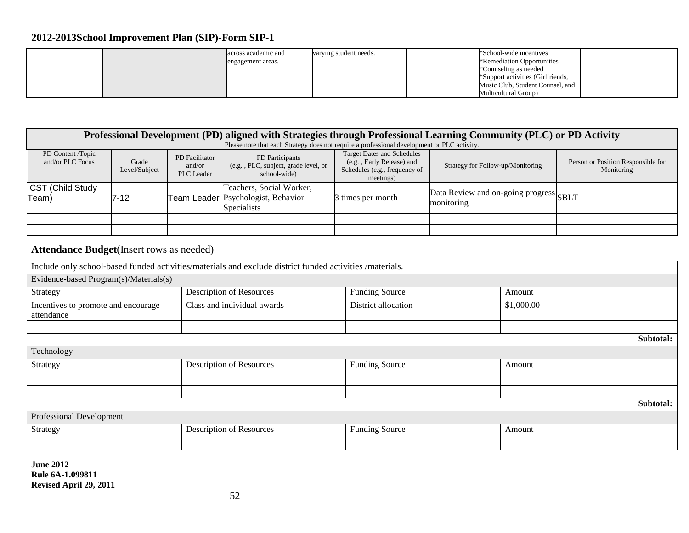|  | across academic and | varying student needs. | *School-wide incentives           |  |
|--|---------------------|------------------------|-----------------------------------|--|
|  | engagement areas.   |                        | *Remediation Opportunities        |  |
|  |                     |                        | *Counseling as needed             |  |
|  |                     |                        | *Support activities (Girlfriends, |  |
|  |                     |                        | Music Club, Student Counsel, and  |  |
|  |                     |                        | Multicultural Group)              |  |

|                                       | Professional Development (PD) aligned with Strategies through Professional Learning Community (PLC) or PD Activity |                                        |                                                                                             |                                                                                                              |                                                      |                                                  |  |  |  |
|---------------------------------------|--------------------------------------------------------------------------------------------------------------------|----------------------------------------|---------------------------------------------------------------------------------------------|--------------------------------------------------------------------------------------------------------------|------------------------------------------------------|--------------------------------------------------|--|--|--|
|                                       |                                                                                                                    |                                        | Please note that each Strategy does not require a professional development or PLC activity. |                                                                                                              |                                                      |                                                  |  |  |  |
| PD Content /Topic<br>and/or PLC Focus | Grade<br>Level/Subject                                                                                             | PD Facilitator<br>and/or<br>PLC Leader | PD Participants<br>(e.g., PLC, subject, grade level, or<br>school-wide                      | <b>Target Dates and Schedules</b><br>(e.g., Early Release) and<br>Schedules (e.g., frequency of<br>meetings) | Strategy for Follow-up/Monitoring                    | Person or Position Responsible for<br>Monitoring |  |  |  |
| CST (Child Study<br>Team)             | 7-12                                                                                                               |                                        | Teachers, Social Worker,<br>Team Leader Psychologist, Behavior<br><b>Specialists</b>        | 3 times per month                                                                                            | Data Review and on-going progress SBLT<br>monitoring |                                                  |  |  |  |
|                                       |                                                                                                                    |                                        |                                                                                             |                                                                                                              |                                                      |                                                  |  |  |  |
|                                       |                                                                                                                    |                                        |                                                                                             |                                                                                                              |                                                      |                                                  |  |  |  |

## **Attendance Budget**(Insert rows as needed)

|                                                   | Include only school-based funded activities/materials and exclude district funded activities /materials. |                       |            |           |  |  |  |  |
|---------------------------------------------------|----------------------------------------------------------------------------------------------------------|-----------------------|------------|-----------|--|--|--|--|
| Evidence-based Program(s)/Materials(s)            |                                                                                                          |                       |            |           |  |  |  |  |
| Strategy                                          | Description of Resources                                                                                 | <b>Funding Source</b> | Amount     |           |  |  |  |  |
| Incentives to promote and encourage<br>attendance | Class and individual awards                                                                              | District allocation   | \$1,000.00 |           |  |  |  |  |
|                                                   |                                                                                                          |                       |            |           |  |  |  |  |
| Subtotal:                                         |                                                                                                          |                       |            |           |  |  |  |  |
| Technology                                        |                                                                                                          |                       |            |           |  |  |  |  |
| Strategy                                          | Description of Resources                                                                                 | <b>Funding Source</b> | Amount     |           |  |  |  |  |
|                                                   |                                                                                                          |                       |            |           |  |  |  |  |
|                                                   |                                                                                                          |                       |            |           |  |  |  |  |
|                                                   |                                                                                                          |                       |            | Subtotal: |  |  |  |  |
| Professional Development                          |                                                                                                          |                       |            |           |  |  |  |  |
| Strategy                                          | Description of Resources                                                                                 | <b>Funding Source</b> | Amount     |           |  |  |  |  |
|                                                   |                                                                                                          |                       |            |           |  |  |  |  |
|                                                   |                                                                                                          |                       |            |           |  |  |  |  |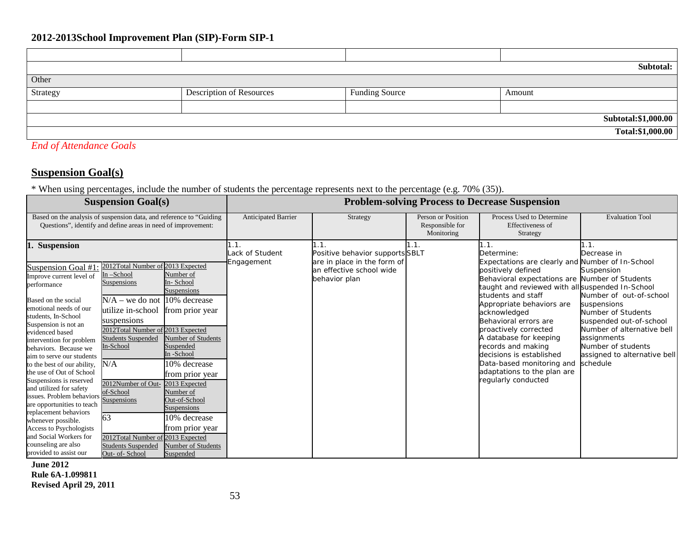|                     |                                 |                       | Subtotal:        |  |  |  |
|---------------------|---------------------------------|-----------------------|------------------|--|--|--|
| Other               |                                 |                       |                  |  |  |  |
| Strategy            | <b>Description of Resources</b> | <b>Funding Source</b> | Amount           |  |  |  |
|                     |                                 |                       |                  |  |  |  |
| Subtotal:\$1,000.00 |                                 |                       |                  |  |  |  |
|                     |                                 |                       | Total:\$1,000.00 |  |  |  |

## *End of Attendance Goals*

## **Suspension Goal(s)**

\* When using percentages, include the number of students the percentage represents next to the percentage (e.g. 70% (35)).

|                                                                                                                                                                                                                                                                                                                                                                                                                                                                                                     | <b>Suspension Goal(s)</b>                                                                                                                                                                                                                                                                   |                                                                                                                                                                                        | <b>Problem-solving Process to Decrease Suspension</b> |                                                                                                                     |                                                     |                                                                                                                                                                                                                                                                                                                                                                                                                                                                                        |                                                                                                                                                                                                                                             |  |
|-----------------------------------------------------------------------------------------------------------------------------------------------------------------------------------------------------------------------------------------------------------------------------------------------------------------------------------------------------------------------------------------------------------------------------------------------------------------------------------------------------|---------------------------------------------------------------------------------------------------------------------------------------------------------------------------------------------------------------------------------------------------------------------------------------------|----------------------------------------------------------------------------------------------------------------------------------------------------------------------------------------|-------------------------------------------------------|---------------------------------------------------------------------------------------------------------------------|-----------------------------------------------------|----------------------------------------------------------------------------------------------------------------------------------------------------------------------------------------------------------------------------------------------------------------------------------------------------------------------------------------------------------------------------------------------------------------------------------------------------------------------------------------|---------------------------------------------------------------------------------------------------------------------------------------------------------------------------------------------------------------------------------------------|--|
| Based on the analysis of suspension data, and reference to "Guiding"                                                                                                                                                                                                                                                                                                                                                                                                                                | Questions", identify and define areas in need of improvement:                                                                                                                                                                                                                               |                                                                                                                                                                                        | Anticipated Barrier                                   | Strategy                                                                                                            | Person or Position<br>Responsible for<br>Monitoring | Process Used to Determine<br><b>Effectiveness of</b><br>Strategy                                                                                                                                                                                                                                                                                                                                                                                                                       | <b>Evaluation Tool</b>                                                                                                                                                                                                                      |  |
| <b>Suspension</b><br>11.<br>Suspension Goal #1<br>Improve current level of<br>performance<br>Based on the social<br>emotional needs of our<br>students, In-School<br>Suspension is not an<br>evidenced based<br>intervention for problem<br>behaviors. Because we<br>aim to serve our students<br>to the best of our ability,<br>the use of Out of School<br>Suspensions is reserved<br>and utilized for safety<br>issues. Problem behaviors<br>are opportunities to teach<br>replacement behaviors | 2012Total Number of 2013 Expected<br>In-School<br>Suspensions<br>$N/A$ – we do not 10% decrease<br>utilize in-school from prior year<br>suspensions<br>2012Total Number of 2013 Expected<br><b>Students Suspended</b><br>In-School<br>N/A<br>2012Number of Out-<br>of-School<br>Suspensions | Number of<br>In-School<br>Suspensions<br>Number of Students<br>Suspended<br>In-School<br>10% decrease<br>from prior year<br>2013 Expected<br>Number of<br>Out-of-School<br>Suspensions | 1.1.<br>Lack of Student<br>Engagement                 | 1.1.<br>Positive behavior supports SBLT<br>are in place in the form of<br>an effective school wide<br>behavior plan | 1.1.                                                | 1.1.<br>Determine:<br>Expectations are clearly and Number of In-School<br>positively defined<br>Behavioral expectations are Number of Students<br>taught and reviewed with all suspended In-School<br>students and staff<br>Appropriate behaviors are<br>acknowledged<br>Behavioral errors are<br>proactively corrected<br>A database for keeping<br>records and making<br>decisions is established<br>Data-based monitoring and<br>adaptations to the plan are<br>regularly conducted | 1.1.<br>Decrease in<br>Suspension<br>Number of out-of-school<br>suspensions<br>Number of Students<br>suspended out-of-school<br>Number of alternative bell<br>assignments<br>Number of students<br>assigned to alternative bell<br>schedule |  |
| whenever possible.<br>Access to Psychologists<br>and Social Workers for<br>counseling are also<br>provided to assist our                                                                                                                                                                                                                                                                                                                                                                            | 63<br>2012Total Number of 2013 Expected<br><b>Students Suspended</b><br>Out- of-School                                                                                                                                                                                                      | 10% decrease<br>from prior year<br>Number of Students<br>Suspended                                                                                                                     |                                                       |                                                                                                                     |                                                     |                                                                                                                                                                                                                                                                                                                                                                                                                                                                                        |                                                                                                                                                                                                                                             |  |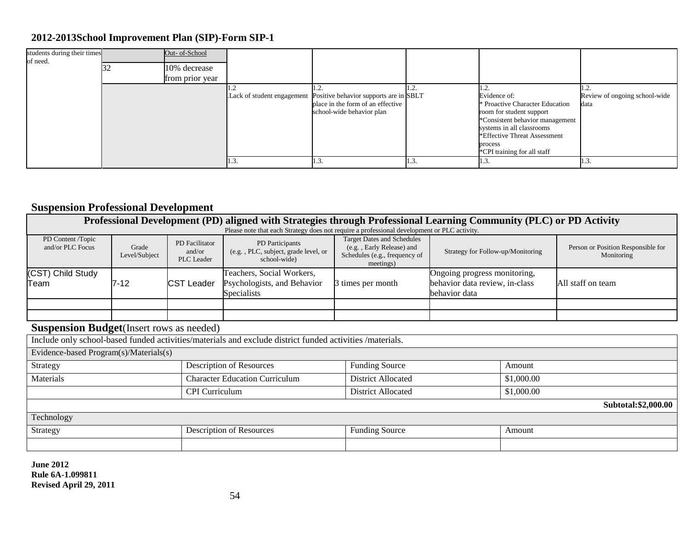| students during their times<br>of need. | Out- of-School<br>10% decrease<br>from prior year |                            |                                                                                                          |     |                                                                                                                                                                                                                                                |                                       |
|-----------------------------------------|---------------------------------------------------|----------------------------|----------------------------------------------------------------------------------------------------------|-----|------------------------------------------------------------------------------------------------------------------------------------------------------------------------------------------------------------------------------------------------|---------------------------------------|
|                                         |                                                   | Lack of student engagement | Positive behavior supports are in SBLT<br>place in the form of an effective<br>school-wide behavior plan |     | .2.<br>Evidence of:<br><sup><i>s</i></sup> Proactive Character Education<br>room for student support<br>*Consistent behavior management<br>systems in all classrooms<br>*Effective Threat Assessment<br>process<br>*CPI training for all staff | Review of ongoing school-wide<br>data |
|                                         |                                                   | 1.3                        | 1.3.                                                                                                     | 1.J | 1.3                                                                                                                                                                                                                                            | $\mathbf{1.3}$                        |

## **Suspension Professional Development**

| Professional Development (PD) aligned with Strategies through Professional Learning Community (PLC) or PD Activity |                        |                                        |                                                                                                          |                                                                                                              |                                                                                 |            |                                                  |  |
|--------------------------------------------------------------------------------------------------------------------|------------------------|----------------------------------------|----------------------------------------------------------------------------------------------------------|--------------------------------------------------------------------------------------------------------------|---------------------------------------------------------------------------------|------------|--------------------------------------------------|--|
|                                                                                                                    |                        |                                        | Please note that each Strategy does not require a professional development or PLC activity.              |                                                                                                              |                                                                                 |            |                                                  |  |
| PD Content /Topic<br>and/or PLC Focus                                                                              | Grade<br>Level/Subject | PD Facilitator<br>and/or<br>PLC Leader | PD Participants<br>(e.g., PLC, subject, grade level, or<br>school-wide)                                  | <b>Target Dates and Schedules</b><br>(e.g., Early Release) and<br>Schedules (e.g., frequency of<br>meetings) | Strategy for Follow-up/Monitoring                                               |            | Person or Position Responsible for<br>Monitoring |  |
| (CST) Child Study<br>Team                                                                                          | $7 - 12$               | <b>CST Leader</b>                      | Teachers, Social Workers,<br>Psychologists, and Behavior<br>Specialists                                  | 3 times per month                                                                                            | Ongoing progress monitoring,<br>behavior data review, in-class<br>behavior data |            | All staff on team                                |  |
|                                                                                                                    |                        |                                        |                                                                                                          |                                                                                                              |                                                                                 |            |                                                  |  |
|                                                                                                                    |                        |                                        |                                                                                                          |                                                                                                              |                                                                                 |            |                                                  |  |
| <b>Suspension Budget</b> (Insert rows as needed)                                                                   |                        |                                        |                                                                                                          |                                                                                                              |                                                                                 |            |                                                  |  |
|                                                                                                                    |                        |                                        | Include only school-based funded activities/materials and exclude district funded activities /materials. |                                                                                                              |                                                                                 |            |                                                  |  |
| Evidence-based Program(s)/Materials(s)                                                                             |                        |                                        |                                                                                                          |                                                                                                              |                                                                                 |            |                                                  |  |
| Strategy                                                                                                           |                        |                                        | Description of Resources                                                                                 | <b>Funding Source</b>                                                                                        |                                                                                 | Amount     |                                                  |  |
| Materials                                                                                                          |                        |                                        | <b>Character Education Curriculum</b>                                                                    | <b>District Allocated</b>                                                                                    |                                                                                 | \$1,000.00 |                                                  |  |
|                                                                                                                    |                        | <b>CPI</b> Curriculum                  |                                                                                                          | <b>District Allocated</b>                                                                                    |                                                                                 | \$1,000.00 |                                                  |  |
|                                                                                                                    |                        |                                        |                                                                                                          |                                                                                                              |                                                                                 |            | Subtotal:\$2,000.00                              |  |
| Technology                                                                                                         |                        |                                        |                                                                                                          |                                                                                                              |                                                                                 |            |                                                  |  |
| Strategy                                                                                                           |                        |                                        | Description of Resources                                                                                 | <b>Funding Source</b>                                                                                        |                                                                                 | Amount     |                                                  |  |
|                                                                                                                    |                        |                                        |                                                                                                          |                                                                                                              |                                                                                 |            |                                                  |  |
|                                                                                                                    |                        |                                        |                                                                                                          |                                                                                                              |                                                                                 |            |                                                  |  |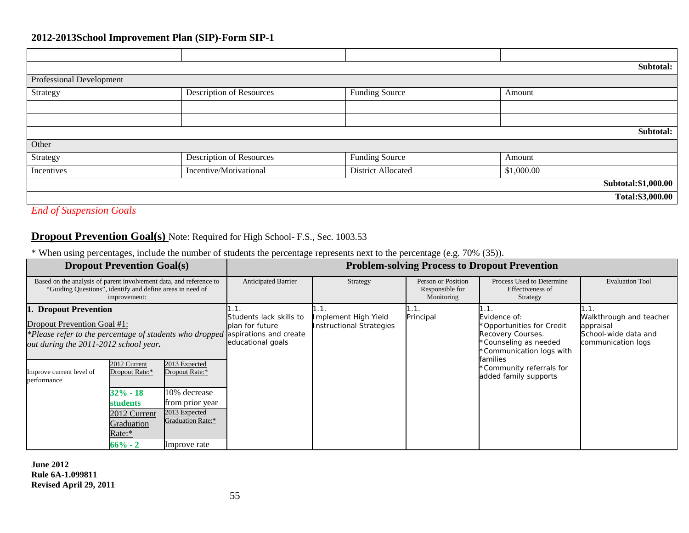|                          |                                 |                       | Subtotal:           |  |  |  |  |  |
|--------------------------|---------------------------------|-----------------------|---------------------|--|--|--|--|--|
| Professional Development |                                 |                       |                     |  |  |  |  |  |
| Strategy                 | <b>Description of Resources</b> | <b>Funding Source</b> | Amount              |  |  |  |  |  |
|                          |                                 |                       |                     |  |  |  |  |  |
|                          |                                 |                       |                     |  |  |  |  |  |
|                          |                                 |                       | Subtotal:           |  |  |  |  |  |
| Other                    |                                 |                       |                     |  |  |  |  |  |
| Strategy                 | <b>Description of Resources</b> | <b>Funding Source</b> | Amount              |  |  |  |  |  |
| Incentives               | Incentive/Motivational          | District Allocated    | \$1,000.00          |  |  |  |  |  |
|                          |                                 |                       | Subtotal:\$1,000.00 |  |  |  |  |  |
|                          |                                 |                       | Total:\$3,000.00    |  |  |  |  |  |

*End of Suspension Goals*

## **Dropout Prevention Goal(s)** Note: Required for High School- F.S., Sec. 1003.53

\* When using percentages, include the number of students the percentage represents next to the percentage (e.g. 70% (35)).

|                                                                                                                                                                                 | <b>Dropout Prevention Goal(s)</b>                                                                                                                                                                          |                                                                 | <b>Problem-solving Process to Dropout Prevention</b>             |                   |                                                                                                                                 |                                                                                    |                        |  |
|---------------------------------------------------------------------------------------------------------------------------------------------------------------------------------|------------------------------------------------------------------------------------------------------------------------------------------------------------------------------------------------------------|-----------------------------------------------------------------|------------------------------------------------------------------|-------------------|---------------------------------------------------------------------------------------------------------------------------------|------------------------------------------------------------------------------------|------------------------|--|
| Based on the analysis of parent involvement data, and reference to<br>"Guiding Questions", identify and define areas in need of<br>improvement:                                 |                                                                                                                                                                                                            |                                                                 | <b>Anticipated Barrier</b>                                       | Strategy          | Person or Position<br>Responsible for<br>Monitoring                                                                             | Process Used to Determine<br>Effectiveness of<br>Strategy                          | <b>Evaluation Tool</b> |  |
| 1. Dropout Prevention<br>Dropout Prevention Goal #1:<br>*Please refer to the percentage of students who dropped aspirations and create<br>out during the 2011-2012 school year. |                                                                                                                                                                                                            | Students lack skills to<br>plan for future<br>educational goals | H . T<br>Implement High Yield<br><b>Instructional Strategies</b> | 1.1.<br>Principal | Evidence of:<br>*Opportunities for Credit<br>Recovery Courses.<br>*Counseling as needed<br>*Communication logs with<br>families | Walkthrough and teacher<br>appraisal<br>School-wide data and<br>communication logs |                        |  |
| Improve current level of<br>performance                                                                                                                                         | 2012 Current<br>2013 Expected<br>Dropout Rate:*<br>Dropout Rate:*<br>10% decrease<br>32% - 18<br>students<br>from prior year<br>2013 Expected<br>2012 Current<br>Graduation Rate:*<br>Graduation<br>Rate:* |                                                                 |                                                                  |                   |                                                                                                                                 | *Community referrals for<br>added family supports                                  |                        |  |
|                                                                                                                                                                                 | $66\%$ - 2                                                                                                                                                                                                 | Improve rate                                                    |                                                                  |                   |                                                                                                                                 |                                                                                    |                        |  |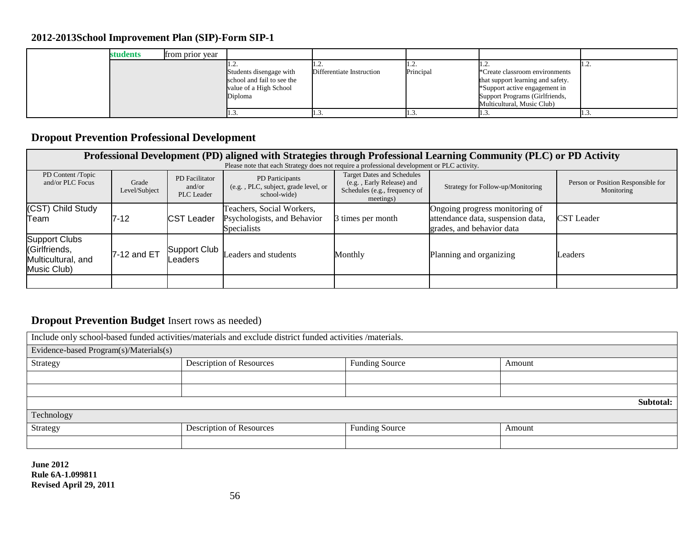| students | from prior year |                                                                                            |                           |                             |                                                                                                                                                                      |      |
|----------|-----------------|--------------------------------------------------------------------------------------------|---------------------------|-----------------------------|----------------------------------------------------------------------------------------------------------------------------------------------------------------------|------|
|          |                 | Students disengage with<br>school and fail to see the<br>value of a High School<br>Diploma | Differentiate Instruction | . . <u>.</u> .<br>Principal | *Create classroom environments<br>that support learning and safety.<br>*Support active engagement in<br>Support Programs (Girlfriends,<br>Multicultural, Music Club) | 1.L. |
|          |                 | 1.J.                                                                                       |                           | .                           | 11.J.                                                                                                                                                                | 1.J. |

## **Dropout Prevention Professional Development**

|                                                                     | Professional Development (PD) aligned with Strategies through Professional Learning Community (PLC) or PD Activity |                                        |                                                                         |                                                                                                              |                                                                                                  |                                                  |  |  |  |  |
|---------------------------------------------------------------------|--------------------------------------------------------------------------------------------------------------------|----------------------------------------|-------------------------------------------------------------------------|--------------------------------------------------------------------------------------------------------------|--------------------------------------------------------------------------------------------------|--------------------------------------------------|--|--|--|--|
|                                                                     | Please note that each Strategy does not require a professional development or PLC activity.                        |                                        |                                                                         |                                                                                                              |                                                                                                  |                                                  |  |  |  |  |
| PD Content /Topic<br>and/or PLC Focus                               | Grade<br>Level/Subject                                                                                             | PD Facilitator<br>and/or<br>PLC Leader | PD Participants<br>(e.g., PLC, subject, grade level, or<br>school-wide) | <b>Target Dates and Schedules</b><br>(e.g., Early Release) and<br>Schedules (e.g., frequency of<br>meetings) | Strategy for Follow-up/Monitoring                                                                | Person or Position Responsible for<br>Monitoring |  |  |  |  |
| (CST) Child Study<br>Team                                           | 7-12                                                                                                               | <b>CST Leader</b>                      | Teachers, Social Workers,<br>Psychologists, and Behavior<br>Specialists | 3 times per month                                                                                            | Ongoing progress monitoring of<br>attendance data, suspension data,<br>grades, and behavior data | <b>CST</b> Leader                                |  |  |  |  |
| Support Clubs<br>(Girlfriends,<br>Multicultural, and<br>Music Club) | 7-12 and ET                                                                                                        | Support Club<br>Leaders                | Leaders and students                                                    | Monthly                                                                                                      | Planning and organizing                                                                          | Leaders                                          |  |  |  |  |
|                                                                     |                                                                                                                    |                                        |                                                                         |                                                                                                              |                                                                                                  |                                                  |  |  |  |  |

## **Dropout Prevention Budget** Insert rows as needed)

| Include only school-based funded activities/materials and exclude district funded activities /materials. |                          |                       |           |  |  |  |  |
|----------------------------------------------------------------------------------------------------------|--------------------------|-----------------------|-----------|--|--|--|--|
| Evidence-based Program(s)/Materials(s)                                                                   |                          |                       |           |  |  |  |  |
| Strategy                                                                                                 | Description of Resources | <b>Funding Source</b> | Amount    |  |  |  |  |
|                                                                                                          |                          |                       |           |  |  |  |  |
|                                                                                                          |                          |                       |           |  |  |  |  |
|                                                                                                          |                          |                       | Subtotal: |  |  |  |  |
| Technology                                                                                               |                          |                       |           |  |  |  |  |
| Strategy                                                                                                 | Description of Resources | <b>Funding Source</b> | Amount    |  |  |  |  |
|                                                                                                          |                          |                       |           |  |  |  |  |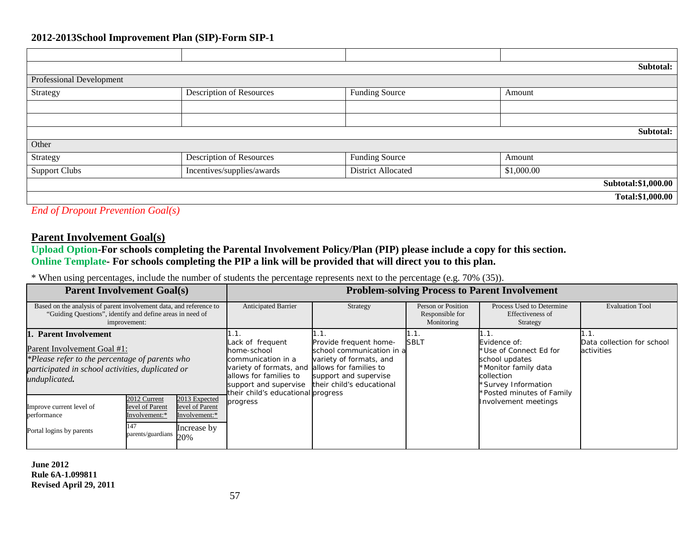|                          |                                 |                       | Subtotal:           |
|--------------------------|---------------------------------|-----------------------|---------------------|
| Professional Development |                                 |                       |                     |
| Strategy                 | <b>Description of Resources</b> | <b>Funding Source</b> | Amount              |
|                          |                                 |                       |                     |
|                          |                                 |                       |                     |
|                          |                                 |                       | Subtotal:           |
| Other                    |                                 |                       |                     |
| Strategy                 | <b>Description of Resources</b> | <b>Funding Source</b> | Amount              |
| <b>Support Clubs</b>     | Incentives/supplies/awards      | District Allocated    | \$1,000.00          |
|                          |                                 |                       | Subtotal:\$1,000.00 |
|                          |                                 |                       | Total:\$1,000.00    |

*End of Dropout Prevention Goal(s)*

## **Parent Involvement Goal(s)**

**Upload Option-For schools completing the Parental Involvement Policy/Plan (PIP) please include a copy for this section. Online Template- For schools completing the PIP a link will be provided that will direct you to this plan.**

\* When using percentages, include the number of students the percentage represents next to the percentage (e.g. 70% (35)).

| <b>Parent Involvement Goal(s)</b>                                                                                                                                           |                                                                              |                                                                         |                                                                                                                                                                           |                                                                                                                                                                  |                                                           | <b>Problem-solving Process to Parent Involvement</b>                                                                                               |                                          |
|-----------------------------------------------------------------------------------------------------------------------------------------------------------------------------|------------------------------------------------------------------------------|-------------------------------------------------------------------------|---------------------------------------------------------------------------------------------------------------------------------------------------------------------------|------------------------------------------------------------------------------------------------------------------------------------------------------------------|-----------------------------------------------------------|----------------------------------------------------------------------------------------------------------------------------------------------------|------------------------------------------|
| Based on the analysis of parent involvement data, and reference to<br>"Guiding Questions", identify and define areas in need of<br>improvement:                             |                                                                              | Anticipated Barrier                                                     | Strategy                                                                                                                                                                  | Person or Position<br>Responsible for<br>Monitoring                                                                                                              | Process Used to Determine<br>Effectiveness of<br>Strategy | <b>Evaluation Tool</b>                                                                                                                             |                                          |
| 1. Parent Involvement<br>Parent Involvement Goal #1:<br>*Please refer to the percentage of parents who<br>participated in school activities, duplicated or<br>unduplicated. |                                                                              |                                                                         | Lack of frequent<br>home-school<br>communication in a<br>variety of formats, and<br>allows for families to<br>support and supervise<br>their child's educational progress | Provide frequent home-<br>school communication in all<br>variety of formats, and<br>allows for families to<br>support and supervise<br>their child's educational | <b>SBLT</b>                                               | Evidence of:<br>*Use of Connect Ed for<br>school updates<br>*Monitor family data<br>collection<br>*Survey Information<br>*Posted minutes of Family | Data collection for school<br>activities |
| Improve current level of<br>performance<br>Portal logins by parents                                                                                                         | 2012 Current<br>level of Parent<br>Involvement:*<br>147<br>parents/guardians | 2013 Expected<br>level of Parent<br>Involvement:*<br>Increase by<br>20% | progress                                                                                                                                                                  |                                                                                                                                                                  |                                                           | Involvement meetings                                                                                                                               |                                          |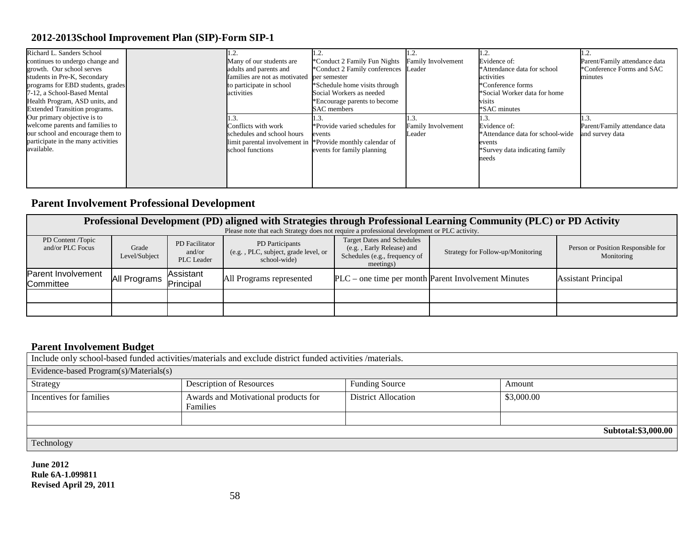| Richard L. Sanders School            |                               |                                      |                           | l.2.                             |                               |
|--------------------------------------|-------------------------------|--------------------------------------|---------------------------|----------------------------------|-------------------------------|
| continues to undergo change and      | Many of our students are      | *Conduct 2 Family Fun Nights         | <b>Family Involvement</b> | Evidence of:                     | Parent/Family attendance data |
| growth. Our school serves            | adults and parents and        | *Conduct 2 Family conferences Leader |                           | *Attendance data for school      | *Conference Forms and SAC     |
| students in Pre-K, Secondary         | families are not as motivated | per semester                         |                           | activities                       | minutes                       |
| programs for EBD students, grades    | to participate in school      | *Schedule home visits through        |                           | *Conference forms                |                               |
| 7-12, a School-Based Mental          | activities                    | Social Workers as needed             |                           | *Social Worker data for home     |                               |
| Health Program, ASD units, and       |                               | *Encourage parents to become         |                           | visits                           |                               |
| <b>Extended Transition programs.</b> |                               | SAC members                          |                           | *SAC minutes                     |                               |
| Our primary objective is to          |                               |                                      |                           |                                  |                               |
| welcome parents and families to      | Conflicts with work           | *Provide varied schedules for        | Family Involvement        | Evidence of:                     | Parent/Family attendance data |
| our school and encourage them to     | schedules and school hours    | events                               | Leader                    | *Attendance data for school-wide | and survey data               |
| participate in the many activities   | limit parental involvement in | *Provide monthly calendar of         |                           | events                           |                               |
| available.                           | school functions              | events for family planning           |                           | *Survey data indicating family   |                               |
|                                      |                               |                                      |                           | needs                            |                               |
|                                      |                               |                                      |                           |                                  |                               |
|                                      |                               |                                      |                           |                                  |                               |
|                                      |                               |                                      |                           |                                  |                               |

## **Parent Involvement Professional Development**

|                                       | Professional Development (PD) aligned with Strategies through Professional Learning Community (PLC) or PD Activity |                                        |                                                                        |                                                                                                              |                                                     |                                                  |  |  |  |  |  |
|---------------------------------------|--------------------------------------------------------------------------------------------------------------------|----------------------------------------|------------------------------------------------------------------------|--------------------------------------------------------------------------------------------------------------|-----------------------------------------------------|--------------------------------------------------|--|--|--|--|--|
|                                       | Please note that each Strategy does not require a professional development or PLC activity.                        |                                        |                                                                        |                                                                                                              |                                                     |                                                  |  |  |  |  |  |
| PD Content /Topic<br>and/or PLC Focus | Grade<br>Level/Subject                                                                                             | PD Facilitator<br>and/or<br>PLC Leader | PD Participants<br>(e.g., PLC, subject, grade level, or<br>school-wide | <b>Target Dates and Schedules</b><br>(e.g., Early Release) and<br>Schedules (e.g., frequency of<br>meetings) | Strategy for Follow-up/Monitoring                   | Person or Position Responsible for<br>Monitoring |  |  |  |  |  |
| Parent Involvement<br>Committee       | All Programs                                                                                                       | Assistant<br>Principal                 | All Programs represented                                               |                                                                                                              | PLC – one time per month Parent Involvement Minutes | <b>Assistant Principal</b>                       |  |  |  |  |  |
|                                       |                                                                                                                    |                                        |                                                                        |                                                                                                              |                                                     |                                                  |  |  |  |  |  |
|                                       |                                                                                                                    |                                        |                                                                        |                                                                                                              |                                                     |                                                  |  |  |  |  |  |

## **Parent Involvement Budget**

Include only school-based funded activities/materials and exclude district funded activities /materials. Evidence-based Program(s)/Materials(s) Strategy Description of Resources Funding Source Amount Incentives for families Awards and Motivational products for Families District Allocation \$3,000.00 **Subtotal:\$3,000.00** Technology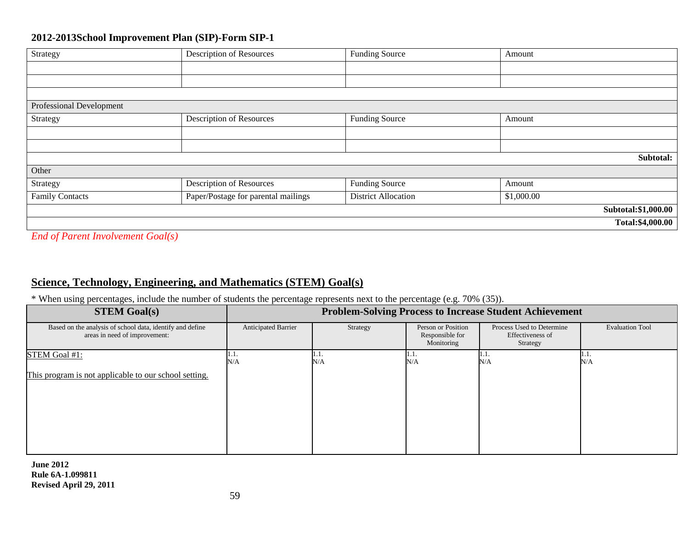| Strategy                                                                                                                                                                                                                              | Description of Resources            | <b>Funding Source</b>      | Amount     |                     |
|---------------------------------------------------------------------------------------------------------------------------------------------------------------------------------------------------------------------------------------|-------------------------------------|----------------------------|------------|---------------------|
|                                                                                                                                                                                                                                       |                                     |                            |            |                     |
|                                                                                                                                                                                                                                       |                                     |                            |            |                     |
|                                                                                                                                                                                                                                       |                                     |                            |            |                     |
| Professional Development                                                                                                                                                                                                              |                                     |                            |            |                     |
| Strategy                                                                                                                                                                                                                              | Description of Resources            | Funding Source             | Amount     |                     |
|                                                                                                                                                                                                                                       |                                     |                            |            |                     |
|                                                                                                                                                                                                                                       |                                     |                            |            |                     |
|                                                                                                                                                                                                                                       |                                     |                            |            | Subtotal:           |
| Other                                                                                                                                                                                                                                 |                                     |                            |            |                     |
| Strategy                                                                                                                                                                                                                              | <b>Description of Resources</b>     | Funding Source             | Amount     |                     |
| <b>Family Contacts</b>                                                                                                                                                                                                                | Paper/Postage for parental mailings | <b>District Allocation</b> | \$1,000.00 |                     |
|                                                                                                                                                                                                                                       |                                     |                            |            | Subtotal:\$1,000.00 |
|                                                                                                                                                                                                                                       |                                     |                            |            | Total:\$4,000.00    |
| $\blacksquare$ , and , and , and , and , and , and , and , and , and , and , and , and , and , and , and , and , and , and , and , and , and , and , and , and , and , and , and , and , and , and , and , and , and , and , and , an | <b>Contract Contract Service</b>    |                            |            |                     |

*End of Parent Involvement Goal(s)*

## **Science, Technology, Engineering, and Mathematics (STEM) Goal(s)**

\* When using percentages, include the number of students the percentage represents next to the percentage (e.g. 70% (35)).

| <b>STEM Goal(s)</b>                                                                        | <b>Problem-Solving Process to Increase Student Achievement</b> |             |                                                     |                                                           |                        |
|--------------------------------------------------------------------------------------------|----------------------------------------------------------------|-------------|-----------------------------------------------------|-----------------------------------------------------------|------------------------|
| Based on the analysis of school data, identify and define<br>areas in need of improvement: | Anticipated Barrier                                            | Strategy    | Person or Position<br>Responsible for<br>Monitoring | Process Used to Determine<br>Effectiveness of<br>Strategy | <b>Evaluation Tool</b> |
| STEM Goal #1:<br>This program is not applicable to our school setting.                     | 1.1.<br>N/A                                                    | 1.1.<br>N/A | H.I.<br>N/A                                         | 1.1.<br>N/A                                               | H.I.<br>N/A            |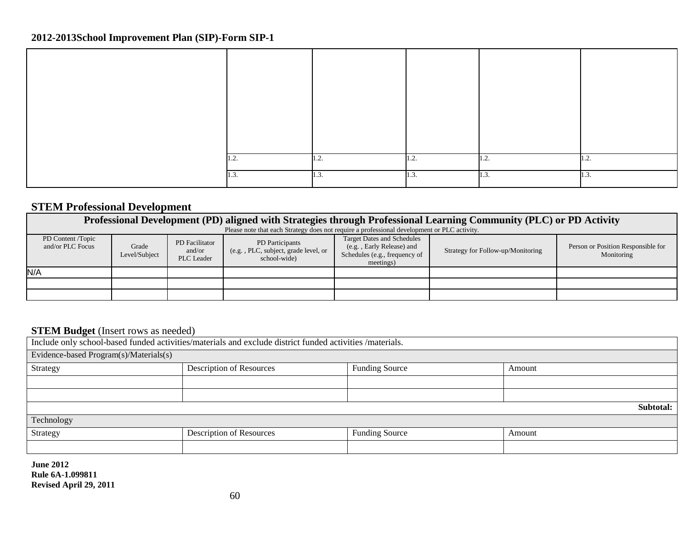| 1.4  | $\cdot$ | .    | 11.2. | $\mathbf{1.2.}$ |
|------|---------|------|-------|-----------------|
| 1.3. | 1.5.    | 1.3. | 1.3.  | 1.3.            |

## **STEM Professional Development**

|                                                                                                                                                                                                                                                                                                                                                                                                     | Professional Development (PD) aligned with Strategies through Professional Learning Community (PLC) or PD Activity |  |  |  |  |  |  |  |  |  |  |
|-----------------------------------------------------------------------------------------------------------------------------------------------------------------------------------------------------------------------------------------------------------------------------------------------------------------------------------------------------------------------------------------------------|--------------------------------------------------------------------------------------------------------------------|--|--|--|--|--|--|--|--|--|--|
|                                                                                                                                                                                                                                                                                                                                                                                                     | Please note that each Strategy does not require a professional development or PLC activity.                        |  |  |  |  |  |  |  |  |  |  |
| <b>Target Dates and Schedules</b><br>PD Content /Topic<br>PD Participants<br>PD Facilitator<br>Person or Position Responsible for<br>and/or PLC Focus<br>Grade<br>(e.g., Early Release) and<br>Strategy for Follow-up/Monitoring<br>(e.g., PLC, subject, grade level, or<br>and/or<br>Schedules (e.g., frequency of<br>Level/Subject<br>Monitoring<br><b>PLC</b> Leader<br>school-wide<br>meetings) |                                                                                                                    |  |  |  |  |  |  |  |  |  |  |
| N/A                                                                                                                                                                                                                                                                                                                                                                                                 |                                                                                                                    |  |  |  |  |  |  |  |  |  |  |
|                                                                                                                                                                                                                                                                                                                                                                                                     |                                                                                                                    |  |  |  |  |  |  |  |  |  |  |
|                                                                                                                                                                                                                                                                                                                                                                                                     |                                                                                                                    |  |  |  |  |  |  |  |  |  |  |

## **STEM Budget** (Insert rows as needed)

| Include only school-based funded activities/materials and exclude district funded activities /materials. |                                                                    |                       |           |  |  |  |  |
|----------------------------------------------------------------------------------------------------------|--------------------------------------------------------------------|-----------------------|-----------|--|--|--|--|
| Evidence-based Program(s)/Materials(s)                                                                   |                                                                    |                       |           |  |  |  |  |
| Strategy                                                                                                 | Description of Resources                                           | <b>Funding Source</b> | Amount    |  |  |  |  |
|                                                                                                          |                                                                    |                       |           |  |  |  |  |
|                                                                                                          |                                                                    |                       |           |  |  |  |  |
|                                                                                                          |                                                                    |                       | Subtotal: |  |  |  |  |
| Technology                                                                                               |                                                                    |                       |           |  |  |  |  |
| Strategy                                                                                                 | <b>Description of Resources</b><br><b>Funding Source</b><br>Amount |                       |           |  |  |  |  |
|                                                                                                          |                                                                    |                       |           |  |  |  |  |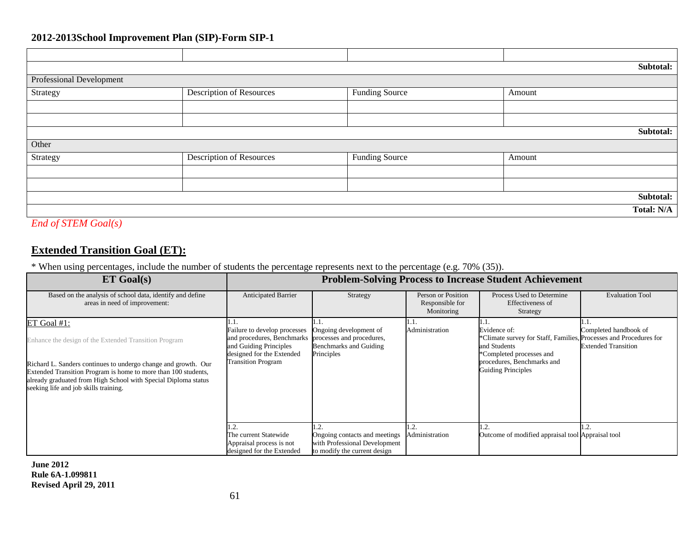|                            |                                 |                       |        | Subtotal:  |
|----------------------------|---------------------------------|-----------------------|--------|------------|
| Professional Development   |                                 |                       |        |            |
| Strategy                   | Description of Resources        | <b>Funding Source</b> | Amount |            |
|                            |                                 |                       |        |            |
|                            |                                 |                       |        |            |
|                            |                                 |                       |        | Subtotal:  |
| Other                      |                                 |                       |        |            |
| Strategy                   | <b>Description of Resources</b> | <b>Funding Source</b> | Amount |            |
|                            |                                 |                       |        |            |
|                            |                                 |                       |        |            |
|                            |                                 |                       |        | Subtotal:  |
|                            |                                 |                       |        | Total: N/A |
| <b>End of STEM Goal(s)</b> |                                 |                       |        |            |

## **Extended Transition Goal (ET):**

\* When using percentages, include the number of students the percentage represents next to the percentage (e.g. 70% (35)).

| <b>ET Goal(s)</b>                                                                                                                                                                                                                                                                                                      |                                                                                                                                                | <b>Problem-Solving Process to Increase Student Achievement</b>                                           |                                                     |                                                                                                                                                                                               |                                                     |
|------------------------------------------------------------------------------------------------------------------------------------------------------------------------------------------------------------------------------------------------------------------------------------------------------------------------|------------------------------------------------------------------------------------------------------------------------------------------------|----------------------------------------------------------------------------------------------------------|-----------------------------------------------------|-----------------------------------------------------------------------------------------------------------------------------------------------------------------------------------------------|-----------------------------------------------------|
| Based on the analysis of school data, identify and define<br>areas in need of improvement:                                                                                                                                                                                                                             | Anticipated Barrier                                                                                                                            | Strategy                                                                                                 | Person or Position<br>Responsible for<br>Monitoring | Process Used to Determine<br>Effectiveness of<br>Strategy                                                                                                                                     | <b>Evaluation Tool</b>                              |
| ET Goal $#1$ :<br>Enhance the design of the Extended Transition Program<br>Richard L. Sanders continues to undergo change and growth. Our<br>Extended Transition Program is home to more than 100 students,<br>already graduated from High School with Special Diploma status<br>seeking life and job skills training. | Failure to develop processes<br>and procedures, Benchmarks<br>and Guiding Principles<br>designed for the Extended<br><b>Transition Program</b> | Ongoing development of<br>processes and procedures,<br>Benchmarks and Guiding<br>Principles              | 1.1.<br>Administration                              | .<br>Evidence of:<br>*Climate survey for Staff, Families, Processes and Procedures for<br>and Students<br>*Completed processes and<br>procedures, Benchmarks and<br><b>Guiding Principles</b> | Completed handbook of<br><b>Extended Transition</b> |
|                                                                                                                                                                                                                                                                                                                        | The current Statewide<br>Appraisal process is not<br>designed for the Extended                                                                 | . . 2.<br>Ongoing contacts and meetings<br>with Professional Development<br>to modify the current design | 1.2.<br>Administration                              | 1.2.<br>Outcome of modified appraisal tool Appraisal tool                                                                                                                                     |                                                     |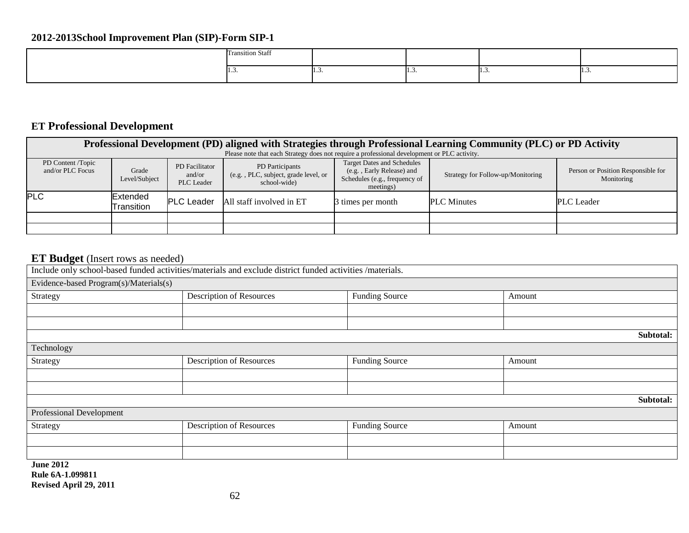| Transition Staff |   |   |   |
|------------------|---|---|---|
|                  | . | . | . |

# **ET Professional Development**

| Professional Development (PD) aligned with Strategies through Professional Learning Community (PLC) or PD Activity |                               |                                               |                                                                                             |                                                                                                              |                                   |                                                  |  |  |  |
|--------------------------------------------------------------------------------------------------------------------|-------------------------------|-----------------------------------------------|---------------------------------------------------------------------------------------------|--------------------------------------------------------------------------------------------------------------|-----------------------------------|--------------------------------------------------|--|--|--|
|                                                                                                                    |                               |                                               | Please note that each Strategy does not require a professional development or PLC activity. |                                                                                                              |                                   |                                                  |  |  |  |
| PD Content /Topic<br>and/or PLC Focus                                                                              | Grade<br>Level/Subject        | PD Facilitator<br>and/or<br><b>PLC</b> Leader | PD Participants<br>(e.g., PLC, subject, grade level, or<br>school-wide)                     | <b>Target Dates and Schedules</b><br>(e.g., Early Release) and<br>Schedules (e.g., frequency of<br>meetings) | Strategy for Follow-up/Monitoring | Person or Position Responsible for<br>Monitoring |  |  |  |
| <b>PLC</b>                                                                                                         | <b>Extended</b><br>Transition | <b>PLC Leader</b>                             | All staff involved in ET                                                                    | 3 times per month                                                                                            | <b>PLC</b> Minutes                | <b>PLC</b> Leader                                |  |  |  |
|                                                                                                                    |                               |                                               |                                                                                             |                                                                                                              |                                   |                                                  |  |  |  |
|                                                                                                                    |                               |                                               |                                                                                             |                                                                                                              |                                   |                                                  |  |  |  |

# **ET Budget** (Insert rows as needed)

|                                        | Include only school-based funded activities/materials and exclude district funded activities /materials. |                       |        |           |
|----------------------------------------|----------------------------------------------------------------------------------------------------------|-----------------------|--------|-----------|
| Evidence-based Program(s)/Materials(s) |                                                                                                          |                       |        |           |
| Strategy                               | Description of Resources                                                                                 | <b>Funding Source</b> | Amount |           |
|                                        |                                                                                                          |                       |        |           |
|                                        |                                                                                                          |                       |        |           |
|                                        |                                                                                                          |                       |        | Subtotal: |
| Technology                             |                                                                                                          |                       |        |           |
| Strategy                               | <b>Description of Resources</b>                                                                          | <b>Funding Source</b> | Amount |           |
|                                        |                                                                                                          |                       |        |           |
|                                        |                                                                                                          |                       |        |           |
|                                        |                                                                                                          |                       |        | Subtotal: |
| Professional Development               |                                                                                                          |                       |        |           |
| Strategy                               | <b>Description of Resources</b>                                                                          | Funding Source        | Amount |           |
|                                        |                                                                                                          |                       |        |           |
|                                        |                                                                                                          |                       |        |           |
| <b>June 2012</b>                       |                                                                                                          |                       |        |           |
| Rule 6A-1.099811                       |                                                                                                          |                       |        |           |

**Revised April 29, 2011**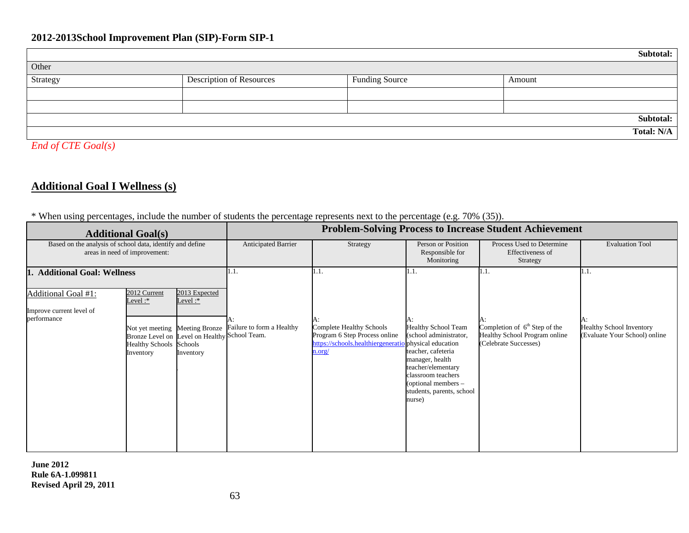|          |                                 |                       | Subtotal:         |
|----------|---------------------------------|-----------------------|-------------------|
| Other    |                                 |                       |                   |
| Strategy | <b>Description of Resources</b> | <b>Funding Source</b> | Amount            |
|          |                                 |                       |                   |
|          |                                 |                       |                   |
|          |                                 |                       | Subtotal:         |
|          |                                 |                       | <b>Total: N/A</b> |

*End of CTE Goal(s)*

## **Additional Goal I Wellness (s)**

### \* When using percentages, include the number of students the percentage represents next to the percentage (e.g. 70% (35)).

|                                                                                            | <b>Problem-Solving Process to Increase Student Achievement</b><br><b>Additional Goal(s)</b>                                                               |                                          |                           |                                                                                                                 |                                                                                                                                                                                                                     |                                                                                           |                                                                  |
|--------------------------------------------------------------------------------------------|-----------------------------------------------------------------------------------------------------------------------------------------------------------|------------------------------------------|---------------------------|-----------------------------------------------------------------------------------------------------------------|---------------------------------------------------------------------------------------------------------------------------------------------------------------------------------------------------------------------|-------------------------------------------------------------------------------------------|------------------------------------------------------------------|
| Based on the analysis of school data, identify and define<br>areas in need of improvement: |                                                                                                                                                           |                                          | Anticipated Barrier       | Strategy                                                                                                        | Person or Position<br>Responsible for<br>Monitoring                                                                                                                                                                 | Process Used to Determine<br>Effectiveness of<br>Strategy                                 | <b>Evaluation Tool</b>                                           |
| <b>Additional Goal: Wellness</b>                                                           |                                                                                                                                                           |                                          | 11.1.                     | 1.1.                                                                                                            | 11.1.                                                                                                                                                                                                               | 1.1.                                                                                      | 1.1.                                                             |
| Additional Goal #1:<br>Improve current level of<br>performance                             | 2012 Current<br>Level:*<br>Not yet meeting Meeting Bronze<br>Bronze Level on Level on Healthy School Team.<br><b>Healthy Schools</b> Schools<br>Inventory | 2013 Expected<br>Level: $*$<br>Inventory | Failure to form a Healthy | А:<br>Complete Healthy Schools<br>Program 6 Step Process online<br>https://schools.healthiergeneratio<br>n.org/ | <b>Healthy School Team</b><br>(school administrator,<br>physical education<br>teacher, cafeteria<br>manager, health<br>teacher/elementary<br>classroom teachers<br>(optional members -<br>students, parents, school | Completion of $6th$ Step of the<br>Healthy School Program online<br>(Celebrate Successes) | <b>Healthy School Inventory</b><br>(Evaluate Your School) online |
|                                                                                            |                                                                                                                                                           |                                          |                           |                                                                                                                 | nurse)                                                                                                                                                                                                              |                                                                                           |                                                                  |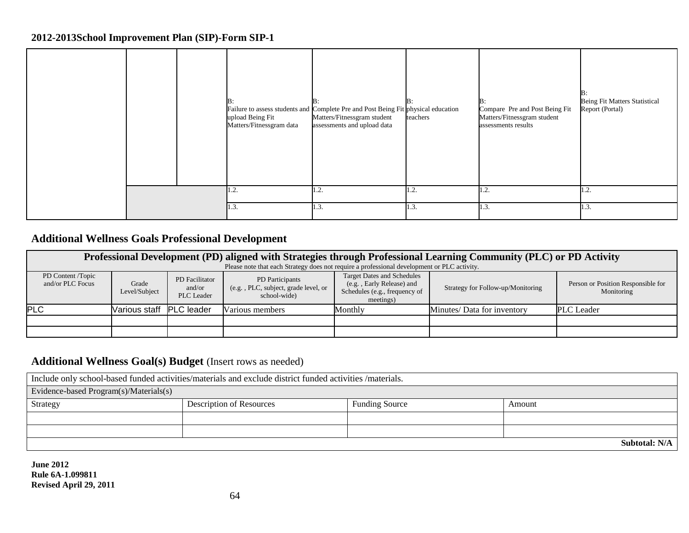|  | B:<br>upload Being Fit<br>Matters/Fitnessgram data | Failure to assess students and Complete Pre and Post Being Fit physical education<br>Matters/Fitnessgram student<br>assessments and upload data | B:<br>teachers | B:<br>Compare Pre and Post Being Fit<br>Matters/Fitnessgram student<br>assessments results | ١В:<br><b>Being Fit Matters Statistical</b><br>Report (Portal) |
|--|----------------------------------------------------|-------------------------------------------------------------------------------------------------------------------------------------------------|----------------|--------------------------------------------------------------------------------------------|----------------------------------------------------------------|
|  | $\sim$<br>. ۷. I                                   | 1.2.                                                                                                                                            | 1.2.           | 1.2.                                                                                       | 1.2.                                                           |
|  | 1.3.                                               | 1.3.                                                                                                                                            | 1.3.           | 1.3.                                                                                       | 1.3.                                                           |

## **Additional Wellness Goals Professional Development**

| Professional Development (PD) aligned with Strategies through Professional Learning Community (PLC) or PD Activity |                          |                                        |                                                                                             |                                                                                                              |                                   |                                                  |  |  |  |  |
|--------------------------------------------------------------------------------------------------------------------|--------------------------|----------------------------------------|---------------------------------------------------------------------------------------------|--------------------------------------------------------------------------------------------------------------|-----------------------------------|--------------------------------------------------|--|--|--|--|
|                                                                                                                    |                          |                                        | Please note that each Strategy does not require a professional development or PLC activity. |                                                                                                              |                                   |                                                  |  |  |  |  |
| PD Content /Topic<br>and/or PLC Focus                                                                              | Grade<br>Level/Subject   | PD Facilitator<br>and/or<br>PLC Leader | PD Participants<br>(e.g., PLC, subject, grade level, or<br>school-wide                      | <b>Target Dates and Schedules</b><br>(e.g., Early Release) and<br>Schedules (e.g., frequency of<br>meetings) | Strategy for Follow-up/Monitoring | Person or Position Responsible for<br>Monitoring |  |  |  |  |
| <b>PLC</b>                                                                                                         | Various staff PLC leader |                                        | Various members                                                                             | Monthly                                                                                                      | Minutes/ Data for inventory       | <b>PLC</b> Leader                                |  |  |  |  |
|                                                                                                                    |                          |                                        |                                                                                             |                                                                                                              |                                   |                                                  |  |  |  |  |
|                                                                                                                    |                          |                                        |                                                                                             |                                                                                                              |                                   |                                                  |  |  |  |  |

## **Additional Wellness Goal(s) Budget** (Insert rows as needed)

| Include only school-based funded activities/materials and exclude district funded activities /materials. |                                                                    |  |  |  |  |  |  |  |
|----------------------------------------------------------------------------------------------------------|--------------------------------------------------------------------|--|--|--|--|--|--|--|
| Evidence-based Program(s)/Materials(s)                                                                   |                                                                    |  |  |  |  |  |  |  |
| Strategy                                                                                                 | <b>Description of Resources</b><br><b>Funding Source</b><br>Amount |  |  |  |  |  |  |  |
|                                                                                                          |                                                                    |  |  |  |  |  |  |  |
|                                                                                                          |                                                                    |  |  |  |  |  |  |  |
| <b>Subtotal: N/A</b>                                                                                     |                                                                    |  |  |  |  |  |  |  |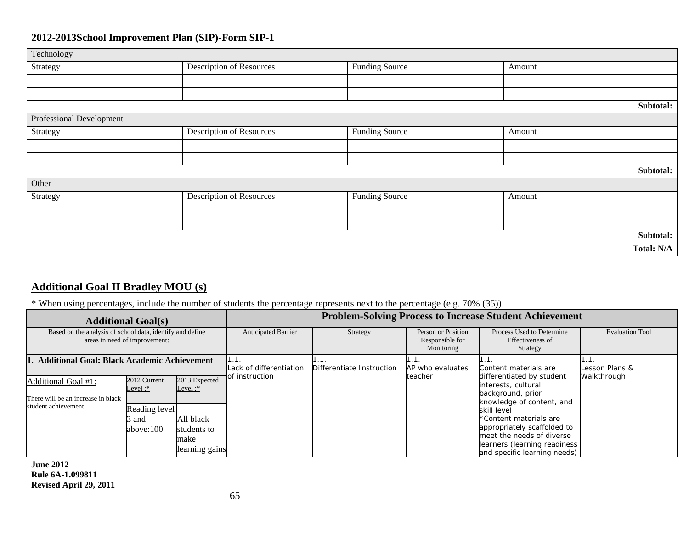| Technology                      |                                 |                       |            |
|---------------------------------|---------------------------------|-----------------------|------------|
| Strategy                        | <b>Description of Resources</b> | <b>Funding Source</b> | Amount     |
|                                 |                                 |                       |            |
|                                 |                                 |                       |            |
|                                 |                                 |                       | Subtotal:  |
| <b>Professional Development</b> |                                 |                       |            |
| Strategy                        | <b>Description of Resources</b> | <b>Funding Source</b> | Amount     |
|                                 |                                 |                       |            |
|                                 |                                 |                       |            |
|                                 |                                 |                       | Subtotal:  |
| Other                           |                                 |                       |            |
| Strategy                        | <b>Description of Resources</b> | <b>Funding Source</b> | Amount     |
|                                 |                                 |                       |            |
|                                 |                                 |                       |            |
|                                 |                                 |                       | Subtotal:  |
|                                 |                                 |                       | Total: N/A |

## **Additional Goal II Bradley MOU (s)**

## \* When using percentages, include the number of students the percentage represents next to the percentage (e.g. 70% (35)).

| <b>Additional Goal(s)</b>                                                                  |                                                                   |                                                                                   | <b>Problem-Solving Process to Increase Student Achievement</b> |                  |                                                     |                                                                                                                                                                                                                                                                         |                        |  |
|--------------------------------------------------------------------------------------------|-------------------------------------------------------------------|-----------------------------------------------------------------------------------|----------------------------------------------------------------|------------------|-----------------------------------------------------|-------------------------------------------------------------------------------------------------------------------------------------------------------------------------------------------------------------------------------------------------------------------------|------------------------|--|
| Based on the analysis of school data, identify and define<br>areas in need of improvement: |                                                                   |                                                                                   | <b>Anticipated Barrier</b>                                     | Strategy         | Person or Position<br>Responsible for<br>Monitoring | Process Used to Determine<br>Effectiveness of<br>Strategy                                                                                                                                                                                                               | <b>Evaluation Tool</b> |  |
| <b>Additional Goal: Black Academic Achievement</b>                                         |                                                                   | Lack of differentiation<br>of instruction                                         | Differentiate Instruction                                      | AP who evaluates | Content materials are                               | Lesson Plans &                                                                                                                                                                                                                                                          |                        |  |
| Additional Goal #1:<br>There will be an increase in black<br>student achievement           | 2012 Current<br>Level: $*$<br>Reading level<br>3 and<br>above:100 | 2013 Expected<br>Level: $*$<br>All black<br>students to<br>make<br>learning gains |                                                                |                  | teacher                                             | differentiated by student<br>interests, cultural<br>background, prior<br>knowledge of content, and<br>skill level<br>*Content materials are<br>appropriately scaffolded to<br>meet the needs of diverse<br>learners (learning readiness<br>and specific learning needs) | Walkthrough            |  |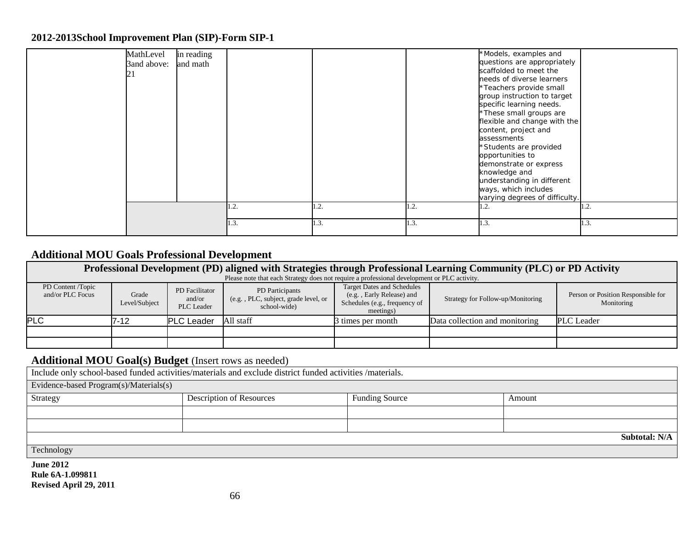| MathLevel<br>3and above: | in reading<br>and math | 1.2. | 1.2. | 1.2. | *Models, examples and<br>questions are appropriately<br>scaffolded to meet the<br>needs of diverse learners<br>*Teachers provide small<br>group instruction to target<br>specific learning needs.<br>*These small groups are<br>flexible and change with the<br>content, project and<br>assessments<br>*Students are provided<br>opportunities to<br>demonstrate or express<br>knowledge and<br>understanding in different<br>ways, which includes<br>varying degrees of difficulty.<br>1.2. | 1.2. |
|--------------------------|------------------------|------|------|------|----------------------------------------------------------------------------------------------------------------------------------------------------------------------------------------------------------------------------------------------------------------------------------------------------------------------------------------------------------------------------------------------------------------------------------------------------------------------------------------------|------|
|                          |                        |      |      |      |                                                                                                                                                                                                                                                                                                                                                                                                                                                                                              |      |
|                          |                        | 1.3. | 1.3. | 1.3. | 1.3.                                                                                                                                                                                                                                                                                                                                                                                                                                                                                         | 1.3. |

## **Additional MOU Goals Professional Development**

| Professional Development (PD) aligned with Strategies through Professional Learning Community (PLC) or PD Activity                                                                                                                                                                                                                                                                            |      |                   |                                                                                             |                   |                                |                   |  |  |
|-----------------------------------------------------------------------------------------------------------------------------------------------------------------------------------------------------------------------------------------------------------------------------------------------------------------------------------------------------------------------------------------------|------|-------------------|---------------------------------------------------------------------------------------------|-------------------|--------------------------------|-------------------|--|--|
|                                                                                                                                                                                                                                                                                                                                                                                               |      |                   | Please note that each Strategy does not require a professional development or PLC activity. |                   |                                |                   |  |  |
| <b>Target Dates and Schedules</b><br>PD Content /Topic<br>PD Participants<br>PD Facilitator<br>(e.g., Early Release) and<br>Person or Position Responsible for<br>and/or PLC Focus<br>Grade<br>(e.g., PLC, subject, grade level, or<br>Strategy for Follow-up/Monitoring<br>and/or<br>Schedules (e.g., frequency of<br>Level/Subject<br>Monitoring<br>PLC Leader<br>school-wide)<br>meetings) |      |                   |                                                                                             |                   |                                |                   |  |  |
| PLC                                                                                                                                                                                                                                                                                                                                                                                           | 7-12 | <b>PLC</b> Leader | All staff                                                                                   | 3 times per month | Data collection and monitoring | <b>PLC</b> Leader |  |  |
|                                                                                                                                                                                                                                                                                                                                                                                               |      |                   |                                                                                             |                   |                                |                   |  |  |
|                                                                                                                                                                                                                                                                                                                                                                                               |      |                   |                                                                                             |                   |                                |                   |  |  |

## **Additional MOU Goal(s) Budget** (Insert rows as needed)

Include only school-based funded activities/materials and exclude district funded activities /materials.

| Evidence-based Program(s)/Materials(s) |                          |                       |        |               |
|----------------------------------------|--------------------------|-----------------------|--------|---------------|
| Strategy                               | Description of Resources | <b>Funding Source</b> | Amount |               |
|                                        |                          |                       |        |               |
|                                        |                          |                       |        |               |
|                                        |                          |                       |        | Subtotal: N/A |
| Technology                             |                          |                       |        |               |
| <b>June 2012</b>                       |                          |                       |        |               |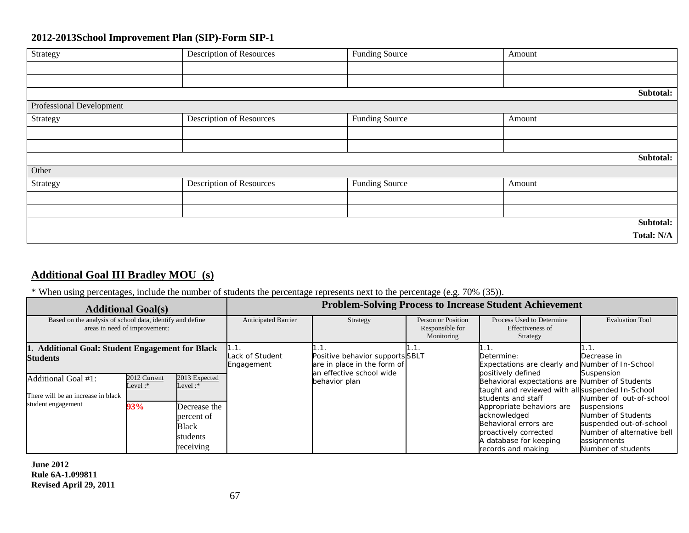| Strategy                        | <b>Description of Resources</b> | <b>Funding Source</b> | Amount     |
|---------------------------------|---------------------------------|-----------------------|------------|
|                                 |                                 |                       |            |
|                                 |                                 |                       |            |
|                                 |                                 |                       | Subtotal:  |
| <b>Professional Development</b> |                                 |                       |            |
| Strategy                        | <b>Description of Resources</b> | <b>Funding Source</b> | Amount     |
|                                 |                                 |                       |            |
|                                 |                                 |                       |            |
|                                 |                                 |                       | Subtotal:  |
| Other                           |                                 |                       |            |
| Strategy                        | <b>Description of Resources</b> | <b>Funding Source</b> | Amount     |
|                                 |                                 |                       |            |
|                                 |                                 |                       |            |
|                                 |                                 |                       | Subtotal:  |
|                                 |                                 |                       | Total: N/A |

## **Additional Goal III Bradley MOU (s)**

### \* When using percentages, include the number of students the percentage represents next to the percentage (e.g. 70% (35)).

|                                                                                            | <b>Additional Goal(s)</b>      |                                                                                             | <b>Problem-Solving Process to Increase Student Achievement</b> |                                                                                            |                                                     |                                                                                                                                                                                                                                                                                               |                                                                                                                                                                          |  |  |
|--------------------------------------------------------------------------------------------|--------------------------------|---------------------------------------------------------------------------------------------|----------------------------------------------------------------|--------------------------------------------------------------------------------------------|-----------------------------------------------------|-----------------------------------------------------------------------------------------------------------------------------------------------------------------------------------------------------------------------------------------------------------------------------------------------|--------------------------------------------------------------------------------------------------------------------------------------------------------------------------|--|--|
| Based on the analysis of school data, identify and define<br>areas in need of improvement: |                                |                                                                                             | <b>Anticipated Barrier</b>                                     | Strategy                                                                                   | Person or Position<br>Responsible for<br>Monitoring | Process Used to Determine<br>Effectiveness of<br>Strategy                                                                                                                                                                                                                                     | <b>Evaluation Tool</b>                                                                                                                                                   |  |  |
| 1. Additional Goal: Student Engagement for Black<br><b>Students</b>                        |                                |                                                                                             | Lack of Student<br>Engagement                                  | Positive behavior supports SBLT<br>are in place in the form of<br>an effective school wide |                                                     | Determine:<br>Expectations are clearly and Number of In-School                                                                                                                                                                                                                                | Decrease in                                                                                                                                                              |  |  |
| <b>Additional Goal #1:</b><br>There will be an increase in black<br>student engagement     | 2012 Current<br>Level:*<br>93% | 2013 Expected<br>Level: $*$<br>Decrease the<br>percent of<br>Black<br>students<br>receiving |                                                                | behavior plan                                                                              |                                                     | positively defined<br>Behavioral expectations are Number of Students<br>taught and reviewed with all suspended In-School<br>students and staff<br>Appropriate behaviors are<br>acknowledged<br>Behavioral errors are<br>proactively corrected<br>A database for keeping<br>records and making | Suspension<br>Number of out-of-school<br>suspensions<br>Number of Students<br>suspended out-of-school<br>Number of alternative bell<br>assignments<br>Number of students |  |  |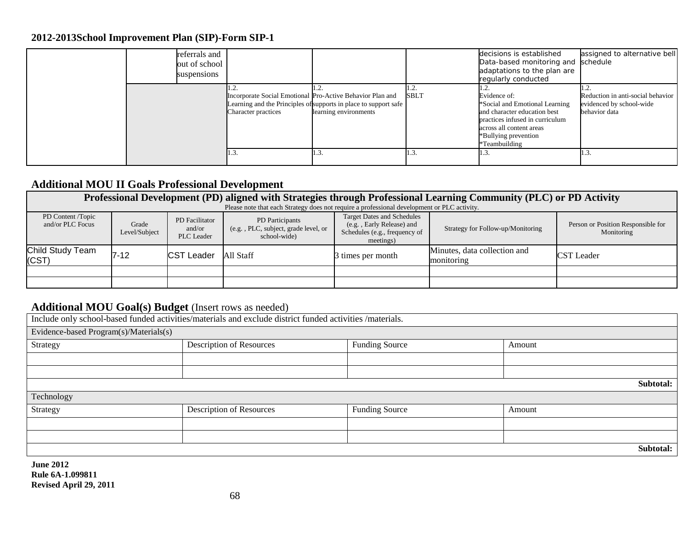|  | referrals and<br>out of school<br>suspensions |                            |                                                                                                                                                        |             | decisions is established<br>Data-based monitoring and schedule<br>adaptations to the plan are<br>regularly conducted                                                                  | assigned to alternative bell                                                   |
|--|-----------------------------------------------|----------------------------|--------------------------------------------------------------------------------------------------------------------------------------------------------|-------------|---------------------------------------------------------------------------------------------------------------------------------------------------------------------------------------|--------------------------------------------------------------------------------|
|  |                                               | <b>Character practices</b> | Incorporate Social Emotional Pro-Active Behavior Plan and<br>Learning and the Principles of supports in place to support safe<br>learning environments | <b>SBLT</b> | Evidence of:<br>*Social and Emotional Learning<br>and character education best<br>practices infused in curriculum<br>across all content areas<br>*Bullying prevention<br>Teambuilding | Reduction in anti-social behavior<br>evidenced by school-wide<br>behavior data |
|  |                                               | 11.3                       |                                                                                                                                                        | 1.3.        | 11.3                                                                                                                                                                                  |                                                                                |

## **Additional MOU II Goals Professional Development**

| Professional Development (PD) aligned with Strategies through Professional Learning Community (PLC) or PD Activity |                                                                                             |                                        |                                                                         |                                                                                                              |                                            |                                                  |  |  |  |  |
|--------------------------------------------------------------------------------------------------------------------|---------------------------------------------------------------------------------------------|----------------------------------------|-------------------------------------------------------------------------|--------------------------------------------------------------------------------------------------------------|--------------------------------------------|--------------------------------------------------|--|--|--|--|
|                                                                                                                    | Please note that each Strategy does not require a professional development or PLC activity. |                                        |                                                                         |                                                                                                              |                                            |                                                  |  |  |  |  |
| PD Content /Topic<br>and/or PLC Focus                                                                              | Grade<br>Level/Subject                                                                      | PD Facilitator<br>and/or<br>PLC Leader | PD Participants<br>(e.g., PLC, subject, grade level, or<br>school-wide) | <b>Target Dates and Schedules</b><br>(e.g., Early Release) and<br>Schedules (e.g., frequency of<br>meetings) | Strategy for Follow-up/Monitoring          | Person or Position Responsible for<br>Monitoring |  |  |  |  |
| Child Study Team<br>(CST)                                                                                          | $7 - 12$                                                                                    | CST Leader                             | All Staff                                                               | 3 times per month                                                                                            | Minutes, data collection and<br>monitoring | <b>CST</b> Leader                                |  |  |  |  |
|                                                                                                                    |                                                                                             |                                        |                                                                         |                                                                                                              |                                            |                                                  |  |  |  |  |
|                                                                                                                    |                                                                                             |                                        |                                                                         |                                                                                                              |                                            |                                                  |  |  |  |  |

## **Additional MOU Goal(s) Budget** (Insert rows as needed)

|                                        | Include only school-based funded activities/materials and exclude district funded activities /materials. |                       |           |  |  |  |  |  |
|----------------------------------------|----------------------------------------------------------------------------------------------------------|-----------------------|-----------|--|--|--|--|--|
| Evidence-based Program(s)/Materials(s) |                                                                                                          |                       |           |  |  |  |  |  |
| Strategy                               | Description of Resources                                                                                 | <b>Funding Source</b> | Amount    |  |  |  |  |  |
|                                        |                                                                                                          |                       |           |  |  |  |  |  |
|                                        |                                                                                                          |                       |           |  |  |  |  |  |
|                                        |                                                                                                          |                       | Subtotal: |  |  |  |  |  |
| Technology                             |                                                                                                          |                       |           |  |  |  |  |  |
| Strategy                               | Description of Resources                                                                                 | <b>Funding Source</b> | Amount    |  |  |  |  |  |
|                                        |                                                                                                          |                       |           |  |  |  |  |  |
|                                        |                                                                                                          |                       |           |  |  |  |  |  |
|                                        | Subtotal:                                                                                                |                       |           |  |  |  |  |  |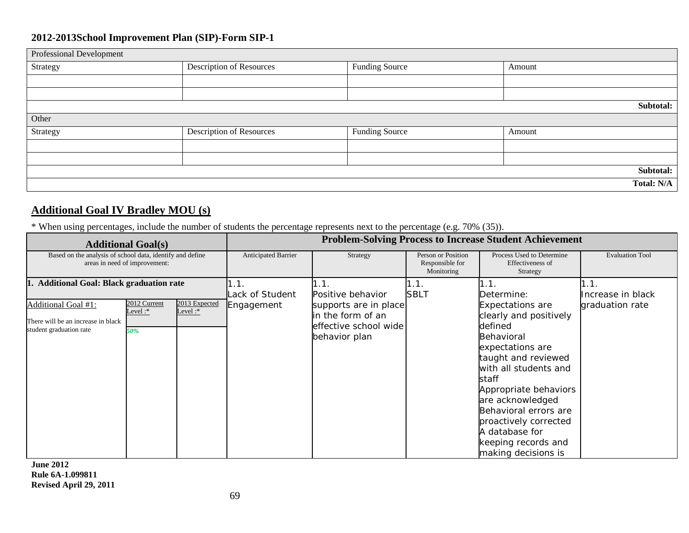| Professional Development |                                 |                       |            |
|--------------------------|---------------------------------|-----------------------|------------|
| Strategy                 | <b>Description of Resources</b> | <b>Funding Source</b> | Amount     |
|                          |                                 |                       |            |
|                          |                                 |                       |            |
|                          |                                 |                       | Subtotal:  |
| Other                    |                                 |                       |            |
| Strategy                 | <b>Description of Resources</b> | <b>Funding Source</b> | Amount     |
|                          |                                 |                       |            |
|                          |                                 |                       |            |
|                          |                                 |                       | Subtotal:  |
|                          |                                 |                       | Total: N/A |

## **Additional Goal IV Bradley MOU (s)**

\* When using percentages, include the number of students the percentage represents next to the percentage (e.g. 70% (35)).

|                                                                                      | <b>Additional Goal(s)</b>                                                                  |                             | <b>Problem-Solving Process to Increase Student Achievement</b> |                                                                                      |                                                     |                                                                                                                                                                                                                                                                                                                        |                           |
|--------------------------------------------------------------------------------------|--------------------------------------------------------------------------------------------|-----------------------------|----------------------------------------------------------------|--------------------------------------------------------------------------------------|-----------------------------------------------------|------------------------------------------------------------------------------------------------------------------------------------------------------------------------------------------------------------------------------------------------------------------------------------------------------------------------|---------------------------|
|                                                                                      | Based on the analysis of school data, identify and define<br>areas in need of improvement: |                             |                                                                | Strategy                                                                             | Person or Position<br>Responsible for<br>Monitoring | Process Used to Determine<br>Effectiveness of<br>Strategy                                                                                                                                                                                                                                                              | <b>Evaluation Tool</b>    |
| <b>Additional Goal: Black graduation rate</b><br>1.                                  |                                                                                            |                             | 1.1.<br>Lack of Student                                        | 1.1.<br>Positive behavior                                                            | 1.1.<br><b>SBLT</b>                                 | 1.1.<br>Determine:                                                                                                                                                                                                                                                                                                     | 1.1.<br>Increase in black |
| Additional Goal #1:<br>There will be an increase in black<br>student graduation rate | 2012 Current<br>Level:*<br>50%                                                             | 2013 Expected<br>Level: $*$ | Engagement                                                     | supports are in place<br>in the form of an<br>effective school wide<br>behavior plan |                                                     | <b>Expectations are</b><br>clearly and positively<br>defined<br>Behavioral<br>expectations are<br>taught and reviewed<br>with all students and<br>staff<br>Appropriate behaviors<br>are acknowledged<br>Behavioral errors are<br>proactively corrected<br>A database for<br>keeping records and<br>making decisions is | graduation rate           |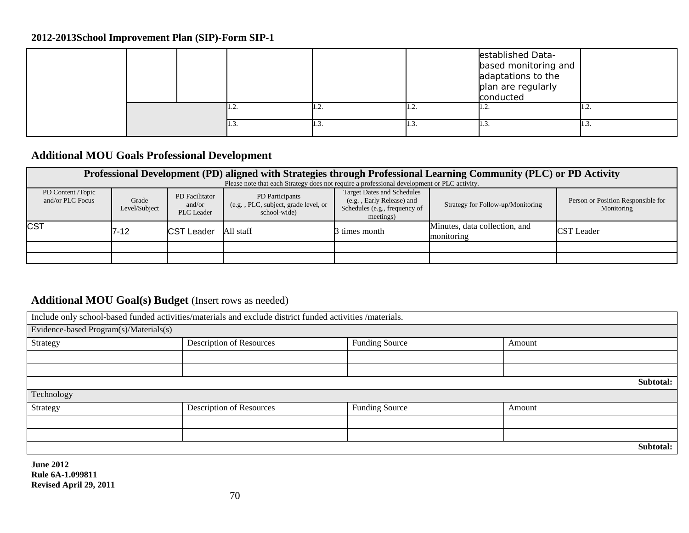|  |      |   |      | established Data-<br>based monitoring and<br>adaptations to the<br>plan are regularly<br>conducted |                |
|--|------|---|------|----------------------------------------------------------------------------------------------------|----------------|
|  | 1.2. | . | 1.4. | .                                                                                                  | $\cdot$ $\sim$ |
|  | 1.3. |   | ر 1  | .                                                                                                  | ر. د           |

## **Additional MOU Goals Professional Development**

| Professional Development (PD) aligned with Strategies through Professional Learning Community (PLC) or PD Activity |                                                                                             |                                        |                                                                         |                                                                                                              |                                             |                                                  |  |  |  |  |  |
|--------------------------------------------------------------------------------------------------------------------|---------------------------------------------------------------------------------------------|----------------------------------------|-------------------------------------------------------------------------|--------------------------------------------------------------------------------------------------------------|---------------------------------------------|--------------------------------------------------|--|--|--|--|--|
|                                                                                                                    | Please note that each Strategy does not require a professional development or PLC activity. |                                        |                                                                         |                                                                                                              |                                             |                                                  |  |  |  |  |  |
| PD Content /Topic<br>and/or PLC Focus                                                                              | Grade<br>Level/Subject                                                                      | PD Facilitator<br>and/or<br>PLC Leader | PD Participants<br>(e.g., PLC, subject, grade level, or<br>school-wide) | <b>Target Dates and Schedules</b><br>(e.g., Early Release) and<br>Schedules (e.g., frequency of<br>meetings) | Strategy for Follow-up/Monitoring           | Person or Position Responsible for<br>Monitoring |  |  |  |  |  |
| <b>CST</b>                                                                                                         | 7-12                                                                                        | CST Leader                             | All staff                                                               | 3 times month                                                                                                | Minutes, data collection, and<br>monitoring | <b>CST</b> Leader                                |  |  |  |  |  |
|                                                                                                                    |                                                                                             |                                        |                                                                         |                                                                                                              |                                             |                                                  |  |  |  |  |  |
|                                                                                                                    |                                                                                             |                                        |                                                                         |                                                                                                              |                                             |                                                  |  |  |  |  |  |

## Additional MOU Goal(s) Budget (Insert rows as needed)

| Include only school-based funded activities/materials and exclude district funded activities /materials. |                                 |                       |           |  |  |  |
|----------------------------------------------------------------------------------------------------------|---------------------------------|-----------------------|-----------|--|--|--|
| Evidence-based Program(s)/Materials(s)                                                                   |                                 |                       |           |  |  |  |
| Strategy                                                                                                 | Description of Resources        | <b>Funding Source</b> | Amount    |  |  |  |
|                                                                                                          |                                 |                       |           |  |  |  |
|                                                                                                          |                                 |                       |           |  |  |  |
|                                                                                                          |                                 |                       | Subtotal: |  |  |  |
| Technology                                                                                               |                                 |                       |           |  |  |  |
| Strategy                                                                                                 | <b>Description of Resources</b> | <b>Funding Source</b> | Amount    |  |  |  |
|                                                                                                          |                                 |                       |           |  |  |  |
|                                                                                                          |                                 |                       |           |  |  |  |
|                                                                                                          |                                 |                       | Subtotal: |  |  |  |
| AA<br>$\mathbf{r}$                                                                                       |                                 |                       |           |  |  |  |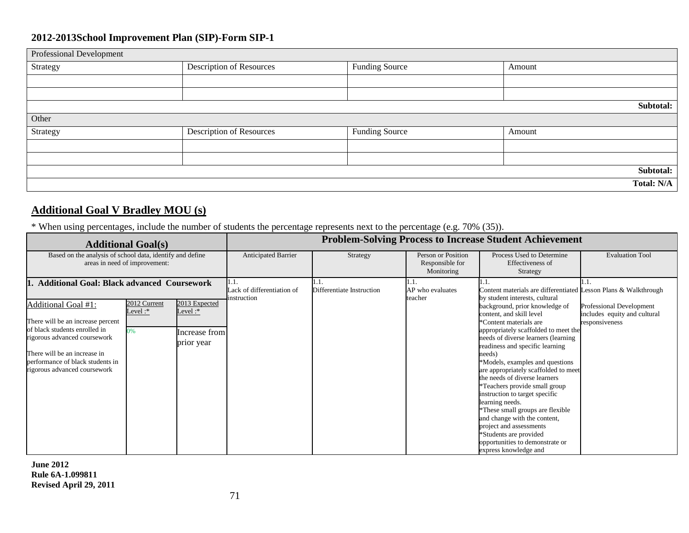| Professional Development |                          |                       |        |            |
|--------------------------|--------------------------|-----------------------|--------|------------|
| Strategy                 | Description of Resources | <b>Funding Source</b> | Amount |            |
|                          |                          |                       |        |            |
|                          |                          |                       |        |            |
|                          |                          |                       |        | Subtotal:  |
| Other                    |                          |                       |        |            |
| Strategy                 | Description of Resources | <b>Funding Source</b> | Amount |            |
|                          |                          |                       |        |            |
|                          |                          |                       |        |            |
|                          |                          |                       |        | Subtotal:  |
|                          |                          |                       |        | Total: N/A |

## **Additional Goal V Bradley MOU (s)**

\* When using percentages, include the number of students the percentage represents next to the percentage (e.g. 70% (35)).

| <b>Additional Goal(s)</b>                                                                                                                                                                                                                                                                                                                                                               | <b>Problem-Solving Process to Increase Student Achievement</b> |                           |                                                     |                                                                                                                                                                                                                                                                                                                                                                                                                                                                                                                                                                                                        |                                                                                   |  |
|-----------------------------------------------------------------------------------------------------------------------------------------------------------------------------------------------------------------------------------------------------------------------------------------------------------------------------------------------------------------------------------------|----------------------------------------------------------------|---------------------------|-----------------------------------------------------|--------------------------------------------------------------------------------------------------------------------------------------------------------------------------------------------------------------------------------------------------------------------------------------------------------------------------------------------------------------------------------------------------------------------------------------------------------------------------------------------------------------------------------------------------------------------------------------------------------|-----------------------------------------------------------------------------------|--|
| Based on the analysis of school data, identify and define<br>areas in need of improvement:                                                                                                                                                                                                                                                                                              | <b>Anticipated Barrier</b>                                     | Strategy                  | Person or Position<br>Responsible for<br>Monitoring | Process Used to Determine<br>Effectiveness of<br>Strategy                                                                                                                                                                                                                                                                                                                                                                                                                                                                                                                                              | <b>Evaluation Tool</b>                                                            |  |
| <b>Additional Goal: Black advanced Coursework</b><br>2012 Current<br>2013 Expected<br><b>Additional Goal #1:</b><br>Level :*<br>Level :*<br>There will be an increase percent<br>of black students enrolled in<br>0%<br>Increase from<br>rigorous advanced coursework<br>prior year<br>There will be an increase in<br>performance of black students in<br>rigorous advanced coursework | l.I.<br>Lack of differentiation of<br>instruction              | Differentiate Instruction | 1.1.<br>AP who evaluates<br>teacher                 | Content materials are differentiated Lesson Plans & Walkthrough<br>by student interests, cultural<br>background, prior knowledge of<br>content, and skill level<br>*Content materials are<br>appropriately scaffolded to meet the<br>needs of diverse learners (learning<br>readiness and specific learning<br>needs)<br>*Models, examples and questions<br>are appropriately scaffolded to meet<br>the needs of diverse learners<br><sup>*</sup> Teachers provide small group<br>instruction to target specific<br>learning needs.<br>These small groups are flexible<br>and change with the content, | <b>Professional Development</b><br>includes equity and cultural<br>responsiveness |  |
|                                                                                                                                                                                                                                                                                                                                                                                         |                                                                |                           |                                                     | project and assessments<br>*Students are provided<br>opportunities to demonstrate or<br>express knowledge and                                                                                                                                                                                                                                                                                                                                                                                                                                                                                          |                                                                                   |  |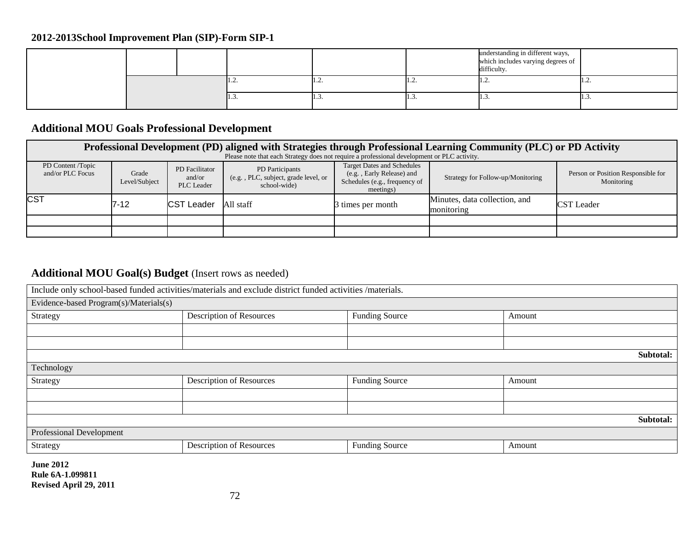|  |  |     |     |   |       | understanding in different ways,<br>which includes varying degrees of<br>difficulty. |      |
|--|--|-----|-----|---|-------|--------------------------------------------------------------------------------------|------|
|  |  | 1.4 | .   | . | 11.2. | .                                                                                    |      |
|  |  |     | . ب | . | -1.5. | 11.3.                                                                                | 1.3. |

## **Additional MOU Goals Professional Development**

| Professional Development (PD) aligned with Strategies through Professional Learning Community (PLC) or PD Activity |                        |                                               |                                                                                             |                                                                                                              |                                             |                                                  |  |  |
|--------------------------------------------------------------------------------------------------------------------|------------------------|-----------------------------------------------|---------------------------------------------------------------------------------------------|--------------------------------------------------------------------------------------------------------------|---------------------------------------------|--------------------------------------------------|--|--|
|                                                                                                                    |                        |                                               | Please note that each Strategy does not require a professional development or PLC activity. |                                                                                                              |                                             |                                                  |  |  |
| PD Content /Topic<br>and/or PLC Focus                                                                              | Grade<br>Level/Subject | PD Facilitator<br>and/or<br><b>PLC</b> Leader | PD Participants<br>(e.g., PLC, subject, grade level, or<br>school-wide                      | <b>Target Dates and Schedules</b><br>(e.g., Early Release) and<br>Schedules (e.g., frequency of<br>meetings) | Strategy for Follow-up/Monitoring           | Person or Position Responsible for<br>Monitoring |  |  |
| <b>CST</b>                                                                                                         | 7-12                   | <b>CST Leader</b>                             | All staff                                                                                   | itimes per month                                                                                             | Minutes, data collection, and<br>monitoring | <b>CST</b> Leader                                |  |  |
|                                                                                                                    |                        |                                               |                                                                                             |                                                                                                              |                                             |                                                  |  |  |
|                                                                                                                    |                        |                                               |                                                                                             |                                                                                                              |                                             |                                                  |  |  |

## **Additional MOU Goal(s) Budget** (Insert rows as needed)

| Include only school-based funded activities/materials and exclude district funded activities /materials. |                                 |                       |        |  |  |  |  |  |
|----------------------------------------------------------------------------------------------------------|---------------------------------|-----------------------|--------|--|--|--|--|--|
| Evidence-based Program(s)/Materials(s)                                                                   |                                 |                       |        |  |  |  |  |  |
| Strategy                                                                                                 | Description of Resources        | <b>Funding Source</b> | Amount |  |  |  |  |  |
|                                                                                                          |                                 |                       |        |  |  |  |  |  |
|                                                                                                          |                                 |                       |        |  |  |  |  |  |
|                                                                                                          | Subtotal:                       |                       |        |  |  |  |  |  |
| Technology                                                                                               |                                 |                       |        |  |  |  |  |  |
| Strategy                                                                                                 | <b>Description of Resources</b> | <b>Funding Source</b> | Amount |  |  |  |  |  |
|                                                                                                          |                                 |                       |        |  |  |  |  |  |
|                                                                                                          |                                 |                       |        |  |  |  |  |  |
| Subtotal:                                                                                                |                                 |                       |        |  |  |  |  |  |
| Professional Development                                                                                 |                                 |                       |        |  |  |  |  |  |
| Strategy                                                                                                 | Description of Resources        | <b>Funding Source</b> | Amount |  |  |  |  |  |
| $I_{\rm line}$ 2012                                                                                      |                                 |                       |        |  |  |  |  |  |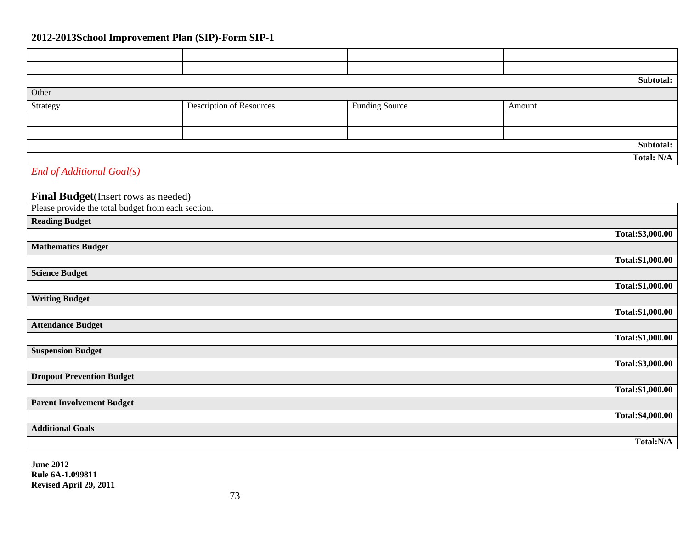## **2012-2013School Improvement Plan (SIP)-Form SIP-1**

|                                                                                                                                                                                                                                                                                                                                    |                                 |                       | Subtotal:         |  |
|------------------------------------------------------------------------------------------------------------------------------------------------------------------------------------------------------------------------------------------------------------------------------------------------------------------------------------|---------------------------------|-----------------------|-------------------|--|
| Other                                                                                                                                                                                                                                                                                                                              |                                 |                       |                   |  |
| Strategy                                                                                                                                                                                                                                                                                                                           | <b>Description of Resources</b> | <b>Funding Source</b> | Amount            |  |
|                                                                                                                                                                                                                                                                                                                                    |                                 |                       |                   |  |
|                                                                                                                                                                                                                                                                                                                                    |                                 |                       |                   |  |
| Subtotal:                                                                                                                                                                                                                                                                                                                          |                                 |                       |                   |  |
|                                                                                                                                                                                                                                                                                                                                    |                                 |                       | <b>Total: N/A</b> |  |
| $\mathbf{r}$ $\mathbf{r}$ $\mathbf{r}$ $\mathbf{r}$ $\mathbf{r}$ $\mathbf{r}$ $\mathbf{r}$ $\mathbf{r}$ $\mathbf{r}$ $\mathbf{r}$ $\mathbf{r}$ $\mathbf{r}$ $\mathbf{r}$ $\mathbf{r}$ $\mathbf{r}$ $\mathbf{r}$ $\mathbf{r}$ $\mathbf{r}$ $\mathbf{r}$ $\mathbf{r}$ $\mathbf{r}$ $\mathbf{r}$ $\mathbf{r}$ $\mathbf{r}$ $\mathbf{$ |                                 |                       |                   |  |

#### *End of Additional Goal(s)*

# **Final Budget**(Insert rows as needed)

| Total:\$3,000.00 |
|------------------|
|                  |
| Total:\$1,000.00 |
|                  |
| Total:\$1,000.00 |
|                  |
| Total:\$1,000.00 |
|                  |
| Total:\$1,000.00 |
|                  |
| Total:\$3,000.00 |
|                  |
| Total:\$1,000.00 |
|                  |
| Total:\$4,000.00 |
|                  |
| Total:N/A        |
|                  |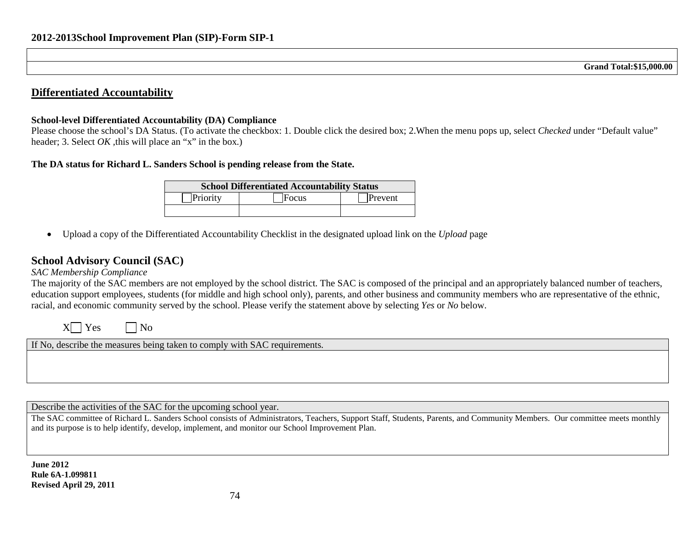### **Differentiated Accountability**

#### **School-level Differentiated Accountability (DA) Compliance**

Please choose the school's DA Status. (To activate the checkbox: 1. Double click the desired box; 2.When the menu pops up, select *Checked* under "Default value" header; 3. Select *OK*, this will place an "x" in the box.)

#### **The DA status for Richard L. Sanders School is pending release from the State.**

| <b>School Differentiated Accountability Status</b> |       |         |  |  |
|----------------------------------------------------|-------|---------|--|--|
| Priority                                           | Focus | Prevent |  |  |
|                                                    |       |         |  |  |

• Upload a copy of the Differentiated Accountability Checklist in the designated upload link on the *Upload* page

## **School Advisory Council (SAC)**

#### *SAC Membership Compliance*

The majority of the SAC members are not employed by the school district. The SAC is composed of the principal and an appropriately balanced number of teachers, education support employees, students (for middle and high school only), parents, and other business and community members who are representative of the ethnic, racial, and economic community served by the school. Please verify the statement above by selecting *Yes* or *No* below.

| No.<br>′es<br>X. |
|------------------|
|------------------|

If No, describe the measures being taken to comply with SAC requirements.

Describe the activities of the SAC for the upcoming school year.

The SAC committee of Richard L. Sanders School consists of Administrators, Teachers, Support Staff, Students, Parents, and Community Members. Our committee meets monthly and its purpose is to help identify, develop, implement, and monitor our School Improvement Plan.

**June 2012 Rule 6A-1.099811 Revised April 29, 2011**